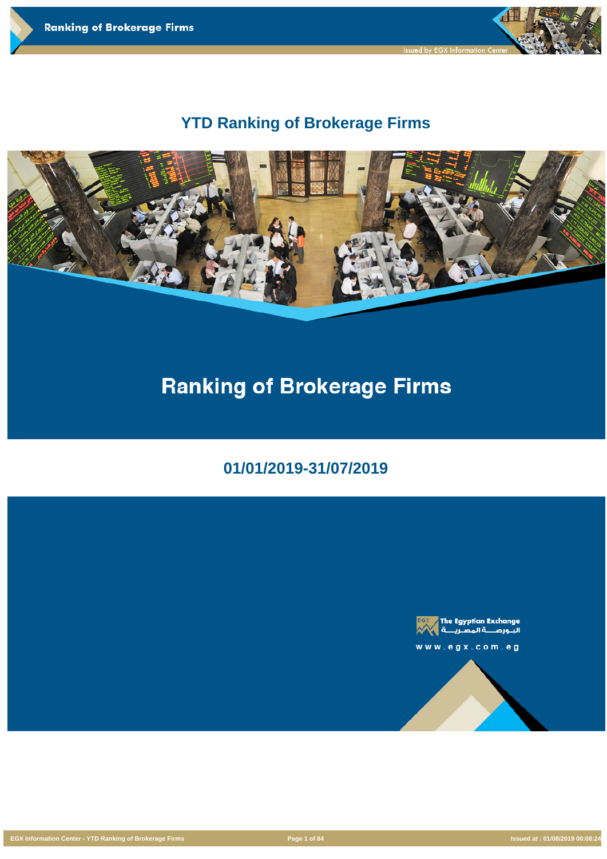

# **YTD Ranking of Brokerage Firms**



# **Ranking of Brokerage Firms**

**01/01/2019-31/07/2019**



**EGX** The Egyptian Exchange



www.egx.com.eg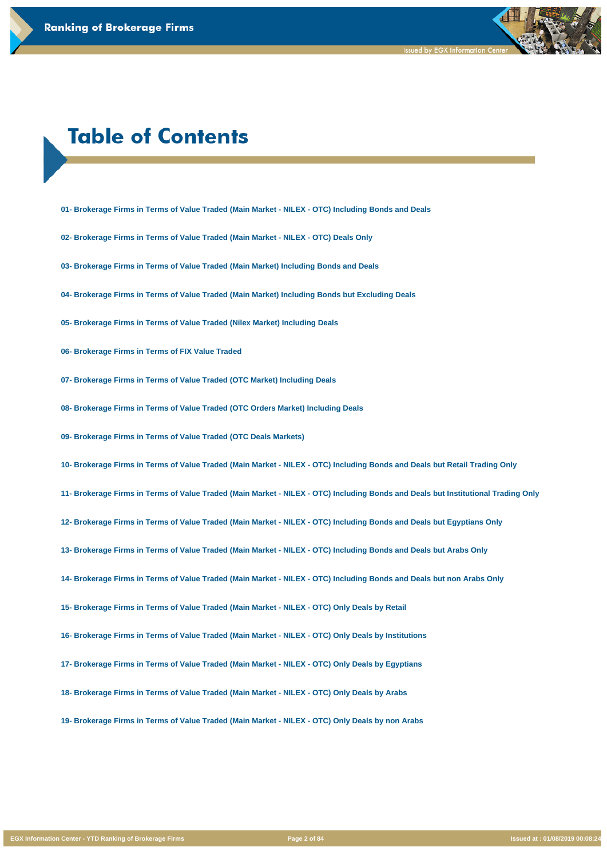# **Table of Contents**

- **01- Brokerage Firms in Terms of Value Traded (Main Market NILEX OTC) Including Bonds and Deals**
- **02- Brokerage Firms in Terms of Value Traded (Main Market NILEX OTC) Deals Only**
- **03- Brokerage Firms in Terms of Value Traded (Main Market) Including Bonds and Deals**
- **04- Brokerage Firms in Terms of Value Traded (Main Market) Including Bonds but Excluding Deals**
- **05- Brokerage Firms in Terms of Value Traded (Nilex Market) Including Deals**
- **06- Brokerage Firms in Terms of FIX Value Traded**
- **07- Brokerage Firms in Terms of Value Traded (OTC Market) Including Deals**
- **08- Brokerage Firms in Terms of Value Traded (OTC Orders Market) Including Deals**
- **09- Brokerage Firms in Terms of Value Traded (OTC Deals Markets)**
- **10- Brokerage Firms in Terms of Value Traded (Main Market NILEX OTC) Including Bonds and Deals but Retail Trading Only**
- **11- Brokerage Firms in Terms of Value Traded (Main Market NILEX OTC) Including Bonds and Deals but Institutional Trading Only**
- **12- Brokerage Firms in Terms of Value Traded (Main Market NILEX OTC) Including Bonds and Deals but Egyptians Only**
- **13- Brokerage Firms in Terms of Value Traded (Main Market NILEX OTC) Including Bonds and Deals but Arabs Only**
- **14- Brokerage Firms in Terms of Value Traded (Main Market NILEX OTC) Including Bonds and Deals but non Arabs Only**
- **15- Brokerage Firms in Terms of Value Traded (Main Market NILEX OTC) Only Deals by Retail**

**16- Brokerage Firms in Terms of Value Traded (Main Market - NILEX - OTC) Only Deals by Institutions**

**17- Brokerage Firms in Terms of Value Traded (Main Market - NILEX - OTC) Only Deals by Egyptians**

**18- Brokerage Firms in Terms of Value Traded (Main Market - NILEX - OTC) Only Deals by Arabs**

**19- Brokerage Firms in Terms of Value Traded (Main Market - NILEX - OTC) Only Deals by non Arabs**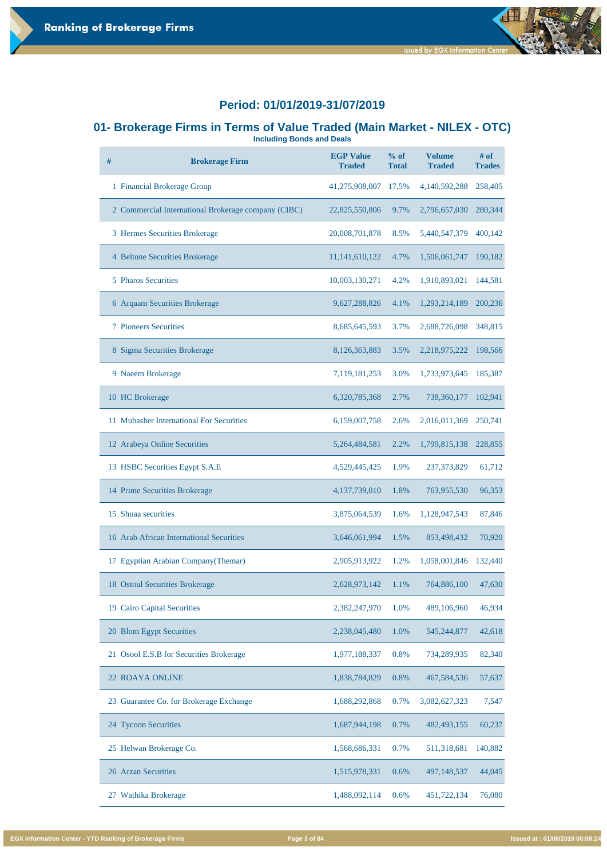#### **Period: 01/01/2019-31/07/2019**

#### **01- Brokerage Firms in Terms of Value Traded (Main Market - NILEX - OTC) Including Bonds and Deals**

**# Brokerage Firm EGP Value Traded % of Total Volume Traded # of Trades** Financial Brokerage Group 41,275,908,007 17.5% 4,140,592,288 258,405 Commercial International Brokerage company (CIBC) 22,825,550,806 9.7% 2,796,657,030 280,344 Hermes Securities Brokerage 20,008,701,878 8.5% 5,440,547,379 400,142 Beltone Securities Brokerage 11,141,610,122 4.7% 1,506,061,747 190,182 Pharos Securities 10,003,130,271 4.2% 1,910,893,021 144,581 Arqaam Securities Brokerage 9,627,288,826 4.1% 1,293,214,189 200,236 Pioneers Securities 8,685,645,593 3.7% 2,688,726,098 348,815 8 Sigma Securities Brokerage 8,126,363,883 3.5% 2,218,975,222 198,566 Naeem Brokerage 7,119,181,253 3.0% 1,733,973,645 185,387 HC Brokerage 6,320,785,368 2.7% 738,360,177 102,941 Mubasher International For Securities 6,159,007,758 2.6% 2,016,011,369 250,741 Arabeya Online Securities 5,264,484,581 2.2% 1,799,815,138 228,855 HSBC Securities Egypt S.A.E 4,529,445,425 1.9% 237,373,829 61,712 Prime Securities Brokerage 4,137,739,010 1.8% 763,955,530 96,353 Shuaa securities 3,875,064,539 1.6% 1,128,947,543 87,846 Arab African International Securities 3,646,061,994 1.5% 853,498,432 70,920 Egyptian Arabian Company(Themar) 2,905,913,922 1.2% 1,058,001,846 132,440 Ostoul Securities Brokerage 2,628,973,142 1.1% 764,886,100 47,630

Cairo Capital Securities 2,382,247,970 1.0% 489,106,960 46,934

| 20 Blom Egypt Securities                | 2,238,045,480 | 1.0%    | 545, 244, 877 | 42,618  |
|-----------------------------------------|---------------|---------|---------------|---------|
| 21 Osool E.S.B for Securities Brokerage | 1,977,188,337 | 0.8%    | 734,289,935   | 82,340  |
| <b>22 ROAYA ONLINE</b>                  | 1,838,784,829 | 0.8%    | 467, 584, 536 | 57,637  |
| 23 Guarantee Co. for Brokerage Exchange | 1,688,292,868 | $0.7\%$ | 3,082,627,323 | 7,547   |
| 24 Tycoon Securities                    | 1,687,944,198 | 0.7%    | 482, 493, 155 | 60,237  |
| 25 Helwan Brokerage Co.                 | 1,568,686,331 | 0.7%    | 511,318,681   | 140,882 |
| 26 Arzan Securities                     | 1,515,978,331 | 0.6%    | 497, 148, 537 | 44,045  |
| 27 Wathika Brokerage                    | 1,488,092,114 | 0.6%    | 451,722,134   | 76,080  |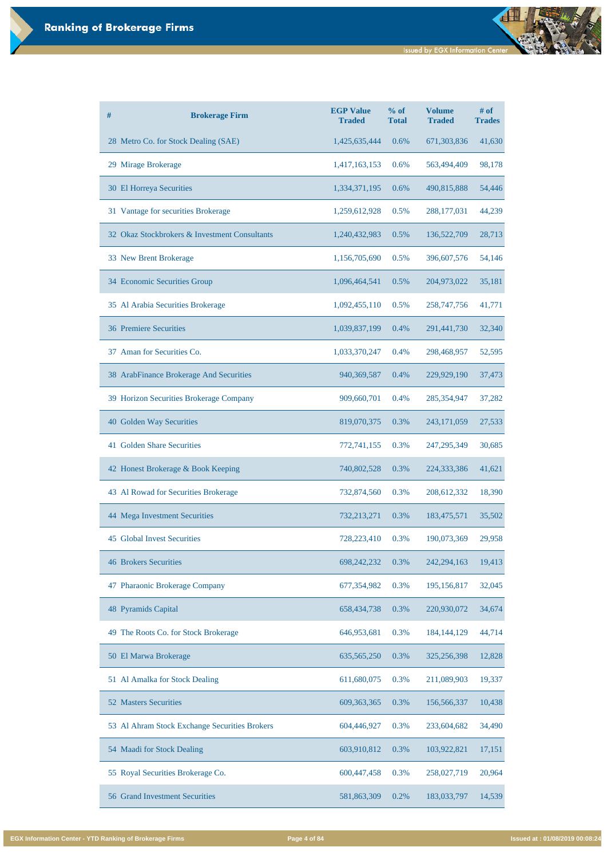| # | <b>Brokerage Firm</b>                         | <b>EGP Value</b><br><b>Traded</b> | % of<br><b>Total</b> | <b>Volume</b><br><b>Traded</b> | $#$ of<br><b>Trades</b> |
|---|-----------------------------------------------|-----------------------------------|----------------------|--------------------------------|-------------------------|
|   | 28 Metro Co. for Stock Dealing (SAE)          | 1,425,635,444                     | 0.6%                 | 671,303,836                    | 41,630                  |
|   | 29 Mirage Brokerage                           | 1,417,163,153                     | 0.6%                 | 563,494,409                    | 98,178                  |
|   | 30 El Horreya Securities                      | 1,334,371,195                     | 0.6%                 | 490,815,888                    | 54,446                  |
|   | 31 Vantage for securities Brokerage           | 1,259,612,928                     | 0.5%                 | 288,177,031                    | 44,239                  |
|   | 32 Okaz Stockbrokers & Investment Consultants | 1,240,432,983                     | 0.5%                 | 136,522,709                    | 28,713                  |
|   | 33 New Brent Brokerage                        | 1,156,705,690                     | 0.5%                 | 396,607,576                    | 54,146                  |
|   | 34 Economic Securities Group                  | 1,096,464,541                     | 0.5%                 | 204,973,022                    | 35,181                  |
|   | 35 Al Arabia Securities Brokerage             | 1,092,455,110                     | 0.5%                 | 258, 747, 756                  | 41,771                  |
|   | <b>36 Premiere Securities</b>                 | 1,039,837,199                     | 0.4%                 | 291,441,730                    | 32,340                  |
|   | 37 Aman for Securities Co.                    | 1,033,370,247                     | 0.4%                 | 298,468,957                    | 52,595                  |
|   | 38 ArabFinance Brokerage And Securities       | 940,369,587                       | 0.4%                 | 229,929,190                    | 37,473                  |
|   | 39 Horizon Securities Brokerage Company       | 909,660,701                       | 0.4%                 | 285,354,947                    | 37,282                  |
|   | 40 Golden Way Securities                      | 819,070,375                       | 0.3%                 | 243, 171, 059                  | 27,533                  |
|   | 41 Golden Share Securities                    | 772,741,155                       | 0.3%                 | 247, 295, 349                  | 30,685                  |
|   | 42 Honest Brokerage & Book Keeping            | 740,802,528                       | 0.3%                 | 224,333,386                    | 41,621                  |
|   | 43 Al Rowad for Securities Brokerage          | 732,874,560                       | 0.3%                 | 208,612,332                    | 18,390                  |
|   | 44 Mega Investment Securities                 | 732,213,271                       | 0.3%                 | 183,475,571                    | 35,502                  |
|   | <b>45 Global Invest Securities</b>            | 728,223,410                       | 0.3%                 | 190,073,369                    | 29,958                  |
|   | <b>46 Brokers Securities</b>                  | 698, 242, 232                     | 0.3%                 | 242, 294, 163                  | 19,413                  |
|   | 47 Pharaonic Brokerage Company                | 677,354,982                       | 0.3%                 | 195,156,817                    | 32,045                  |
|   | <b>48 Pyramids Capital</b>                    | 658, 434, 738                     | 0.3%                 | 220,930,072                    | 34,674                  |

| 49 The Roots Co. for Stock Brokerage          | 646,953,681   | 0.3% | 184, 144, 129 | 44,714 |
|-----------------------------------------------|---------------|------|---------------|--------|
| 50 El Marwa Brokerage                         | 635, 565, 250 | 0.3% | 325, 256, 398 | 12,828 |
| 51 Al Amalka for Stock Dealing                | 611,680,075   | 0.3% | 211,089,903   | 19,337 |
| <b>52 Masters Securities</b>                  | 609, 363, 365 | 0.3% | 156,566,337   | 10,438 |
| 53 Al Ahram Stock Exchange Securities Brokers | 604,446,927   | 0.3% | 233,604,682   | 34,490 |
| 54 Maadi for Stock Dealing                    | 603,910,812   | 0.3% | 103,922,821   | 17,151 |
| 55 Royal Securities Brokerage Co.             | 600,447,458   | 0.3% | 258,027,719   | 20,964 |
| <b>56 Grand Investment Securities</b>         | 581,863,309   | 0.2% | 183,033,797   | 14,539 |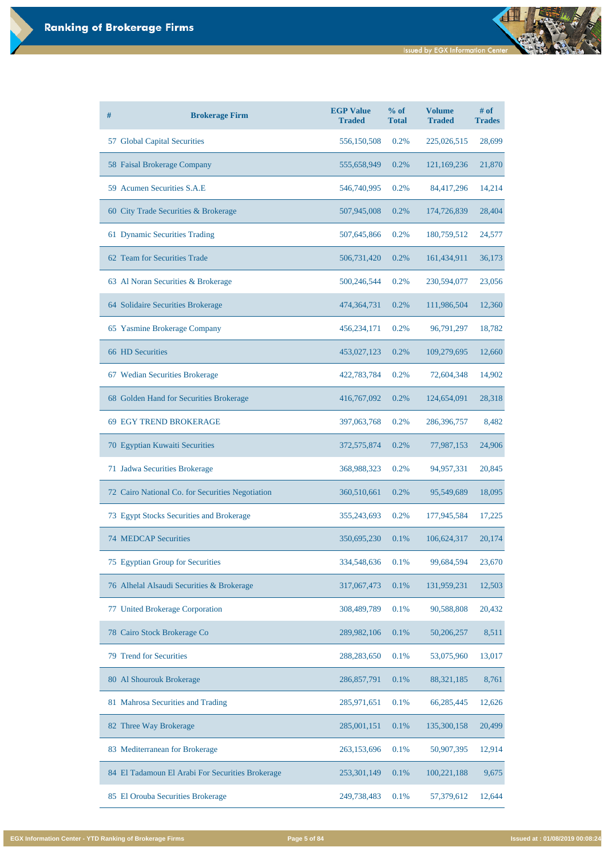| # | <b>Brokerage Firm</b>                            | <b>EGP Value</b><br><b>Traded</b> | $%$ of<br><b>Total</b> | <b>Volume</b><br><b>Traded</b> | # of<br><b>Trades</b> |
|---|--------------------------------------------------|-----------------------------------|------------------------|--------------------------------|-----------------------|
|   | 57 Global Capital Securities                     | 556,150,508                       | 0.2%                   | 225,026,515                    | 28,699                |
|   | 58 Faisal Brokerage Company                      | 555,658,949                       | 0.2%                   | 121,169,236                    | 21,870                |
|   | 59 Acumen Securities S.A.E                       | 546,740,995                       | 0.2%                   | 84,417,296                     | 14,214                |
|   | 60 City Trade Securities & Brokerage             | 507,945,008                       | 0.2%                   | 174,726,839                    | 28,404                |
|   | 61 Dynamic Securities Trading                    | 507,645,866                       | 0.2%                   | 180,759,512                    | 24,577                |
|   | 62 Team for Securities Trade                     | 506,731,420                       | 0.2%                   | 161,434,911                    | 36,173                |
|   | 63 Al Noran Securities & Brokerage               | 500,246,544                       | 0.2%                   | 230,594,077                    | 23,056                |
|   | 64 Solidaire Securities Brokerage                | 474, 364, 731                     | 0.2%                   | 111,986,504                    | 12,360                |
|   | 65 Yasmine Brokerage Company                     | 456,234,171                       | 0.2%                   | 96,791,297                     | 18,782                |
|   | <b>66 HD Securities</b>                          | 453,027,123                       | 0.2%                   | 109,279,695                    | 12,660                |
|   | 67 Wedian Securities Brokerage                   | 422,783,784                       | 0.2%                   | 72,604,348                     | 14,902                |
|   | 68 Golden Hand for Securities Brokerage          | 416,767,092                       | 0.2%                   | 124,654,091                    | 28,318                |
|   | <b>69 EGY TREND BROKERAGE</b>                    | 397,063,768                       | 0.2%                   | 286,396,757                    | 8,482                 |
|   | 70 Egyptian Kuwaiti Securities                   | 372,575,874                       | 0.2%                   | 77,987,153                     | 24,906                |
|   | 71 Jadwa Securities Brokerage                    | 368,988,323                       | 0.2%                   | 94,957,331                     | 20,845                |
|   | 72 Cairo National Co. for Securities Negotiation | 360,510,661                       | 0.2%                   | 95,549,689                     | 18,095                |
|   | 73 Egypt Stocks Securities and Brokerage         | 355,243,693                       | 0.2%                   | 177,945,584                    | 17,225                |
|   | <b>74 MEDCAP Securities</b>                      | 350,695,230                       | 0.1%                   | 106,624,317                    | 20,174                |
|   | 75 Egyptian Group for Securities                 | 334,548,636                       | 0.1%                   | 99,684,594                     | 23,670                |
|   | 76 Alhelal Alsaudi Securities & Brokerage        | 317,067,473                       | 0.1%                   | 131,959,231                    | 12,503                |
|   | 77 United Brokerage Corporation                  | 308,489,789                       | 0.1%                   | 90,588,808                     | 20,432                |

| 78 Cairo Stock Brokerage Co                      | 289,982,106   | $0.1\%$ | 50,206,257  | 8,511  |
|--------------------------------------------------|---------------|---------|-------------|--------|
| 79 Trend for Securities                          | 288, 283, 650 | $0.1\%$ | 53,075,960  | 13,017 |
| 80 Al Shourouk Brokerage                         | 286,857,791   | $0.1\%$ | 88,321,185  | 8,761  |
| 81 Mahrosa Securities and Trading                | 285,971,651   | $0.1\%$ | 66,285,445  | 12,626 |
| 82 Three Way Brokerage                           | 285,001,151   | 0.1%    | 135,300,158 | 20,499 |
| 83 Mediterranean for Brokerage                   | 263,153,696   | 0.1%    | 50,907,395  | 12,914 |
| 84 El Tadamoun El Arabi For Securities Brokerage | 253,301,149   | $0.1\%$ | 100,221,188 | 9,675  |
| 85 El Orouba Securities Brokerage                | 249,738,483   | 0.1%    | 57,379,612  | 12,644 |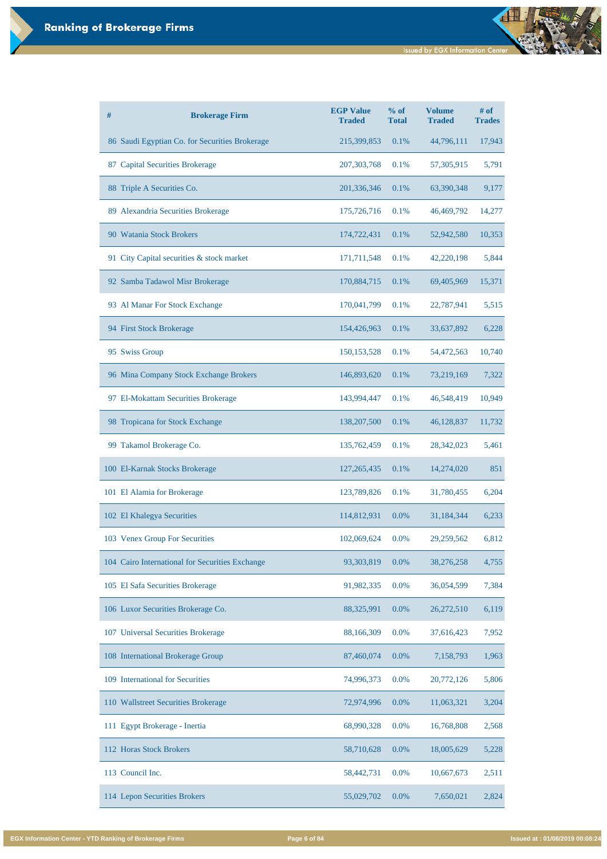| # | <b>Brokerage Firm</b>                           | <b>EGP Value</b><br><b>Traded</b> | $%$ of<br><b>Total</b> | <b>Volume</b><br><b>Traded</b> | $#$ of<br><b>Trades</b> |
|---|-------------------------------------------------|-----------------------------------|------------------------|--------------------------------|-------------------------|
|   | 86 Saudi Egyptian Co. for Securities Brokerage  | 215,399,853                       | 0.1%                   | 44,796,111                     | 17,943                  |
|   | 87 Capital Securities Brokerage                 | 207, 303, 768                     | 0.1%                   | 57,305,915                     | 5,791                   |
|   | 88 Triple A Securities Co.                      | 201,336,346                       | 0.1%                   | 63,390,348                     | 9,177                   |
|   | 89 Alexandria Securities Brokerage              | 175,726,716                       | 0.1%                   | 46,469,792                     | 14,277                  |
|   | 90 Watania Stock Brokers                        | 174,722,431                       | 0.1%                   | 52,942,580                     | 10,353                  |
|   | 91 City Capital securities & stock market       | 171,711,548                       | 0.1%                   | 42,220,198                     | 5,844                   |
|   | 92 Samba Tadawol Misr Brokerage                 | 170,884,715                       | 0.1%                   | 69,405,969                     | 15,371                  |
|   | 93 Al Manar For Stock Exchange                  | 170,041,799                       | 0.1%                   | 22,787,941                     | 5,515                   |
|   | 94 First Stock Brokerage                        | 154,426,963                       | 0.1%                   | 33,637,892                     | 6,228                   |
|   | 95 Swiss Group                                  | 150, 153, 528                     | 0.1%                   | 54,472,563                     | 10,740                  |
|   | 96 Mina Company Stock Exchange Brokers          | 146,893,620                       | 0.1%                   | 73,219,169                     | 7,322                   |
|   | 97 El-Mokattam Securities Brokerage             | 143,994,447                       | 0.1%                   | 46,548,419                     | 10,949                  |
|   | 98 Tropicana for Stock Exchange                 | 138,207,500                       | 0.1%                   | 46,128,837                     | 11,732                  |
|   | 99 Takamol Brokerage Co.                        | 135,762,459                       | 0.1%                   | 28,342,023                     | 5,461                   |
|   | 100 El-Karnak Stocks Brokerage                  | 127, 265, 435                     | 0.1%                   | 14,274,020                     | 851                     |
|   | 101 El Alamia for Brokerage                     | 123,789,826                       | 0.1%                   | 31,780,455                     | 6,204                   |
|   | 102 El Khalegya Securities                      | 114,812,931                       | 0.0%                   | 31,184,344                     | 6,233                   |
|   | 103 Venex Group For Securities                  | 102,069,624                       | 0.0%                   | 29,259,562                     | 6,812                   |
|   | 104 Cairo International for Securities Exchange | 93,303,819                        | 0.0%                   | 38,276,258                     | 4,755                   |
|   | 105 El Safa Securities Brokerage                | 91,982,335                        | 0.0%                   | 36,054,599                     | 7,384                   |
|   | 106 Luxor Securities Brokerage Co.              | 88,325,991                        | 0.0%                   | 26,272,510                     | 6,119                   |

| 107 Universal Securities Brokerage  | 88,166,309 | $0.0\%$ | 37,616,423 | 7,952 |
|-------------------------------------|------------|---------|------------|-------|
| 108 International Brokerage Group   | 87,460,074 | $0.0\%$ | 7,158,793  | 1,963 |
| 109 International for Securities    | 74,996,373 | $0.0\%$ | 20,772,126 | 5,806 |
| 110 Wallstreet Securities Brokerage | 72,974,996 | $0.0\%$ | 11,063,321 | 3,204 |
| 111 Egypt Brokerage - Inertia       | 68,990,328 | 0.0%    | 16,768,808 | 2,568 |
| 112 Horas Stock Brokers             | 58,710,628 | $0.0\%$ | 18,005,629 | 5,228 |
| 113 Council Inc.                    | 58,442,731 | $0.0\%$ | 10,667,673 | 2,511 |
| 114 Lepon Securities Brokers        | 55,029,702 | $0.0\%$ | 7,650,021  | 2,824 |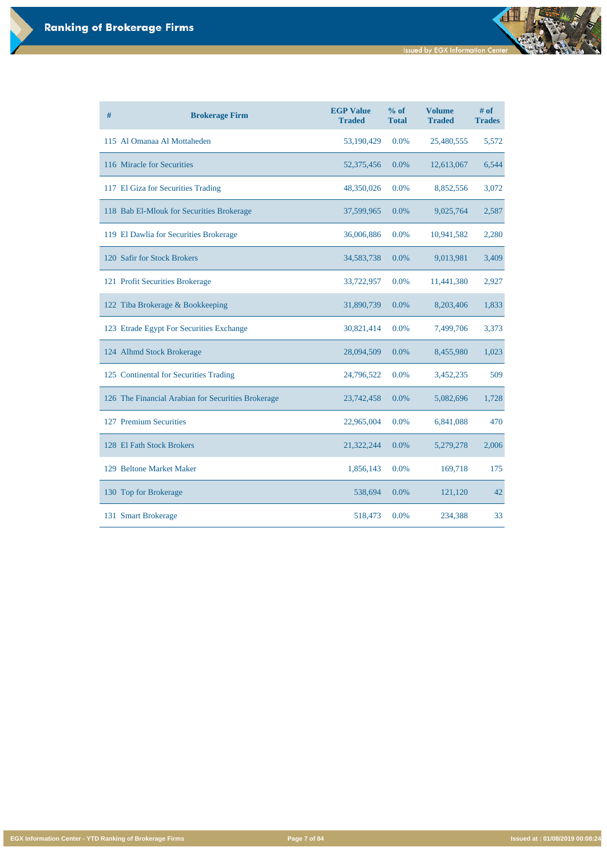**EGX Information Center - YTD Ranking of Brokerage Firms Page 7 of 84 Issued at : 01/08/2019 00:08:24**

| # | <b>Brokerage Firm</b>                              | <b>EGP Value</b><br><b>Traded</b> | % of<br><b>Total</b> | <b>Volume</b><br><b>Traded</b> | $#$ of<br><b>Trades</b> |
|---|----------------------------------------------------|-----------------------------------|----------------------|--------------------------------|-------------------------|
|   | 115 Al Omanaa Al Mottaheden                        | 53,190,429                        | 0.0%                 | 25,480,555                     | 5,572                   |
|   | 116 Miracle for Securities                         | 52,375,456                        | $0.0\%$              | 12,613,067                     | 6,544                   |
|   | 117 El Giza for Securities Trading                 | 48,350,026                        | 0.0%                 | 8,852,556                      | 3,072                   |
|   | 118 Bab El-Mlouk for Securities Brokerage          | 37,599,965                        | 0.0%                 | 9,025,764                      | 2,587                   |
|   | 119 El Dawlia for Securities Brokerage             | 36,006,886                        | 0.0%                 | 10,941,582                     | 2,280                   |
|   | 120 Safir for Stock Brokers                        | 34, 583, 738                      | 0.0%                 | 9,013,981                      | 3,409                   |
|   | 121 Profit Securities Brokerage                    | 33,722,957                        | 0.0%                 | 11,441,380                     | 2,927                   |
|   | 122 Tiba Brokerage & Bookkeeping                   | 31,890,739                        | 0.0%                 | 8,203,406                      | 1,833                   |
|   | 123 Etrade Egypt For Securities Exchange           | 30,821,414                        | 0.0%                 | 7,499,706                      | 3,373                   |
|   | 124 Alhmd Stock Brokerage                          | 28,094,509                        | 0.0%                 | 8,455,980                      | 1,023                   |
|   | 125 Continental for Securities Trading             | 24,796,522                        | 0.0%                 | 3,452,235                      | 509                     |
|   | 126 The Financial Arabian for Securities Brokerage | 23,742,458                        | 0.0%                 | 5,082,696                      | 1,728                   |
|   | 127 Premium Securities                             | 22,965,004                        | 0.0%                 | 6,841,088                      | 470                     |
|   | 128 El Fath Stock Brokers                          | 21,322,244                        | 0.0%                 | 5,279,278                      | 2,006                   |
|   | 129 Beltone Market Maker                           | 1,856,143                         | 0.0%                 | 169,718                        | 175                     |
|   | 130 Top for Brokerage                              | 538,694                           | 0.0%                 | 121,120                        | 42                      |
|   | 131 Smart Brokerage                                | 518,473                           | 0.0%                 | 234,388                        | 33                      |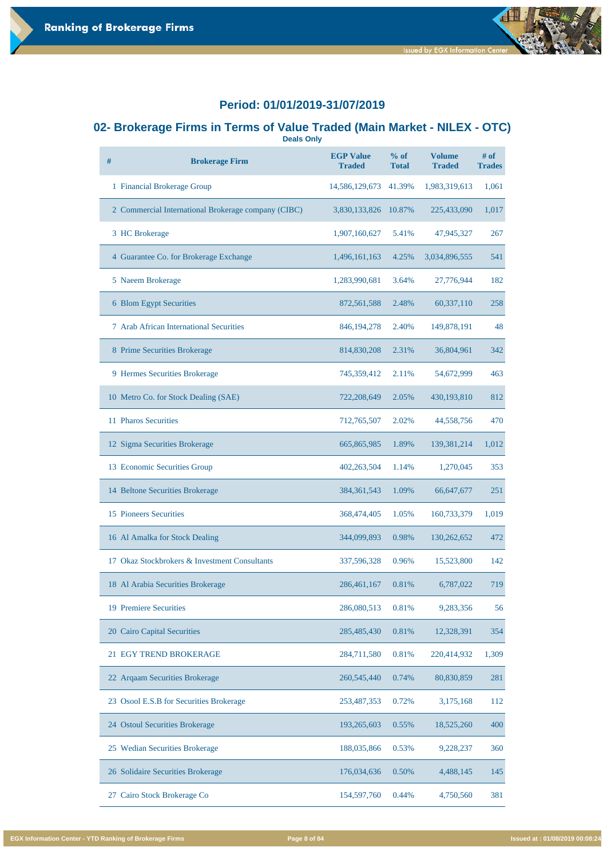# **Period: 01/01/2019-31/07/2019**

#### **02- Brokerage Firms in Terms of Value Traded (Main Market - NILEX - OTC) Deals Only**

| #  | <b>Brokerage Firm</b>                                 | <b>EGP Value</b><br><b>Traded</b> | $%$ of<br><b>Total</b> | <b>Volume</b><br><b>Traded</b> | # of<br><b>Trades</b> |
|----|-------------------------------------------------------|-----------------------------------|------------------------|--------------------------------|-----------------------|
|    | 1 Financial Brokerage Group                           | 14,586,129,673                    | 41.39%                 | 1,983,319,613                  | 1,061                 |
|    | 2 Commercial International Brokerage company (CIBC)   | 3,830,133,826                     | 10.87%                 | 225,433,090                    | 1,017                 |
|    | 3 HC Brokerage                                        | 1,907,160,627                     | 5.41%                  | 47,945,327                     | 267                   |
|    | 4 Guarantee Co. for Brokerage Exchange                | 1,496,161,163                     | 4.25%                  | 3,034,896,555                  | 541                   |
|    | 5 Naeem Brokerage                                     | 1,283,990,681                     | 3.64%                  | 27,776,944                     | 182                   |
|    | 6 Blom Egypt Securities                               | 872,561,588                       | 2.48%                  | 60,337,110                     | 258                   |
|    | <b>7 Arab African International Securities</b>        | 846, 194, 278                     | 2.40%                  | 149,878,191                    | 48                    |
|    | 8 Prime Securities Brokerage                          | 814,830,208                       | 2.31%                  | 36,804,961                     | 342                   |
|    | 9 Hermes Securities Brokerage                         | 745,359,412                       | 2.11%                  | 54,672,999                     | 463                   |
|    | 10 Metro Co. for Stock Dealing (SAE)                  | 722,208,649                       | 2.05%                  | 430,193,810                    | 812                   |
|    | 11 Pharos Securities                                  | 712,765,507                       | 2.02%                  | 44,558,756                     | 470                   |
|    | 12 Sigma Securities Brokerage                         | 665,865,985                       | 1.89%                  | 139, 381, 214                  | 1,012                 |
|    | 13 Economic Securities Group                          | 402,263,504                       | 1.14%                  | 1,270,045                      | 353                   |
|    | 14 Beltone Securities Brokerage                       | 384, 361, 543                     | 1.09%                  | 66,647,677                     | 251                   |
|    | 15 Pioneers Securities                                | 368,474,405                       | 1.05%                  | 160,733,379                    | 1,019                 |
|    | 16 Al Amalka for Stock Dealing                        | 344,099,893                       | 0.98%                  | 130,262,652                    | 472                   |
| 17 | <b>Okaz Stockbrokers &amp; Investment Consultants</b> | 337,596,328                       | 0.96%                  | 15,523,800                     | 142                   |
|    | 18 Al Arabia Securities Brokerage                     | 286, 461, 167                     | 0.81%                  | 6,787,022                      | 719                   |
|    | 19 Premiere Securities                                | 286,080,513                       | 0.81%                  | 9,283,356                      | 56                    |

| 20 Cairo Capital Securities             | 285,485,430   | 0.81%    | 12,328,391  | 354   |
|-----------------------------------------|---------------|----------|-------------|-------|
| 21 EGY TREND BROKERAGE                  | 284,711,580   | 0.81%    | 220,414,932 | 1,309 |
| 22 Argaam Securities Brokerage          | 260, 545, 440 | 0.74%    | 80,830,859  | 281   |
| 23 Osool E.S.B for Securities Brokerage | 253,487,353   | 0.72%    | 3,175,168   | 112   |
| 24 Ostoul Securities Brokerage          | 193,265,603   | 0.55%    | 18,525,260  | 400   |
| 25 Wedian Securities Brokerage          | 188,035,866   | 0.53%    | 9,228,237   | 360   |
| 26 Solidaire Securities Brokerage       | 176,034,636   | 0.50%    | 4,488,145   | 145   |
| Cairo Stock Brokerage Co<br>27          | 154,597,760   | $0.44\%$ | 4,750,560   | 381   |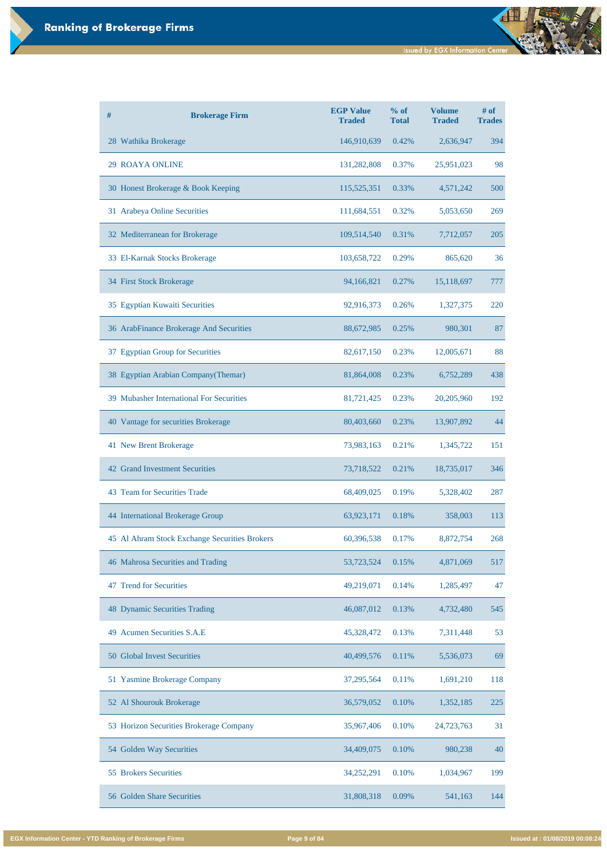| # | <b>Brokerage Firm</b>                         | <b>EGP Value</b><br><b>Traded</b> | % of<br><b>Total</b> | <b>Volume</b><br><b>Traded</b> | $#$ of<br><b>Trades</b> |
|---|-----------------------------------------------|-----------------------------------|----------------------|--------------------------------|-------------------------|
|   | 28 Wathika Brokerage                          | 146,910,639                       | 0.42%                | 2,636,947                      | 394                     |
|   | <b>29 ROAYA ONLINE</b>                        | 131,282,808                       | 0.37%                | 25,951,023                     | 98                      |
|   | 30 Honest Brokerage & Book Keeping            | 115,525,351                       | 0.33%                | 4,571,242                      | 500                     |
|   | 31 Arabeya Online Securities                  | 111,684,551                       | 0.32%                | 5,053,650                      | 269                     |
|   | 32 Mediterranean for Brokerage                | 109,514,540                       | 0.31%                | 7,712,057                      | 205                     |
|   | 33 El-Karnak Stocks Brokerage                 | 103,658,722                       | 0.29%                | 865,620                        | 36                      |
|   | 34 First Stock Brokerage                      | 94,166,821                        | 0.27%                | 15,118,697                     | 777                     |
|   | 35 Egyptian Kuwaiti Securities                | 92,916,373                        | 0.26%                | 1,327,375                      | 220                     |
|   | 36 ArabFinance Brokerage And Securities       | 88,672,985                        | 0.25%                | 980,301                        | 87                      |
|   | 37 Egyptian Group for Securities              | 82,617,150                        | 0.23%                | 12,005,671                     | 88                      |
|   | 38 Egyptian Arabian Company(Themar)           | 81,864,008                        | 0.23%                | 6,752,289                      | 438                     |
|   | 39 Mubasher International For Securities      | 81,721,425                        | 0.23%                | 20,205,960                     | 192                     |
|   | 40 Vantage for securities Brokerage           | 80,403,660                        | 0.23%                | 13,907,892                     | 44                      |
|   | 41 New Brent Brokerage                        | 73,983,163                        | 0.21%                | 1,345,722                      | 151                     |
|   | <b>42 Grand Investment Securities</b>         | 73,718,522                        | 0.21%                | 18,735,017                     | 346                     |
|   | 43 Team for Securities Trade                  | 68,409,025                        | 0.19%                | 5,328,402                      | 287                     |
|   | 44 International Brokerage Group              | 63,923,171                        | 0.18%                | 358,003                        | 113                     |
|   | 45 Al Ahram Stock Exchange Securities Brokers | 60,396,538                        | 0.17%                | 8,872,754                      | 268                     |
|   | 46 Mahrosa Securities and Trading             | 53,723,524                        | 0.15%                | 4,871,069                      | 517                     |
|   | 47 Trend for Securities                       | 49,219,071                        | 0.14%                | 1,285,497                      | 47                      |
|   | <b>48 Dynamic Securities Trading</b>          | 46,087,012                        | 0.13%                | 4,732,480                      | 545                     |

| 49 Acumen Securities S.A.E              | 45,328,472 | 0.13% | 7,311,448  | 53  |
|-----------------------------------------|------------|-------|------------|-----|
| 50 Global Invest Securities             | 40,499,576 | 0.11% | 5,536,073  | 69  |
| 51 Yasmine Brokerage Company            | 37,295,564 | 0.11% | 1,691,210  | 118 |
| 52 Al Shourouk Brokerage                | 36,579,052 | 0.10% | 1,352,185  | 225 |
| 53 Horizon Securities Brokerage Company | 35,967,406 | 0.10% | 24,723,763 | 31  |
| 54 Golden Way Securities                | 34,409,075 | 0.10% | 980,238    | 40  |
| <b>55 Brokers Securities</b>            | 34,252,291 | 0.10% | 1,034,967  | 199 |
| 56 Golden Share Securities              | 31,808,318 | 0.09% | 541,163    | 144 |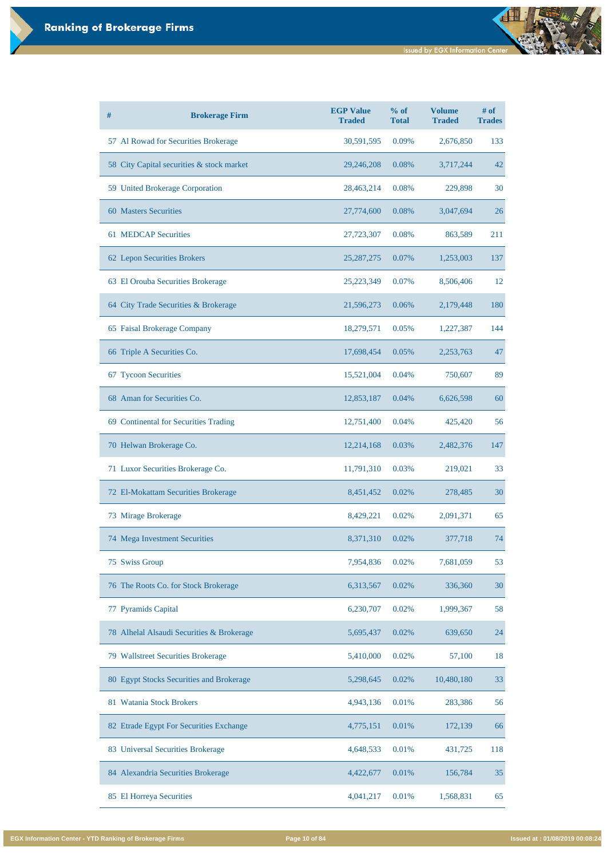| $\#$ | <b>Brokerage Firm</b>                     | <b>EGP Value</b><br><b>Traded</b> | % of<br><b>Total</b> | <b>Volume</b><br><b>Traded</b> | # of<br><b>Trades</b> |
|------|-------------------------------------------|-----------------------------------|----------------------|--------------------------------|-----------------------|
|      | 57 Al Rowad for Securities Brokerage      | 30,591,595                        | 0.09%                | 2,676,850                      | 133                   |
|      | 58 City Capital securities & stock market | 29,246,208                        | 0.08%                | 3,717,244                      | 42                    |
|      | 59 United Brokerage Corporation           | 28,463,214                        | 0.08%                | 229,898                        | 30                    |
|      | <b>60 Masters Securities</b>              | 27,774,600                        | 0.08%                | 3,047,694                      | 26                    |
|      | <b>61 MEDCAP Securities</b>               | 27,723,307                        | 0.08%                | 863,589                        | 211                   |
|      | 62 Lepon Securities Brokers               | 25, 287, 275                      | 0.07%                | 1,253,003                      | 137                   |
|      | 63 El Orouba Securities Brokerage         | 25,223,349                        | 0.07%                | 8,506,406                      | 12                    |
|      | 64 City Trade Securities & Brokerage      | 21,596,273                        | 0.06%                | 2,179,448                      | 180                   |
|      | 65 Faisal Brokerage Company               | 18,279,571                        | 0.05%                | 1,227,387                      | 144                   |
|      | 66 Triple A Securities Co.                | 17,698,454                        | 0.05%                | 2,253,763                      | 47                    |
|      | 67 Tycoon Securities                      | 15,521,004                        | 0.04%                | 750,607                        | 89                    |
|      | 68 Aman for Securities Co.                | 12,853,187                        | 0.04%                | 6,626,598                      | 60                    |
|      | 69 Continental for Securities Trading     | 12,751,400                        | 0.04%                | 425,420                        | 56                    |
|      | 70 Helwan Brokerage Co.                   | 12,214,168                        | 0.03%                | 2,482,376                      | 147                   |
|      | 71 Luxor Securities Brokerage Co.         | 11,791,310                        | 0.03%                | 219,021                        | 33                    |
|      | 72 El-Mokattam Securities Brokerage       | 8,451,452                         | 0.02%                | 278,485                        | 30                    |
|      | 73 Mirage Brokerage                       | 8,429,221                         | 0.02%                | 2,091,371                      | 65                    |
|      | 74 Mega Investment Securities             | 8,371,310                         | 0.02%                | 377,718                        | 74                    |
|      | <b>75 Swiss Group</b>                     | 7,954,836                         | 0.02%                | 7,681,059                      | 53                    |
|      | 76 The Roots Co. for Stock Brokerage      | 6,313,567                         | 0.02%                | 336,360                        | 30                    |
|      | 77 Pyramids Capital                       | 6,230,707                         | 0.02%                | 1,999,367                      | 58                    |

| 78 Alhelal Alsaudi Securities & Brokerage | 5,695,437 | 0.02% | 639,650    | 24  |
|-------------------------------------------|-----------|-------|------------|-----|
| 79 Wallstreet Securities Brokerage        | 5,410,000 | 0.02% | 57,100     | 18  |
| 80 Egypt Stocks Securities and Brokerage  | 5,298,645 | 0.02% | 10,480,180 | 33  |
| <b>Watania Stock Brokers</b><br>81        | 4,943,136 | 0.01% | 283,386    | 56  |
| 82 Etrade Egypt For Securities Exchange   | 4,775,151 | 0.01% | 172,139    | 66  |
| 83 Universal Securities Brokerage         | 4,648,533 | 0.01% | 431,725    | 118 |
| 84 Alexandria Securities Brokerage        | 4,422,677 | 0.01% | 156,784    | 35  |
| 85 El Horreya Securities                  | 4,041,217 | 0.01% | 1,568,831  | 65  |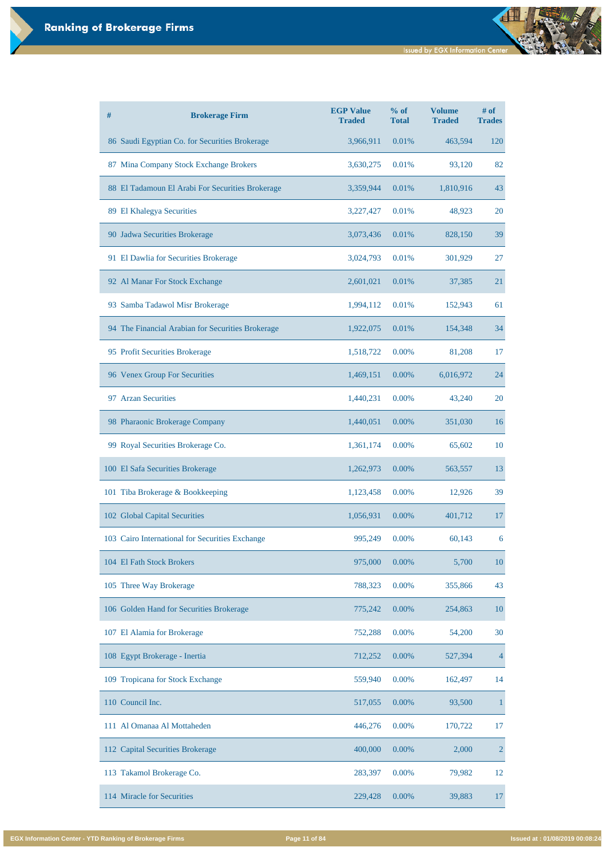| # | <b>Brokerage Firm</b>                             | <b>EGP Value</b><br><b>Traded</b> | % of<br><b>Total</b> | <b>Volume</b><br><b>Traded</b> | $#$ of<br><b>Trades</b> |
|---|---------------------------------------------------|-----------------------------------|----------------------|--------------------------------|-------------------------|
|   | 86 Saudi Egyptian Co. for Securities Brokerage    | 3,966,911                         | 0.01%                | 463,594                        | 120                     |
|   | 87 Mina Company Stock Exchange Brokers            | 3,630,275                         | 0.01%                | 93,120                         | 82                      |
|   | 88 El Tadamoun El Arabi For Securities Brokerage  | 3,359,944                         | 0.01%                | 1,810,916                      | 43                      |
|   | 89 El Khalegya Securities                         | 3,227,427                         | 0.01%                | 48,923                         | 20                      |
|   | 90 Jadwa Securities Brokerage                     | 3,073,436                         | 0.01%                | 828,150                        | 39                      |
|   | 91 El Dawlia for Securities Brokerage             | 3,024,793                         | 0.01%                | 301,929                        | 27                      |
|   | 92 Al Manar For Stock Exchange                    | 2,601,021                         | 0.01%                | 37,385                         | 21                      |
|   | 93 Samba Tadawol Misr Brokerage                   | 1,994,112                         | 0.01%                | 152,943                        | 61                      |
|   | 94 The Financial Arabian for Securities Brokerage | 1,922,075                         | 0.01%                | 154,348                        | 34                      |
|   | 95 Profit Securities Brokerage                    | 1,518,722                         | 0.00%                | 81,208                         | 17                      |
|   | 96 Venex Group For Securities                     | 1,469,151                         | 0.00%                | 6,016,972                      | 24                      |
|   | 97 Arzan Securities                               | 1,440,231                         | 0.00%                | 43,240                         | 20                      |
|   | 98 Pharaonic Brokerage Company                    | 1,440,051                         | 0.00%                | 351,030                        | 16                      |
|   | 99 Royal Securities Brokerage Co.                 | 1,361,174                         | 0.00%                | 65,602                         | 10                      |
|   | 100 El Safa Securities Brokerage                  | 1,262,973                         | 0.00%                | 563,557                        | 13                      |
|   | 101 Tiba Brokerage & Bookkeeping                  | 1,123,458                         | 0.00%                | 12,926                         | 39                      |
|   | 102 Global Capital Securities                     | 1,056,931                         | 0.00%                | 401,712                        | 17                      |
|   | 103 Cairo International for Securities Exchange   | 995,249                           | 0.00%                | 60,143                         | 6                       |
|   | 104 El Fath Stock Brokers                         | 975,000                           | 0.00%                | 5,700                          | <b>10</b>               |
|   | 105 Three Way Brokerage                           | 788,323                           | 0.00%                | 355,866                        | 43                      |
|   | 106 Golden Hand for Securities Brokerage          | 775,242                           | 0.00%                | 254,863                        | <b>10</b>               |

| 107 El Alamia for Brokerage      | 752,288 | $0.00\%$ | 54,200  | 30             |
|----------------------------------|---------|----------|---------|----------------|
| 108 Egypt Brokerage - Inertia    | 712,252 | $0.00\%$ | 527,394 | $\overline{4}$ |
| 109 Tropicana for Stock Exchange | 559,940 | 0.00%    | 162,497 | 14             |
| 110 Council Inc.                 | 517,055 | $0.00\%$ | 93,500  |                |
| 111 Al Omanaa Al Mottaheden      | 446,276 | 0.00%    | 170,722 | 17             |
| 112 Capital Securities Brokerage | 400,000 | $0.00\%$ | 2,000   | $\overline{2}$ |
| 113 Takamol Brokerage Co.        | 283,397 | $0.00\%$ | 79,982  | 12             |
| 114 Miracle for Securities       | 229,428 | $0.00\%$ | 39,883  | 17             |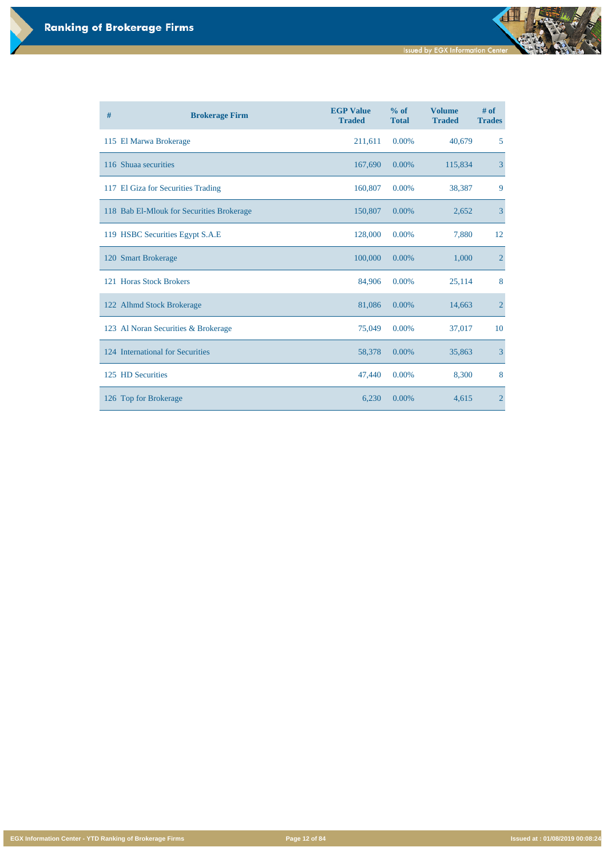đ

**EGX Information Center - YTD Ranking of Brokerage Firms Page 12 of 84 Issued at : 01/08/2019 00:08:24**

| # | <b>Brokerage Firm</b>                     | <b>EGP Value</b><br><b>Traded</b> | % of<br><b>Total</b> | <b>Volume</b><br><b>Traded</b> | # of<br><b>Trades</b> |
|---|-------------------------------------------|-----------------------------------|----------------------|--------------------------------|-----------------------|
|   | 115 El Marwa Brokerage                    | 211,611                           | 0.00%                | 40,679                         | 5                     |
|   | 116 Shuaa securities                      | 167,690                           | 0.00%                | 115,834                        | $\overline{3}$        |
|   | 117 El Giza for Securities Trading        | 160,807                           | 0.00%                | 38,387                         | 9                     |
|   | 118 Bab El-Mlouk for Securities Brokerage | 150,807                           | 0.00%                | 2,652                          | $\overline{3}$        |
|   | 119 HSBC Securities Egypt S.A.E           | 128,000                           | 0.00%                | 7,880                          | 12                    |
|   | 120 Smart Brokerage                       | 100,000                           | 0.00%                | 1,000                          | $\overline{2}$        |
|   | 121 Horas Stock Brokers                   | 84,906                            | 0.00%                | 25,114                         | 8                     |
|   | 122 Alhmd Stock Brokerage                 | 81,086                            | 0.00%                | 14,663                         | $\overline{2}$        |
|   | 123 Al Noran Securities & Brokerage       | 75,049                            | 0.00%                | 37,017                         | 10                    |
|   | 124 International for Securities          | 58,378                            | 0.00%                | 35,863                         | $\overline{3}$        |
|   | 125 HD Securities                         | 47,440                            | 0.00%                | 8,300                          | 8                     |
|   | 126 Top for Brokerage                     | 6,230                             | 0.00%                | 4,615                          | $\overline{2}$        |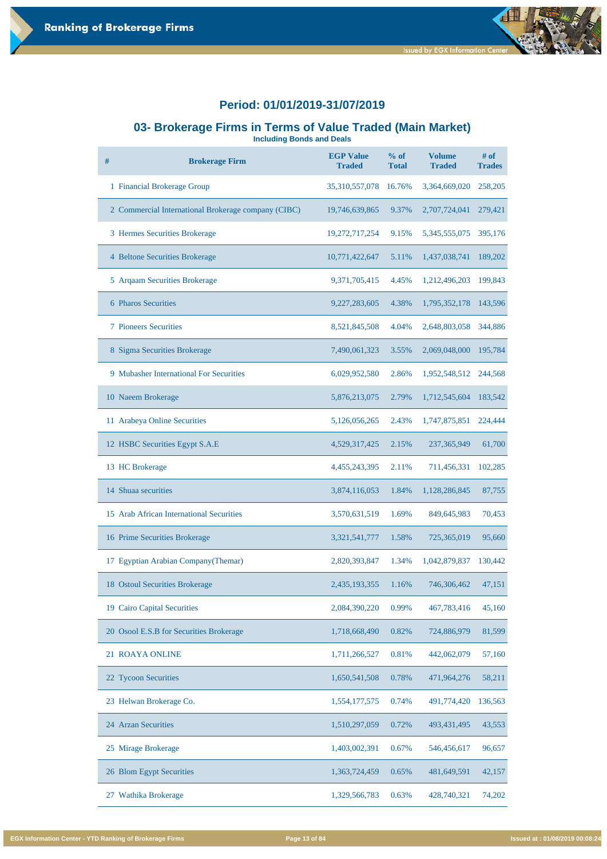

#### **03- Brokerage Firms in Terms of Value Traded (Main Market)**

**Including Bonds and Deals**

| $\#$ | <b>Brokerage Firm</b>                               | <b>EGP Value</b><br><b>Traded</b> | $%$ of<br><b>Total</b> | <b>Volume</b><br><b>Traded</b> | $#$ of<br><b>Trades</b> |
|------|-----------------------------------------------------|-----------------------------------|------------------------|--------------------------------|-------------------------|
|      | 1 Financial Brokerage Group                         | 35,310,557,078                    | 16.76%                 | 3,364,669,020                  | 258,205                 |
|      | 2 Commercial International Brokerage company (CIBC) | 19,746,639,865                    | 9.37%                  | 2,707,724,041                  | 279,421                 |
|      | 3 Hermes Securities Brokerage                       | 19,272,717,254                    | 9.15%                  | 5, 345, 555, 075               | 395,176                 |
|      | 4 Beltone Securities Brokerage                      | 10,771,422,647                    | 5.11%                  | 1,437,038,741                  | 189,202                 |
|      | 5 Arqaam Securities Brokerage                       | 9,371,705,415                     | 4.45%                  | 1,212,496,203                  | 199,843                 |
|      | <b>6 Pharos Securities</b>                          | 9,227,283,605                     | 4.38%                  | 1,795,352,178                  | 143,596                 |
|      | <b>7 Pioneers Securities</b>                        | 8,521,845,508                     | 4.04%                  | 2,648,803,058                  | 344,886                 |
|      | 8 Sigma Securities Brokerage                        | 7,490,061,323                     | 3.55%                  | 2,069,048,000                  | 195,784                 |
|      | 9 Mubasher International For Securities             | 6,029,952,580                     | 2.86%                  | 1,952,548,512                  | 244,568                 |
|      | 10 Naeem Brokerage                                  | 5,876,213,075                     | 2.79%                  | 1,712,545,604                  | 183,542                 |
|      | 11 Arabeya Online Securities                        | 5,126,056,265                     | 2.43%                  | 1,747,875,851                  | 224,444                 |
|      | 12 HSBC Securities Egypt S.A.E                      | 4,529,317,425                     | 2.15%                  | 237, 365, 949                  | 61,700                  |
|      | 13 HC Brokerage                                     | 4,455,243,395                     | 2.11%                  | 711,456,331                    | 102,285                 |
|      | 14 Shuaa securities                                 | 3,874,116,053                     | 1.84%                  | 1,128,286,845                  | 87,755                  |
|      | 15 Arab African International Securities            | 3,570,631,519                     | 1.69%                  | 849,645,983                    | 70,453                  |
|      | 16 Prime Securities Brokerage                       | 3,321,541,777                     | 1.58%                  | 725,365,019                    | 95,660                  |
|      | 17 Egyptian Arabian Company(Themar)                 | 2,820,393,847                     | 1.34%                  | 1,042,879,837                  | 130,442                 |
|      | 18 Ostoul Securities Brokerage                      | 2,435,193,355                     | 1.16%                  | 746,306,462                    | 47,151                  |
|      | 19 Cairo Capital Securities                         | 2,084,390,220                     | 0.99%                  | 467,783,416                    | 45,160                  |

| 20 Osool E.S.B for Securities Brokerage | 1,718,668,490 | 0.82%    | 724,886,979 | 81,599  |
|-----------------------------------------|---------------|----------|-------------|---------|
| <b>21 ROAYA ONLINE</b>                  | 1,711,266,527 | 0.81%    | 442,062,079 | 57,160  |
| 22 Tycoon Securities                    | 1,650,541,508 | 0.78%    | 471,964,276 | 58,211  |
| 23 Helwan Brokerage Co.                 | 1,554,177,575 | 0.74%    | 491,774,420 | 136,563 |
| 24 Arzan Securities                     | 1,510,297,059 | 0.72%    | 493,431,495 | 43,553  |
| 25 Mirage Brokerage                     | 1,403,002,391 | $0.67\%$ | 546,456,617 | 96,657  |
| 26 Blom Egypt Securities                | 1,363,724,459 | 0.65%    | 481,649,591 | 42,157  |
| 27 Wathika Brokerage                    | 1,329,566,783 | 0.63%    | 428,740,321 | 74,202  |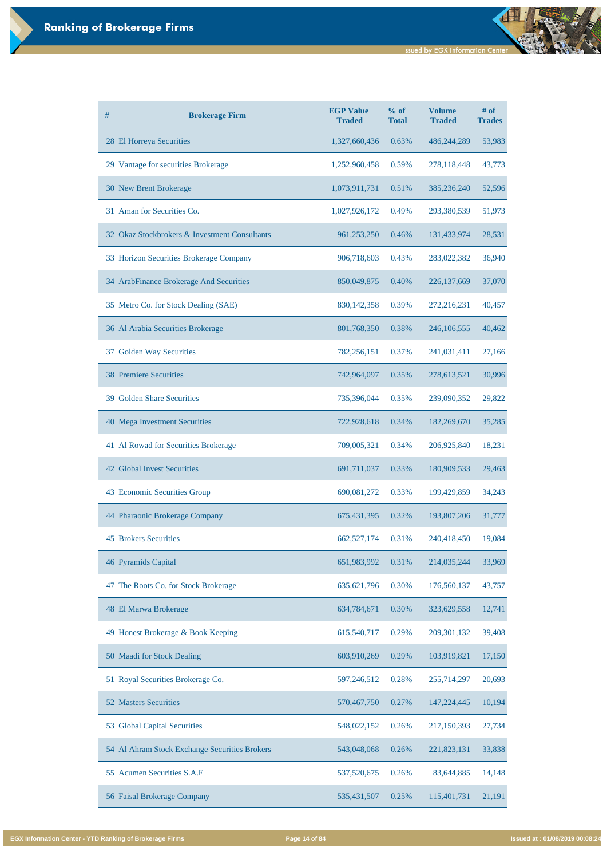| # | <b>Brokerage Firm</b>                         | <b>EGP Value</b><br><b>Traded</b> | % of<br><b>Total</b> | <b>Volume</b><br><b>Traded</b> | $#$ of<br><b>Trades</b> |
|---|-----------------------------------------------|-----------------------------------|----------------------|--------------------------------|-------------------------|
|   | 28 El Horreya Securities                      | 1,327,660,436                     | 0.63%                | 486,244,289                    | 53,983                  |
|   | 29 Vantage for securities Brokerage           | 1,252,960,458                     | 0.59%                | 278,118,448                    | 43,773                  |
|   | 30 New Brent Brokerage                        | 1,073,911,731                     | 0.51%                | 385,236,240                    | 52,596                  |
|   | 31 Aman for Securities Co.                    | 1,027,926,172                     | 0.49%                | 293,380,539                    | 51,973                  |
|   | 32 Okaz Stockbrokers & Investment Consultants | 961,253,250                       | 0.46%                | 131,433,974                    | 28,531                  |
|   | 33 Horizon Securities Brokerage Company       | 906,718,603                       | 0.43%                | 283,022,382                    | 36,940                  |
|   | 34 ArabFinance Brokerage And Securities       | 850,049,875                       | 0.40%                | 226, 137, 669                  | 37,070                  |
|   | 35 Metro Co. for Stock Dealing (SAE)          | 830, 142, 358                     | 0.39%                | 272,216,231                    | 40,457                  |
|   | 36 Al Arabia Securities Brokerage             | 801,768,350                       | 0.38%                | 246, 106, 555                  | 40,462                  |
|   | 37 Golden Way Securities                      | 782,256,151                       | 0.37%                | 241,031,411                    | 27,166                  |
|   | <b>38 Premiere Securities</b>                 | 742,964,097                       | 0.35%                | 278,613,521                    | 30,996                  |
|   | 39 Golden Share Securities                    | 735,396,044                       | 0.35%                | 239,090,352                    | 29,822                  |
|   | 40 Mega Investment Securities                 | 722,928,618                       | 0.34%                | 182,269,670                    | 35,285                  |
|   | 41 Al Rowad for Securities Brokerage          | 709,005,321                       | 0.34%                | 206,925,840                    | 18,231                  |
|   | <b>42 Global Invest Securities</b>            | 691,711,037                       | 0.33%                | 180,909,533                    | 29,463                  |
|   | 43 Economic Securities Group                  | 690,081,272                       | 0.33%                | 199,429,859                    | 34,243                  |
|   | 44 Pharaonic Brokerage Company                | 675, 431, 395                     | 0.32%                | 193,807,206                    | 31,777                  |
|   | <b>45 Brokers Securities</b>                  | 662, 527, 174                     | 0.31%                | 240,418,450                    | 19,084                  |
|   | 46 Pyramids Capital                           | 651,983,992                       | 0.31%                | 214,035,244                    | 33,969                  |
|   | 47 The Roots Co. for Stock Brokerage          | 635, 621, 796                     | 0.30%                | 176,560,137                    | 43,757                  |
|   | 48 El Marwa Brokerage                         | 634,784,671                       | 0.30%                | 323,629,558                    | 12,741                  |

| 49 Honest Brokerage & Book Keeping            | 615,540,717   | 0.29% | 209, 301, 132 | 39,408 |
|-----------------------------------------------|---------------|-------|---------------|--------|
| 50 Maadi for Stock Dealing                    | 603,910,269   | 0.29% | 103,919,821   | 17,150 |
| 51 Royal Securities Brokerage Co.             | 597, 246, 512 | 0.28% | 255,714,297   | 20,693 |
| <b>52 Masters Securities</b>                  | 570,467,750   | 0.27% | 147, 224, 445 | 10,194 |
| 53 Global Capital Securities                  | 548,022,152   | 0.26% | 217,150,393   | 27,734 |
| 54 Al Ahram Stock Exchange Securities Brokers | 543,048,068   | 0.26% | 221,823,131   | 33,838 |
| 55 Acumen Securities S.A.E                    | 537, 520, 675 | 0.26% | 83,644,885    | 14,148 |
| 56 Faisal Brokerage Company                   | 535,431,507   | 0.25% | 115,401,731   | 21,191 |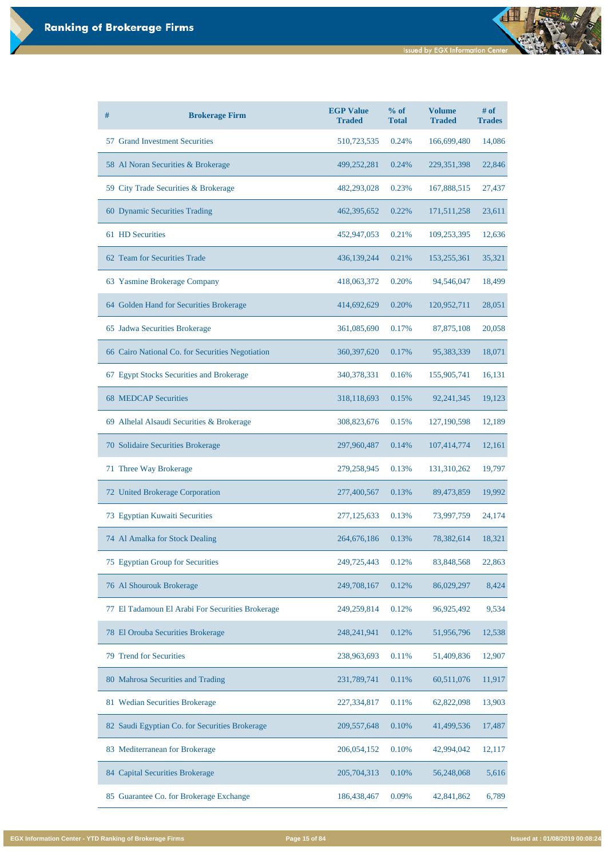| # | <b>Brokerage Firm</b>                            | <b>EGP Value</b><br><b>Traded</b> | $%$ of<br><b>Total</b> | <b>Volume</b><br><b>Traded</b> | $#$ of<br><b>Trades</b> |
|---|--------------------------------------------------|-----------------------------------|------------------------|--------------------------------|-------------------------|
|   | 57 Grand Investment Securities                   | 510,723,535                       | 0.24%                  | 166,699,480                    | 14,086                  |
|   | 58 Al Noran Securities & Brokerage               | 499,252,281                       | 0.24%                  | 229, 351, 398                  | 22,846                  |
|   | 59 City Trade Securities & Brokerage             | 482,293,028                       | 0.23%                  | 167,888,515                    | 27,437                  |
|   | 60 Dynamic Securities Trading                    | 462, 395, 652                     | 0.22%                  | 171,511,258                    | 23,611                  |
|   | 61 HD Securities                                 | 452,947,053                       | 0.21%                  | 109,253,395                    | 12,636                  |
|   | 62 Team for Securities Trade                     | 436,139,244                       | 0.21%                  | 153,255,361                    | 35,321                  |
|   | 63 Yasmine Brokerage Company                     | 418,063,372                       | 0.20%                  | 94,546,047                     | 18,499                  |
|   | 64 Golden Hand for Securities Brokerage          | 414,692,629                       | 0.20%                  | 120,952,711                    | 28,051                  |
|   | 65 Jadwa Securities Brokerage                    | 361,085,690                       | 0.17%                  | 87,875,108                     | 20,058                  |
|   | 66 Cairo National Co. for Securities Negotiation | 360, 397, 620                     | 0.17%                  | 95,383,339                     | 18,071                  |
|   | 67 Egypt Stocks Securities and Brokerage         | 340, 378, 331                     | 0.16%                  | 155,905,741                    | 16,131                  |
|   | <b>68 MEDCAP Securities</b>                      | 318,118,693                       | 0.15%                  | 92,241,345                     | 19,123                  |
|   | 69 Alhelal Alsaudi Securities & Brokerage        | 308,823,676                       | 0.15%                  | 127, 190, 598                  | 12,189                  |
|   | 70 Solidaire Securities Brokerage                | 297,960,487                       | 0.14%                  | 107,414,774                    | 12,161                  |
|   | 71 Three Way Brokerage                           | 279,258,945                       | 0.13%                  | 131,310,262                    | 19,797                  |
|   | 72 United Brokerage Corporation                  | 277,400,567                       | 0.13%                  | 89,473,859                     | 19,992                  |
|   | 73 Egyptian Kuwaiti Securities                   | 277, 125, 633                     | 0.13%                  | 73,997,759                     | 24,174                  |
|   | 74 Al Amalka for Stock Dealing                   | 264,676,186                       | 0.13%                  | 78,382,614                     | 18,321                  |
|   | 75 Egyptian Group for Securities                 | 249,725,443                       | 0.12%                  | 83,848,568                     | 22,863                  |
|   | 76 Al Shourouk Brokerage                         | 249,708,167                       | 0.12%                  | 86,029,297                     | 8,424                   |
|   | 77 El Tadamoun El Arabi For Securities Brokerage | 249,259,814                       | 0.12%                  | 96,925,492                     | 9,534                   |

| 78 El Orouba Securities Brokerage              | 248, 241, 941 | 0.12%    | 51,956,796 | 12,538 |
|------------------------------------------------|---------------|----------|------------|--------|
| 79 Trend for Securities                        | 238,963,693   | 0.11%    | 51,409,836 | 12,907 |
| 80 Mahrosa Securities and Trading              | 231,789,741   | $0.11\%$ | 60,511,076 | 11,917 |
| 81 Wedian Securities Brokerage                 | 227,334,817   | 0.11%    | 62,822,098 | 13,903 |
| 82 Saudi Egyptian Co. for Securities Brokerage | 209, 557, 648 | 0.10%    | 41,499,536 | 17,487 |
| 83 Mediterranean for Brokerage                 | 206,054,152   | 0.10%    | 42,994,042 | 12,117 |
| 84 Capital Securities Brokerage                | 205,704,313   | 0.10%    | 56,248,068 | 5,616  |
| Guarantee Co. for Brokerage Exchange<br>85     | 186,438,467   | 0.09%    | 42,841,862 | 6,789  |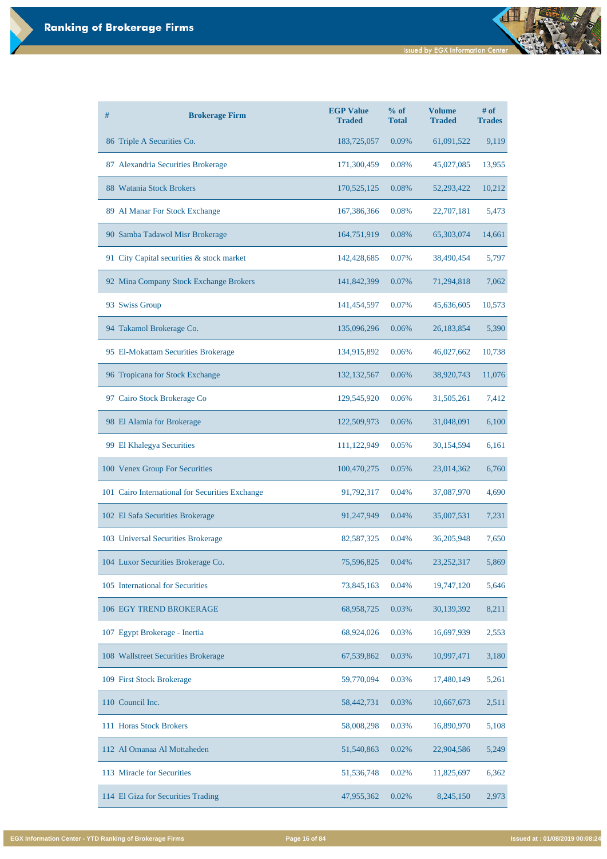đ

| #  | <b>Brokerage Firm</b>                           | <b>EGP Value</b><br><b>Traded</b> | $%$ of<br><b>Total</b> | <b>Volume</b><br><b>Traded</b> | $#$ of<br><b>Trades</b> |
|----|-------------------------------------------------|-----------------------------------|------------------------|--------------------------------|-------------------------|
|    | 86 Triple A Securities Co.                      | 183,725,057                       | 0.09%                  | 61,091,522                     | 9,119                   |
|    | 87 Alexandria Securities Brokerage              | 171,300,459                       | 0.08%                  | 45,027,085                     | 13,955                  |
|    | 88 Watania Stock Brokers                        | 170,525,125                       | 0.08%                  | 52,293,422                     | 10,212                  |
|    | 89 Al Manar For Stock Exchange                  | 167,386,366                       | 0.08%                  | 22,707,181                     | 5,473                   |
|    | 90 Samba Tadawol Misr Brokerage                 | 164,751,919                       | 0.08%                  | 65,303,074                     | 14,661                  |
|    | 91 City Capital securities & stock market       | 142,428,685                       | 0.07%                  | 38,490,454                     | 5,797                   |
|    | 92 Mina Company Stock Exchange Brokers          | 141,842,399                       | 0.07%                  | 71,294,818                     | 7,062                   |
|    | 93 Swiss Group                                  | 141,454,597                       | 0.07%                  | 45,636,605                     | 10,573                  |
|    | 94 Takamol Brokerage Co.                        | 135,096,296                       | 0.06%                  | 26,183,854                     | 5,390                   |
|    | 95 El-Mokattam Securities Brokerage             | 134,915,892                       | 0.06%                  | 46,027,662                     | 10,738                  |
|    | 96 Tropicana for Stock Exchange                 | 132, 132, 567                     | 0.06%                  | 38,920,743                     | 11,076                  |
| 97 | Cairo Stock Brokerage Co                        | 129,545,920                       | 0.06%                  | 31,505,261                     | 7,412                   |
|    | 98 El Alamia for Brokerage                      | 122,509,973                       | 0.06%                  | 31,048,091                     | 6,100                   |
|    | 99 El Khalegya Securities                       | 111,122,949                       | 0.05%                  | 30,154,594                     | 6,161                   |
|    | 100 Venex Group For Securities                  | 100,470,275                       | 0.05%                  | 23,014,362                     | 6,760                   |
|    | 101 Cairo International for Securities Exchange | 91,792,317                        | 0.04%                  | 37,087,970                     | 4,690                   |
|    | 102 El Safa Securities Brokerage                | 91,247,949                        | 0.04%                  | 35,007,531                     | 7,231                   |
|    | 103 Universal Securities Brokerage              | 82,587,325                        | 0.04%                  | 36,205,948                     | 7,650                   |
|    | 104 Luxor Securities Brokerage Co.              | 75,596,825                        | 0.04%                  | 23, 252, 317                   | 5,869                   |
|    | 105 International for Securities                | 73,845,163                        | 0.04%                  | 19,747,120                     | 5,646                   |
|    | 106 EGY TREND BROKERAGE                         | 68,958,725                        | 0.03%                  | 30,139,392                     | 8,211                   |

| 107 Egypt Brokerage - Inertia       | 68,924,026 | 0.03% | 16,697,939 | 2,553 |
|-------------------------------------|------------|-------|------------|-------|
| 108 Wallstreet Securities Brokerage | 67,539,862 | 0.03% | 10,997,471 | 3,180 |
| 109 First Stock Brokerage           | 59,770,094 | 0.03% | 17,480,149 | 5,261 |
| 110 Council Inc.                    | 58,442,731 | 0.03% | 10,667,673 | 2,511 |
| 111 Horas Stock Brokers             | 58,008,298 | 0.03% | 16,890,970 | 5,108 |
| 112 Al Omanaa Al Mottaheden         | 51,540,863 | 0.02% | 22,904,586 | 5,249 |
| 113 Miracle for Securities          | 51,536,748 | 0.02% | 11,825,697 | 6,362 |
| 114 El Giza for Securities Trading  | 47,955,362 | 0.02% | 8,245,150  | 2,973 |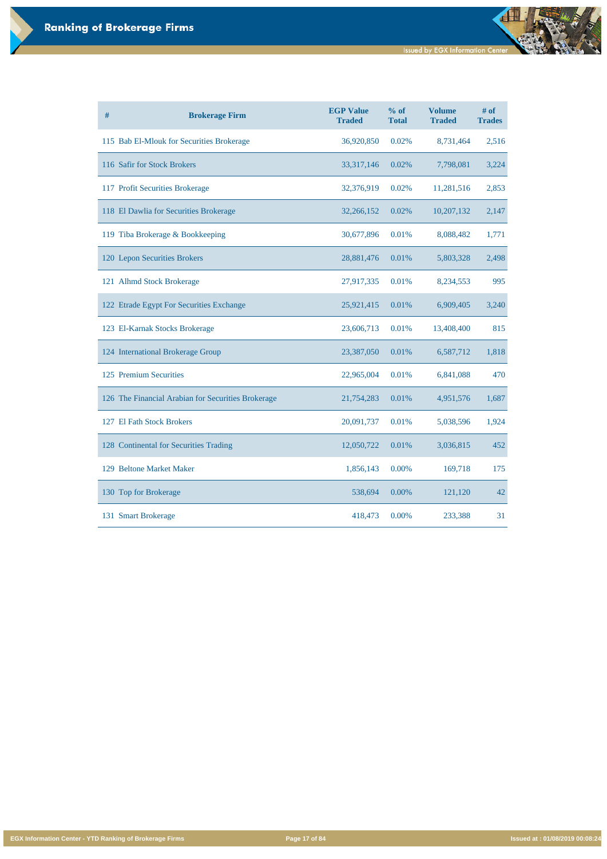**Issued by EGX Information Center** 

đ

**EGX Information Center - YTD Ranking of Brokerage Firms Page 17 of 84 Issued at : 01/08/2019 00:08:24**

| $\#$ | <b>Brokerage Firm</b>                              | <b>EGP Value</b><br><b>Traded</b> | $%$ of<br><b>Total</b> | <b>Volume</b><br><b>Traded</b> | $#$ of<br><b>Trades</b> |
|------|----------------------------------------------------|-----------------------------------|------------------------|--------------------------------|-------------------------|
|      | 115 Bab El-Mlouk for Securities Brokerage          | 36,920,850                        | 0.02%                  | 8,731,464                      | 2,516                   |
|      | 116 Safir for Stock Brokers                        | 33, 317, 146                      | 0.02%                  | 7,798,081                      | 3,224                   |
|      | 117 Profit Securities Brokerage                    | 32,376,919                        | 0.02%                  | 11,281,516                     | 2,853                   |
|      | 118 El Dawlia for Securities Brokerage             | 32,266,152                        | 0.02%                  | 10,207,132                     | 2,147                   |
|      | 119 Tiba Brokerage & Bookkeeping                   | 30,677,896                        | 0.01%                  | 8,088,482                      | 1,771                   |
|      | 120 Lepon Securities Brokers                       | 28,881,476                        | 0.01%                  | 5,803,328                      | 2,498                   |
|      | 121 Alhmd Stock Brokerage                          | 27,917,335                        | 0.01%                  | 8,234,553                      | 995                     |
|      | 122 Etrade Egypt For Securities Exchange           | 25,921,415                        | 0.01%                  | 6,909,405                      | 3,240                   |
|      | 123 El-Karnak Stocks Brokerage                     | 23,606,713                        | 0.01%                  | 13,408,400                     | 815                     |
|      | 124 International Brokerage Group                  | 23,387,050                        | 0.01%                  | 6,587,712                      | 1,818                   |
|      | 125 Premium Securities                             | 22,965,004                        | 0.01%                  | 6,841,088                      | 470                     |
|      | 126 The Financial Arabian for Securities Brokerage | 21,754,283                        | 0.01%                  | 4,951,576                      | 1,687                   |
|      | 127 El Fath Stock Brokers                          | 20,091,737                        | 0.01%                  | 5,038,596                      | 1,924                   |
|      | 128 Continental for Securities Trading             | 12,050,722                        | 0.01%                  | 3,036,815                      | 452                     |
|      | 129 Beltone Market Maker                           | 1,856,143                         | 0.00%                  | 169,718                        | 175                     |
|      | 130 Top for Brokerage                              | 538,694                           | 0.00%                  | 121,120                        | 42                      |
|      | 131 Smart Brokerage                                | 418,473                           | 0.00%                  | 233,388                        | 31                      |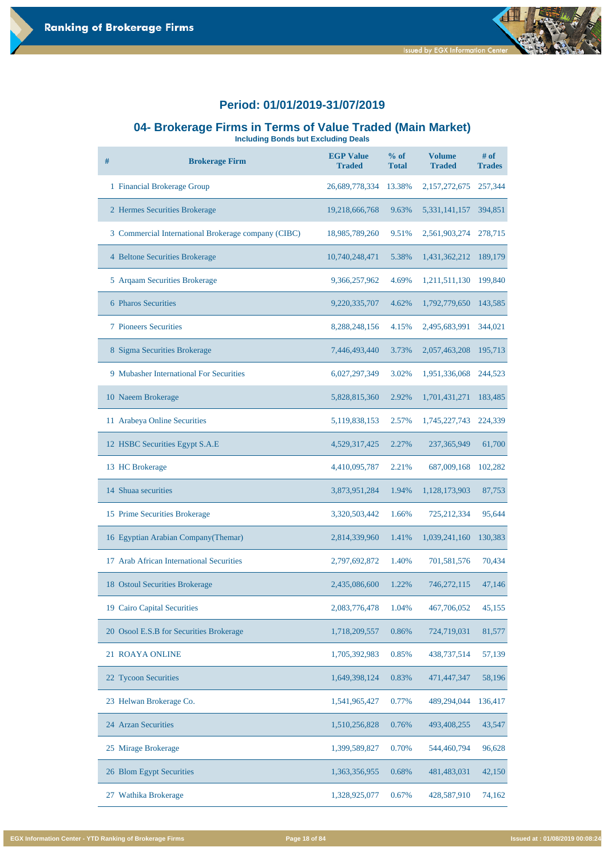

### **Period: 01/01/2019-31/07/2019**

#### **04- Brokerage Firms in Terms of Value Traded (Main Market)**

**Including Bonds but Excluding Deals**

| #  | <b>Brokerage Firm</b>                               | <b>EGP Value</b><br><b>Traded</b> | $%$ of<br><b>Total</b> | <b>Volume</b><br><b>Traded</b> | $#$ of<br><b>Trades</b> |
|----|-----------------------------------------------------|-----------------------------------|------------------------|--------------------------------|-------------------------|
|    | 1 Financial Brokerage Group                         | 26,689,778,334                    | 13.38%                 | 2,157,272,675                  | 257,344                 |
|    | 2 Hermes Securities Brokerage                       | 19,218,666,768                    | 9.63%                  | 5,331,141,157                  | 394,851                 |
|    | 3 Commercial International Brokerage company (CIBC) | 18,985,789,260                    | 9.51%                  | 2,561,903,274                  | 278,715                 |
|    | 4 Beltone Securities Brokerage                      | 10,740,248,471                    | 5.38%                  | 1,431,362,212                  | 189,179                 |
|    | 5 Arqaam Securities Brokerage                       | 9,366,257,962                     | 4.69%                  | 1,211,511,130                  | 199,840                 |
|    | <b>6 Pharos Securities</b>                          | 9,220,335,707                     | 4.62%                  | 1,792,779,650                  | 143,585                 |
|    | <b>7 Pioneers Securities</b>                        | 8,288,248,156                     | 4.15%                  | 2,495,683,991                  | 344,021                 |
|    | 8 Sigma Securities Brokerage                        | 7,446,493,440                     | 3.73%                  | 2,057,463,208                  | 195,713                 |
|    | 9 Mubasher International For Securities             | 6,027,297,349                     | 3.02%                  | 1,951,336,068                  | 244,523                 |
|    | 10 Naeem Brokerage                                  | 5,828,815,360                     | 2.92%                  | 1,701,431,271                  | 183,485                 |
|    | 11 Arabeya Online Securities                        | 5,119,838,153                     | 2.57%                  | 1,745,227,743                  | 224,339                 |
|    | 12 HSBC Securities Egypt S.A.E                      | 4,529,317,425                     | 2.27%                  | 237, 365, 949                  | 61,700                  |
|    | 13 HC Brokerage                                     | 4,410,095,787                     | 2.21%                  | 687,009,168                    | 102,282                 |
|    | 14 Shuaa securities                                 | 3,873,951,284                     | 1.94%                  | 1,128,173,903                  | 87,753                  |
|    | 15 Prime Securities Brokerage                       | 3,320,503,442                     | 1.66%                  | 725, 212, 334                  | 95,644                  |
|    | 16 Egyptian Arabian Company (Themar)                | 2,814,339,960                     | 1.41%                  | 1,039,241,160                  | 130,383                 |
| 17 | <b>Arab African International Securities</b>        | 2,797,692,872                     | 1.40%                  | 701,581,576                    | 70,434                  |
|    | 18 Ostoul Securities Brokerage                      | 2,435,086,600                     | 1.22%                  | 746,272,115                    | 47,146                  |
|    | 19 Cairo Capital Securities                         | 2,083,776,478                     | 1.04%                  | 467,706,052                    | 45,155                  |

| 20 Osool E.S.B for Securities Brokerage | 1,718,209,557 | 0.86% | 724,719,031 | 81,577  |
|-----------------------------------------|---------------|-------|-------------|---------|
| 21 ROAYA ONLINE                         | 1,705,392,983 | 0.85% | 438,737,514 | 57,139  |
| 22 Tycoon Securities                    | 1,649,398,124 | 0.83% | 471,447,347 | 58,196  |
| 23 Helwan Brokerage Co.                 | 1,541,965,427 | 0.77% | 489,294,044 | 136,417 |
| 24 Arzan Securities                     | 1,510,256,828 | 0.76% | 493,408,255 | 43,547  |
| 25 Mirage Brokerage                     | 1,399,589,827 | 0.70% | 544,460,794 | 96,628  |
| 26 Blom Egypt Securities                | 1,363,356,955 | 0.68% | 481,483,031 | 42,150  |
| 27 Wathika Brokerage                    | 1,328,925,077 | 0.67% | 428,587,910 | 74,162  |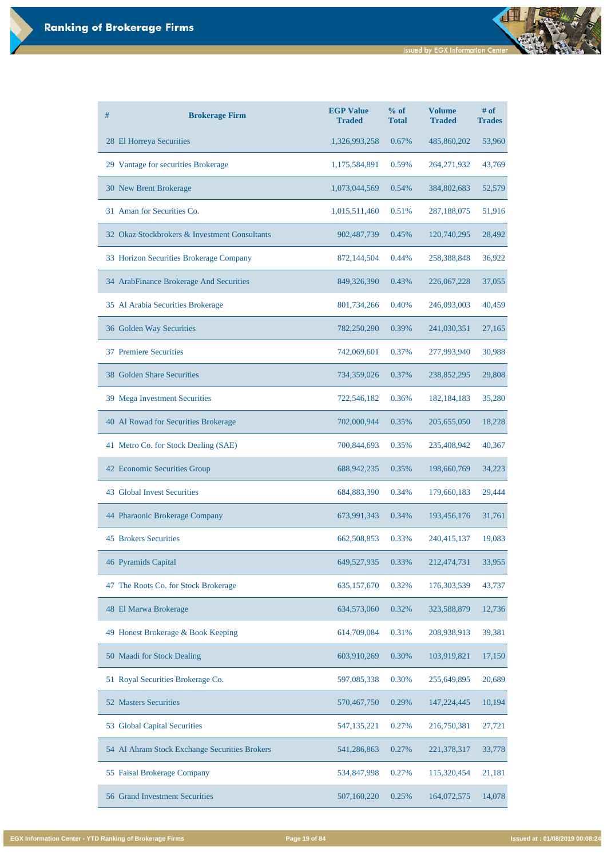| #<br><b>Brokerage Firm</b>                    | <b>EGP Value</b><br><b>Traded</b> | $%$ of<br><b>Total</b> | <b>Volume</b><br><b>Traded</b> | # of<br><b>Trades</b> |
|-----------------------------------------------|-----------------------------------|------------------------|--------------------------------|-----------------------|
| 28 El Horreya Securities                      | 1,326,993,258                     | 0.67%                  | 485,860,202                    | 53,960                |
| 29 Vantage for securities Brokerage           | 1,175,584,891                     | 0.59%                  | 264, 271, 932                  | 43,769                |
| 30 New Brent Brokerage                        | 1,073,044,569                     | 0.54%                  | 384,802,683                    | 52,579                |
| 31 Aman for Securities Co.                    | 1,015,511,460                     | 0.51%                  | 287,188,075                    | 51,916                |
| 32 Okaz Stockbrokers & Investment Consultants | 902,487,739                       | 0.45%                  | 120,740,295                    | 28,492                |
| 33 Horizon Securities Brokerage Company       | 872,144,504                       | 0.44%                  | 258,388,848                    | 36,922                |
| 34 ArabFinance Brokerage And Securities       | 849,326,390                       | 0.43%                  | 226,067,228                    | 37,055                |
| 35 Al Arabia Securities Brokerage             | 801,734,266                       | 0.40%                  | 246,093,003                    | 40,459                |
| 36 Golden Way Securities                      | 782,250,290                       | 0.39%                  | 241,030,351                    | 27,165                |
| <b>37 Premiere Securities</b>                 | 742,069,601                       | 0.37%                  | 277,993,940                    | 30,988                |
| 38 Golden Share Securities                    | 734,359,026                       | 0.37%                  | 238,852,295                    | 29,808                |
| 39 Mega Investment Securities                 | 722,546,182                       | 0.36%                  | 182, 184, 183                  | 35,280                |
| 40 Al Rowad for Securities Brokerage          | 702,000,944                       | 0.35%                  | 205,655,050                    | 18,228                |
| 41 Metro Co. for Stock Dealing (SAE)          | 700,844,693                       | 0.35%                  | 235,408,942                    | 40,367                |
| 42 Economic Securities Group                  | 688, 942, 235                     | 0.35%                  | 198,660,769                    | 34,223                |
| <b>43 Global Invest Securities</b>            | 684, 883, 390                     | 0.34%                  | 179,660,183                    | 29,444                |
| 44 Pharaonic Brokerage Company                | 673,991,343                       | 0.34%                  | 193,456,176                    | 31,761                |
| <b>45 Brokers Securities</b>                  | 662,508,853                       | 0.33%                  | 240,415,137                    | 19,083                |
| 46 Pyramids Capital                           | 649,527,935                       | 0.33%                  | 212,474,731                    | 33,955                |
| 47 The Roots Co. for Stock Brokerage          | 635,157,670                       | 0.32%                  | 176, 303, 539                  | 43,737                |
| 48 El Marwa Brokerage                         | 634,573,060                       | 0.32%                  | 323,588,879                    | 12,736                |

| 49 Honest Brokerage & Book Keeping            | 614,709,084   | 0.31% | 208,938,913   | 39,381 |
|-----------------------------------------------|---------------|-------|---------------|--------|
| 50 Maadi for Stock Dealing                    | 603,910,269   | 0.30% | 103,919,821   | 17,150 |
| 51 Royal Securities Brokerage Co.             | 597,085,338   | 0.30% | 255,649,895   | 20,689 |
| 52 Masters Securities                         | 570,467,750   | 0.29% | 147, 224, 445 | 10,194 |
| 53 Global Capital Securities                  | 547, 135, 221 | 0.27% | 216,750,381   | 27,721 |
| 54 Al Ahram Stock Exchange Securities Brokers | 541,286,863   | 0.27% | 221,378,317   | 33,778 |
| 55 Faisal Brokerage Company                   | 534,847,998   | 0.27% | 115,320,454   | 21,181 |
| 56 Grand Investment Securities                | 507,160,220   | 0.25% | 164,072,575   | 14,078 |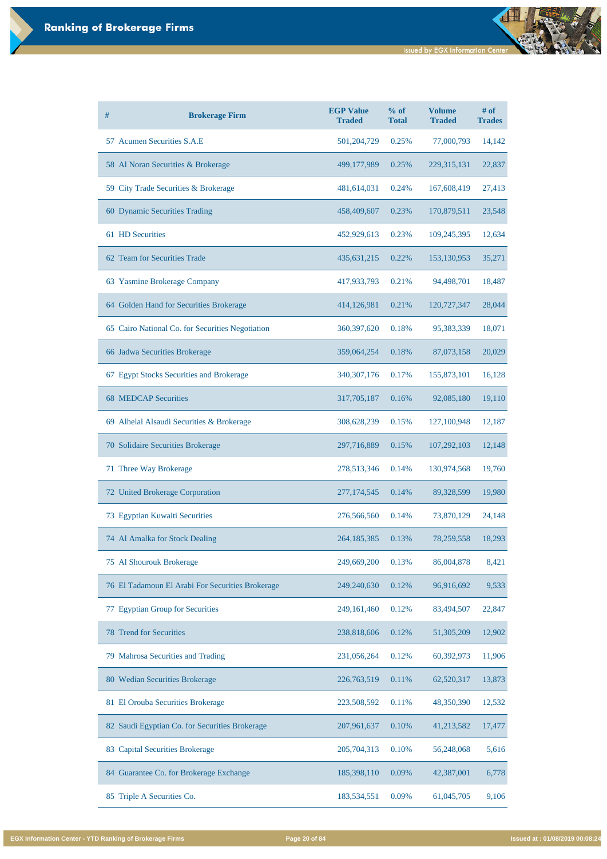| # | <b>Brokerage Firm</b>                            | <b>EGP Value</b><br><b>Traded</b> | $%$ of<br><b>Total</b> | <b>Volume</b><br><b>Traded</b> | # of<br><b>Trades</b> |
|---|--------------------------------------------------|-----------------------------------|------------------------|--------------------------------|-----------------------|
|   | 57 Acumen Securities S.A.E                       | 501,204,729                       | 0.25%                  | 77,000,793                     | 14,142                |
|   | 58 Al Noran Securities & Brokerage               | 499, 177, 989                     | 0.25%                  | 229, 315, 131                  | 22,837                |
|   | 59 City Trade Securities & Brokerage             | 481,614,031                       | 0.24%                  | 167,608,419                    | 27,413                |
|   | 60 Dynamic Securities Trading                    | 458,409,607                       | 0.23%                  | 170,879,511                    | 23,548                |
|   | 61 HD Securities                                 | 452,929,613                       | 0.23%                  | 109,245,395                    | 12,634                |
|   | 62 Team for Securities Trade                     | 435, 631, 215                     | 0.22%                  | 153,130,953                    | 35,271                |
|   | 63 Yasmine Brokerage Company                     | 417,933,793                       | 0.21%                  | 94,498,701                     | 18,487                |
|   | 64 Golden Hand for Securities Brokerage          | 414,126,981                       | 0.21%                  | 120,727,347                    | 28,044                |
|   | 65 Cairo National Co. for Securities Negotiation | 360, 397, 620                     | 0.18%                  | 95,383,339                     | 18,071                |
|   | 66 Jadwa Securities Brokerage                    | 359,064,254                       | 0.18%                  | 87,073,158                     | 20,029                |
|   | 67 Egypt Stocks Securities and Brokerage         | 340, 307, 176                     | 0.17%                  | 155,873,101                    | 16,128                |
|   | <b>68 MEDCAP Securities</b>                      | 317,705,187                       | 0.16%                  | 92,085,180                     | 19,110                |
|   | 69 Alhelal Alsaudi Securities & Brokerage        | 308,628,239                       | 0.15%                  | 127,100,948                    | 12,187                |
|   | 70 Solidaire Securities Brokerage                | 297,716,889                       | 0.15%                  | 107,292,103                    | 12,148                |
|   | 71 Three Way Brokerage                           | 278,513,346                       | 0.14%                  | 130,974,568                    | 19,760                |
|   | 72 United Brokerage Corporation                  | 277, 174, 545                     | 0.14%                  | 89,328,599                     | 19,980                |
|   | 73 Egyptian Kuwaiti Securities                   | 276,566,560                       | 0.14%                  | 73,870,129                     | 24,148                |
|   | 74 Al Amalka for Stock Dealing                   | 264, 185, 385                     | 0.13%                  | 78,259,558                     | 18,293                |
|   | 75 Al Shourouk Brokerage                         | 249,669,200                       | 0.13%                  | 86,004,878                     | 8,421                 |
|   | 76 El Tadamoun El Arabi For Securities Brokerage | 249,240,630                       | 0.12%                  | 96,916,692                     | 9,533                 |
|   | 77 Egyptian Group for Securities                 | 249,161,460                       | 0.12%                  | 83,494,507                     | 22,847                |
|   | <b>78 Trend for Securities</b>                   | 238,818,606                       | 0.12%                  | 51,305,209                     | 12,902                |
|   | 79 Mahrosa Securities and Trading                | 231,056,264                       | 0.12%                  | 60,392,973                     | 11,906                |
|   | 80 Wedian Securities Brokerage                   | 226,763,519                       | 0.11%                  | 62,520,317                     | 13,873                |
|   | 81 El Orouba Securities Brokerage                | 223,508,592                       | 0.11%                  | 48,350,390                     | 12,532                |
|   | 82 Saudi Egyptian Co. for Securities Brokerage   | 207,961,637                       | 0.10%                  | 41,213,582                     | 17,477                |
|   | 83 Capital Securities Brokerage                  | 205,704,313                       | 0.10%                  | 56,248,068                     | 5,616                 |
|   | 84 Guarantee Co. for Brokerage Exchange          | 185,398,110                       | 0.09%                  | 42,387,001                     | 6,778                 |
|   | 85 Triple A Securities Co.                       | 183,534,551                       | 0.09%                  | 61,045,705                     | 9,106                 |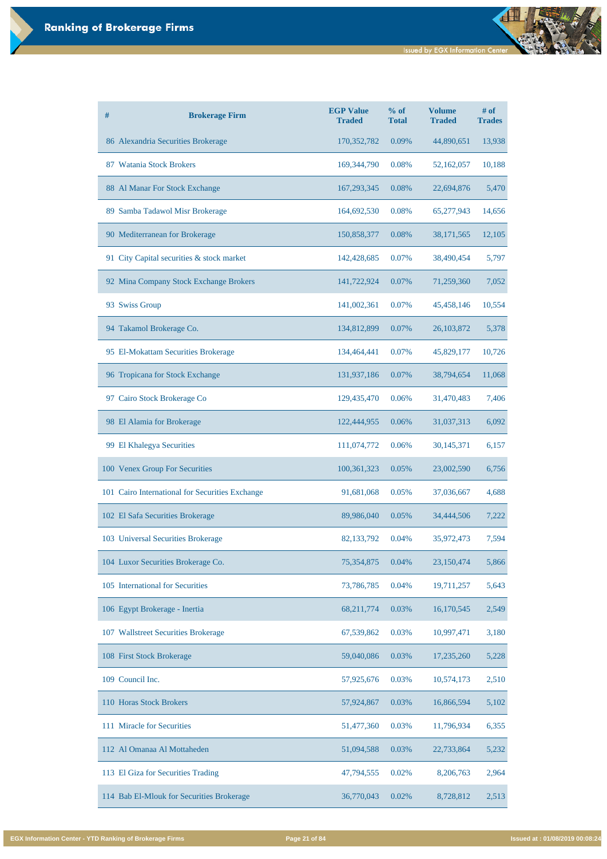| # | <b>Brokerage Firm</b>                           | <b>EGP Value</b><br><b>Traded</b> | $%$ of<br><b>Total</b> | <b>Volume</b><br><b>Traded</b> | $#$ of<br><b>Trades</b> |
|---|-------------------------------------------------|-----------------------------------|------------------------|--------------------------------|-------------------------|
|   | 86 Alexandria Securities Brokerage              | 170,352,782                       | 0.09%                  | 44,890,651                     | 13,938                  |
|   | 87 Watania Stock Brokers                        | 169, 344, 790                     | 0.08%                  | 52,162,057                     | 10,188                  |
|   | 88 Al Manar For Stock Exchange                  | 167,293,345                       | 0.08%                  | 22,694,876                     | 5,470                   |
|   | 89 Samba Tadawol Misr Brokerage                 | 164,692,530                       | 0.08%                  | 65,277,943                     | 14,656                  |
|   | 90 Mediterranean for Brokerage                  | 150,858,377                       | 0.08%                  | 38,171,565                     | 12,105                  |
|   | 91 City Capital securities & stock market       | 142,428,685                       | 0.07%                  | 38,490,454                     | 5,797                   |
|   | 92 Mina Company Stock Exchange Brokers          | 141,722,924                       | 0.07%                  | 71,259,360                     | 7,052                   |
|   | 93 Swiss Group                                  | 141,002,361                       | 0.07%                  | 45,458,146                     | 10,554                  |
|   | 94 Takamol Brokerage Co.                        | 134,812,899                       | 0.07%                  | 26, 103, 872                   | 5,378                   |
|   | 95 El-Mokattam Securities Brokerage             | 134,464,441                       | 0.07%                  | 45,829,177                     | 10,726                  |
|   | 96 Tropicana for Stock Exchange                 | 131,937,186                       | 0.07%                  | 38,794,654                     | 11,068                  |
|   | 97 Cairo Stock Brokerage Co                     | 129,435,470                       | 0.06%                  | 31,470,483                     | 7,406                   |
|   | 98 El Alamia for Brokerage                      | 122,444,955                       | 0.06%                  | 31,037,313                     | 6,092                   |
|   | 99 El Khalegya Securities                       | 111,074,772                       | 0.06%                  | 30,145,371                     | 6,157                   |
|   | 100 Venex Group For Securities                  | 100,361,323                       | 0.05%                  | 23,002,590                     | 6,756                   |
|   | 101 Cairo International for Securities Exchange | 91,681,068                        | 0.05%                  | 37,036,667                     | 4,688                   |
|   | 102 El Safa Securities Brokerage                | 89,986,040                        | 0.05%                  | 34,444,506                     | 7,222                   |
|   | 103 Universal Securities Brokerage              | 82, 133, 792                      | 0.04%                  | 35,972,473                     | 7,594                   |
|   | 104 Luxor Securities Brokerage Co.              | 75,354,875                        | 0.04%                  | 23,150,474                     | 5,866                   |
|   | 105 International for Securities                | 73,786,785                        | 0.04%                  | 19,711,257                     | 5,643                   |
|   | 106 Egypt Brokerage - Inertia                   | 68,211,774                        | 0.03%                  | 16,170,545                     | 2,549                   |

| 107 Wallstreet Securities Brokerage       | 67,539,862 | 0.03% | 10,997,471 | 3,180 |
|-------------------------------------------|------------|-------|------------|-------|
| 108 First Stock Brokerage                 | 59,040,086 | 0.03% | 17,235,260 | 5,228 |
| 109 Council Inc.                          | 57,925,676 | 0.03% | 10,574,173 | 2,510 |
| 110 Horas Stock Brokers                   | 57,924,867 | 0.03% | 16,866,594 | 5,102 |
| 111 Miracle for Securities                | 51,477,360 | 0.03% | 11,796,934 | 6,355 |
| 112 Al Omanaa Al Mottaheden               | 51,094,588 | 0.03% | 22,733,864 | 5,232 |
| 113 El Giza for Securities Trading        | 47,794,555 | 0.02% | 8,206,763  | 2,964 |
| 114 Bab El-Mlouk for Securities Brokerage | 36,770,043 | 0.02% | 8,728,812  | 2,513 |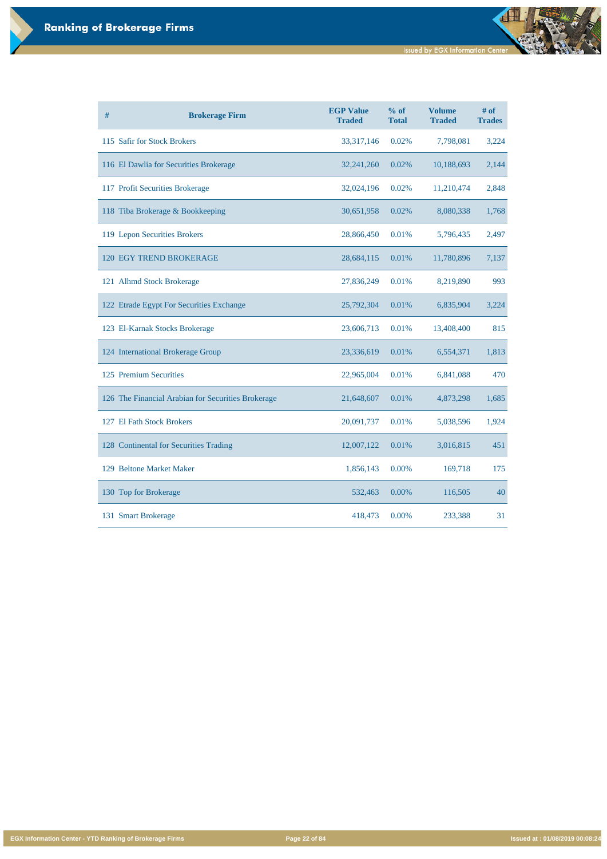đ

**EGX Information Center - YTD Ranking of Brokerage Firms Page 22 of 84 Issued at : 01/08/2019 00:08:24**

| # | <b>Brokerage Firm</b>                              | <b>EGP Value</b><br><b>Traded</b> | % of<br><b>Total</b> | <b>Volume</b><br><b>Traded</b> | $#$ of<br><b>Trades</b> |
|---|----------------------------------------------------|-----------------------------------|----------------------|--------------------------------|-------------------------|
|   | 115 Safir for Stock Brokers                        | 33, 317, 146                      | 0.02%                | 7,798,081                      | 3,224                   |
|   | 116 El Dawlia for Securities Brokerage             | 32,241,260                        | 0.02%                | 10,188,693                     | 2,144                   |
|   | 117 Profit Securities Brokerage                    | 32,024,196                        | 0.02%                | 11,210,474                     | 2,848                   |
|   | 118 Tiba Brokerage & Bookkeeping                   | 30,651,958                        | 0.02%                | 8,080,338                      | 1,768                   |
|   | 119 Lepon Securities Brokers                       | 28,866,450                        | 0.01%                | 5,796,435                      | 2,497                   |
|   | <b>120 EGY TREND BROKERAGE</b>                     | 28,684,115                        | 0.01%                | 11,780,896                     | 7,137                   |
|   | 121 Alhmd Stock Brokerage                          | 27,836,249                        | 0.01%                | 8,219,890                      | 993                     |
|   | 122 Etrade Egypt For Securities Exchange           | 25,792,304                        | 0.01%                | 6,835,904                      | 3,224                   |
|   | 123 El-Karnak Stocks Brokerage                     | 23,606,713                        | 0.01%                | 13,408,400                     | 815                     |
|   | 124 International Brokerage Group                  | 23,336,619                        | 0.01%                | 6,554,371                      | 1,813                   |
|   | 125 Premium Securities                             | 22,965,004                        | 0.01%                | 6,841,088                      | 470                     |
|   | 126 The Financial Arabian for Securities Brokerage | 21,648,607                        | 0.01%                | 4,873,298                      | 1,685                   |
|   | 127 El Fath Stock Brokers                          | 20,091,737                        | 0.01%                | 5,038,596                      | 1,924                   |
|   | 128 Continental for Securities Trading             | 12,007,122                        | 0.01%                | 3,016,815                      | 451                     |
|   | 129 Beltone Market Maker                           | 1,856,143                         | 0.00%                | 169,718                        | 175                     |
|   | 130 Top for Brokerage                              | 532,463                           | 0.00%                | 116,505                        | 40                      |
|   | 131 Smart Brokerage                                | 418,473                           | 0.00%                | 233,388                        | 31                      |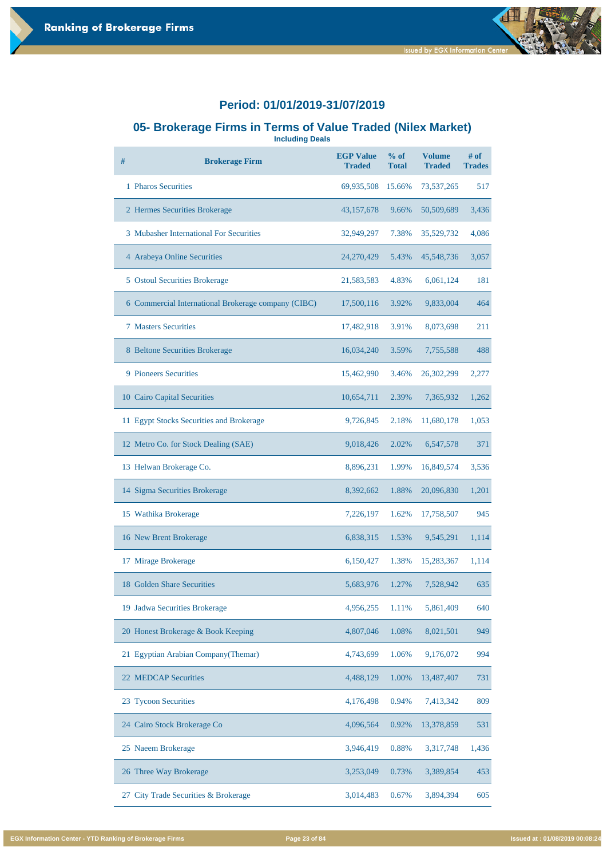# **Period: 01/01/2019-31/07/2019**

# **05- Brokerage Firms in Terms of Value Traded (Nilex Market)**

**Including Deals**

| #  | <b>Brokerage Firm</b>                               | <b>EGP Value</b><br><b>Traded</b> | $%$ of<br><b>Total</b> | <b>Volume</b><br><b>Traded</b> | $#$ of<br><b>Trades</b> |
|----|-----------------------------------------------------|-----------------------------------|------------------------|--------------------------------|-------------------------|
|    | 1 Pharos Securities                                 | 69,935,508                        | 15.66%                 | 73, 537, 265                   | 517                     |
|    | 2 Hermes Securities Brokerage                       | 43,157,678                        | 9.66%                  | 50,509,689                     | 3,436                   |
|    | <b>3</b> Mubasher International For Securities      | 32,949,297                        | 7.38%                  | 35,529,732                     | 4,086                   |
|    | 4 Arabeya Online Securities                         | 24,270,429                        | 5.43%                  | 45,548,736                     | 3,057                   |
|    | 5 Ostoul Securities Brokerage                       | 21,583,583                        | 4.83%                  | 6,061,124                      | 181                     |
|    | 6 Commercial International Brokerage company (CIBC) | 17,500,116                        | 3.92%                  | 9,833,004                      | 464                     |
|    | <b>7 Masters Securities</b>                         | 17,482,918                        | 3.91%                  | 8,073,698                      | 211                     |
|    | 8 Beltone Securities Brokerage                      | 16,034,240                        | 3.59%                  | 7,755,588                      | 488                     |
|    | <b>9 Pioneers Securities</b>                        | 15,462,990                        | 3.46%                  | 26,302,299                     | 2,277                   |
|    | 10 Cairo Capital Securities                         | 10,654,711                        | 2.39%                  | 7,365,932                      | 1,262                   |
|    | 11 Egypt Stocks Securities and Brokerage            | 9,726,845                         | 2.18%                  | 11,680,178                     | 1,053                   |
|    | 12 Metro Co. for Stock Dealing (SAE)                | 9,018,426                         | 2.02%                  | 6,547,578                      | 371                     |
|    | 13 Helwan Brokerage Co.                             | 8,896,231                         | 1.99%                  | 16,849,574                     | 3,536                   |
|    | 14 Sigma Securities Brokerage                       | 8,392,662                         | 1.88%                  | 20,096,830                     | 1,201                   |
|    | 15 Wathika Brokerage                                | 7,226,197                         | 1.62%                  | 17,758,507                     | 945                     |
|    | 16 New Brent Brokerage                              | 6,838,315                         | 1.53%                  | 9,545,291                      | 1,114                   |
|    | 17 Mirage Brokerage                                 | 6,150,427                         | 1.38%                  | 15,283,367                     | 1,114                   |
| 18 | <b>Golden Share Securities</b>                      | 5,683,976                         | 1.27%                  | 7,528,942                      | 635                     |
|    | 19 Jadwa Securities Brokerage                       | 4,956,255                         | 1.11%                  | 5,861,409                      | 640                     |

| 20 Honest Brokerage & Book Keeping   | 4,807,046 | 1.08% | 8,021,501  | 949   |
|--------------------------------------|-----------|-------|------------|-------|
| 21 Egyptian Arabian Company (Themar) | 4,743,699 | 1.06% | 9,176,072  | 994   |
| 22 MEDCAP Securities                 | 4,488,129 | 1.00% | 13,487,407 | 731   |
| 23 Tycoon Securities                 | 4,176,498 | 0.94% | 7,413,342  | 809   |
| 24 Cairo Stock Brokerage Co          | 4,096,564 | 0.92% | 13,378,859 | 531   |
| 25 Naeem Brokerage                   | 3,946,419 | 0.88% | 3,317,748  | 1,436 |
| 26 Three Way Brokerage               | 3,253,049 | 0.73% | 3,389,854  | 453   |
| 27 City Trade Securities & Brokerage | 3,014,483 | 0.67% | 3,894,394  | 605   |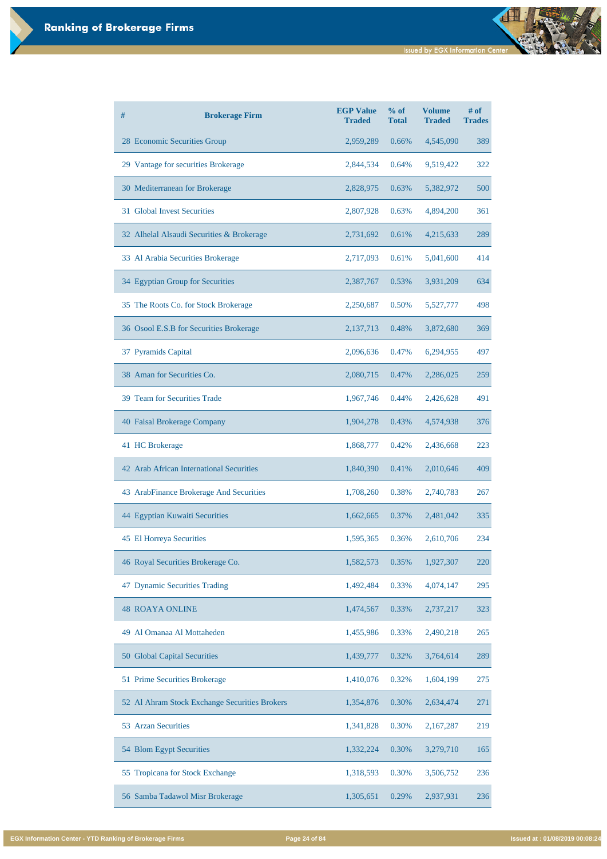**Issued by EGX Information Center** 

| # | <b>Brokerage Firm</b>                           | <b>EGP Value</b><br><b>Traded</b> | % of<br><b>Total</b> | <b>Volume</b><br><b>Traded</b> | $#$ of<br><b>Trades</b> |
|---|-------------------------------------------------|-----------------------------------|----------------------|--------------------------------|-------------------------|
|   | 28 Economic Securities Group                    | 2,959,289                         | 0.66%                | 4,545,090                      | 389                     |
|   | 29 Vantage for securities Brokerage             | 2,844,534                         | 0.64%                | 9,519,422                      | 322                     |
|   | 30 Mediterranean for Brokerage                  | 2,828,975                         | 0.63%                | 5,382,972                      | 500                     |
|   | 31 Global Invest Securities                     | 2,807,928                         | 0.63%                | 4,894,200                      | 361                     |
|   | 32 Alhelal Alsaudi Securities & Brokerage       | 2,731,692                         | 0.61%                | 4,215,633                      | 289                     |
|   | 33 Al Arabia Securities Brokerage               | 2,717,093                         | 0.61%                | 5,041,600                      | 414                     |
|   | 34 Egyptian Group for Securities                | 2,387,767                         | 0.53%                | 3,931,209                      | 634                     |
|   | 35 The Roots Co. for Stock Brokerage            | 2,250,687                         | 0.50%                | 5,527,777                      | 498                     |
|   | 36 Osool E.S.B for Securities Brokerage         | 2,137,713                         | 0.48%                | 3,872,680                      | 369                     |
|   | 37 Pyramids Capital                             | 2,096,636                         | 0.47%                | 6,294,955                      | 497                     |
|   | 38 Aman for Securities Co.                      | 2,080,715                         | 0.47%                | 2,286,025                      | 259                     |
|   | 39 Team for Securities Trade                    | 1,967,746                         | 0.44%                | 2,426,628                      | 491                     |
|   | 40 Faisal Brokerage Company                     | 1,904,278                         | 0.43%                | 4,574,938                      | 376                     |
|   | 41 HC Brokerage                                 | 1,868,777                         | 0.42%                | 2,436,668                      | 223                     |
|   | <b>42 Arab African International Securities</b> | 1,840,390                         | 0.41%                | 2,010,646                      | 409                     |
|   | 43 ArabFinance Brokerage And Securities         | 1,708,260                         | 0.38%                | 2,740,783                      | 267                     |
|   | 44 Egyptian Kuwaiti Securities                  | 1,662,665                         | 0.37%                | 2,481,042                      | 335                     |
|   | 45 El Horreya Securities                        | 1,595,365                         | 0.36%                | 2,610,706                      | 234                     |
|   | 46 Royal Securities Brokerage Co.               | 1,582,573                         | 0.35%                | 1,927,307                      | 220                     |
|   | 47 Dynamic Securities Trading                   | 1,492,484                         | 0.33%                | 4,074,147                      | 295                     |
|   | <b>48 ROAYA ONLINE</b>                          | 1,474,567                         | 0.33%                | 2,737,217                      | 323                     |

| Al Omanaa Al Mottaheden<br>49                 | 1,455,986 | 0.33% | 2,490,218 | 265 |
|-----------------------------------------------|-----------|-------|-----------|-----|
| 50 Global Capital Securities                  | 1,439,777 | 0.32% | 3,764,614 | 289 |
| 51 Prime Securities Brokerage                 | 1,410,076 | 0.32% | 1,604,199 | 275 |
| 52 Al Ahram Stock Exchange Securities Brokers | 1,354,876 | 0.30% | 2,634,474 | 271 |
| 53 Arzan Securities                           | 1,341,828 | 0.30% | 2,167,287 | 219 |
| 54 Blom Egypt Securities                      | 1,332,224 | 0.30% | 3,279,710 | 165 |
| 55 Tropicana for Stock Exchange               | 1,318,593 | 0.30% | 3,506,752 | 236 |
| 56 Samba Tadawol Misr Brokerage               | 1,305,651 | 0.29% | 2,937,931 | 236 |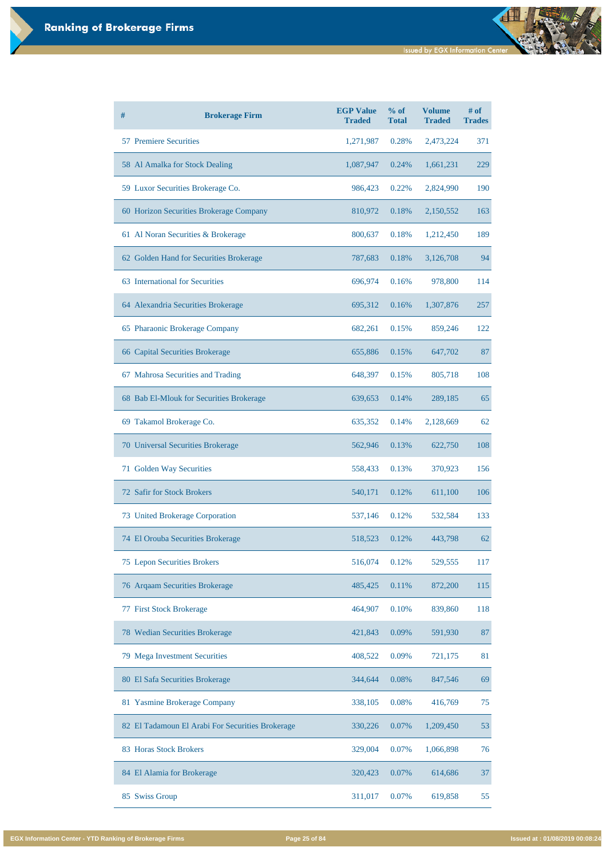| # | <b>Brokerage Firm</b>                    | <b>EGP Value</b><br><b>Traded</b> | $%$ of<br><b>Total</b> | <b>Volume</b><br><b>Traded</b> | $#$ of<br><b>Trades</b> |
|---|------------------------------------------|-----------------------------------|------------------------|--------------------------------|-------------------------|
|   | <b>57 Premiere Securities</b>            | 1,271,987                         | 0.28%                  | 2,473,224                      | 371                     |
|   | 58 Al Amalka for Stock Dealing           | 1,087,947                         | 0.24%                  | 1,661,231                      | 229                     |
|   | 59 Luxor Securities Brokerage Co.        | 986,423                           | 0.22%                  | 2,824,990                      | 190                     |
|   | 60 Horizon Securities Brokerage Company  | 810,972                           | 0.18%                  | 2,150,552                      | 163                     |
|   | 61 Al Noran Securities & Brokerage       | 800,637                           | 0.18%                  | 1,212,450                      | 189                     |
|   | 62 Golden Hand for Securities Brokerage  | 787,683                           | 0.18%                  | 3,126,708                      | 94                      |
|   | 63 International for Securities          | 696,974                           | 0.16%                  | 978,800                        | 114                     |
|   | 64 Alexandria Securities Brokerage       | 695,312                           | 0.16%                  | 1,307,876                      | 257                     |
|   | 65 Pharaonic Brokerage Company           | 682,261                           | 0.15%                  | 859,246                        | 122                     |
|   | 66 Capital Securities Brokerage          | 655,886                           | 0.15%                  | 647,702                        | 87                      |
|   | 67 Mahrosa Securities and Trading        | 648,397                           | 0.15%                  | 805,718                        | 108                     |
|   | 68 Bab El-Mlouk for Securities Brokerage | 639,653                           | 0.14%                  | 289,185                        | 65                      |
|   | 69 Takamol Brokerage Co.                 | 635,352                           | 0.14%                  | 2,128,669                      | 62                      |
|   | 70 Universal Securities Brokerage        | 562,946                           | 0.13%                  | 622,750                        | 108                     |
|   | 71 Golden Way Securities                 | 558,433                           | 0.13%                  | 370,923                        | 156                     |
|   | 72 Safir for Stock Brokers               | 540,171                           | 0.12%                  | 611,100                        | 106                     |
|   | 73 United Brokerage Corporation          | 537,146                           | 0.12%                  | 532,584                        | 133                     |
|   | 74 El Orouba Securities Brokerage        | 518,523                           | 0.12%                  | 443,798                        | 62                      |
|   | <b>75 Lepon Securities Brokers</b>       | 516,074                           | 0.12%                  | 529,555                        | 117                     |
|   | 76 Arqaam Securities Brokerage           | 485,425                           | 0.11%                  | 872,200                        | 115                     |
|   | 77 First Stock Brokerage                 | 464,907                           | 0.10%                  | 839,860                        | 118                     |

| 78 Wedian Securities Brokerage                   | 421,843 | 0.09%    | 591,930   | 87 |
|--------------------------------------------------|---------|----------|-----------|----|
| 79 Mega Investment Securities                    | 408,522 | 0.09%    | 721,175   | 81 |
| 80 El Safa Securities Brokerage                  | 344,644 | 0.08%    | 847,546   | 69 |
| 81 Yasmine Brokerage Company                     | 338,105 | 0.08%    | 416,769   | 75 |
| 82 El Tadamoun El Arabi For Securities Brokerage | 330,226 | 0.07%    | 1,209,450 | 53 |
| 83 Horas Stock Brokers                           | 329,004 | $0.07\%$ | 1,066,898 | 76 |
| 84 El Alamia for Brokerage                       | 320,423 | 0.07%    | 614,686   | 37 |
| <b>Swiss Group</b><br>85                         | 311,017 | $0.07\%$ | 619,858   | 55 |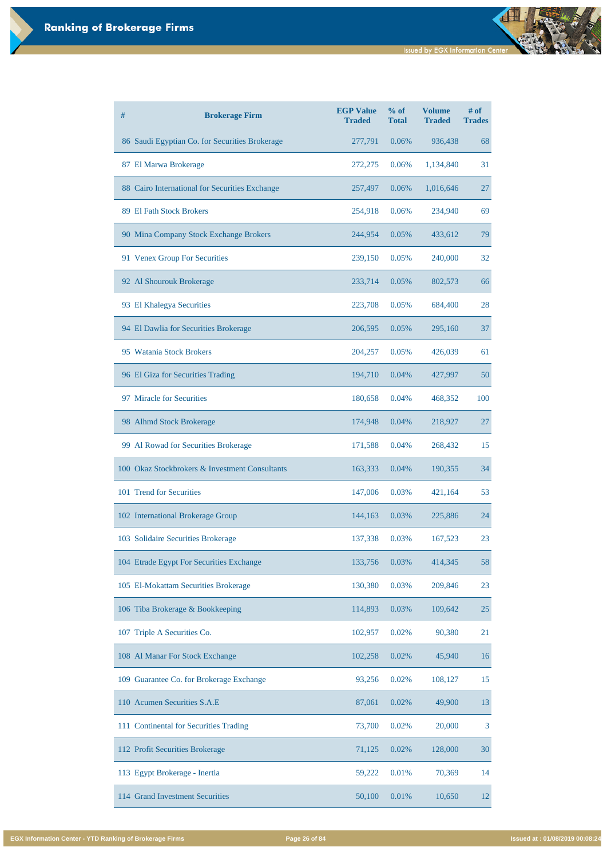đ

| # | <b>Brokerage Firm</b>                          | <b>EGP Value</b><br><b>Traded</b> | % of<br><b>Total</b> | <b>Volume</b><br><b>Traded</b> | # of<br><b>Trades</b> |
|---|------------------------------------------------|-----------------------------------|----------------------|--------------------------------|-----------------------|
|   | 86 Saudi Egyptian Co. for Securities Brokerage | 277,791                           | 0.06%                | 936,438                        | 68                    |
|   | 87 El Marwa Brokerage                          | 272,275                           | 0.06%                | 1,134,840                      | 31                    |
|   | 88 Cairo International for Securities Exchange | 257,497                           | 0.06%                | 1,016,646                      | 27                    |
|   | 89 El Fath Stock Brokers                       | 254,918                           | 0.06%                | 234,940                        | 69                    |
|   | 90 Mina Company Stock Exchange Brokers         | 244,954                           | 0.05%                | 433,612                        | 79                    |
|   | 91 Venex Group For Securities                  | 239,150                           | 0.05%                | 240,000                        | 32                    |
|   | 92 Al Shourouk Brokerage                       | 233,714                           | 0.05%                | 802,573                        | 66                    |
|   | 93 El Khalegya Securities                      | 223,708                           | 0.05%                | 684,400                        | 28                    |
|   | 94 El Dawlia for Securities Brokerage          | 206,595                           | 0.05%                | 295,160                        | 37                    |
|   | 95 Watania Stock Brokers                       | 204,257                           | 0.05%                | 426,039                        | 61                    |
|   | 96 El Giza for Securities Trading              | 194,710                           | 0.04%                | 427,997                        | 50                    |
|   | 97 Miracle for Securities                      | 180,658                           | 0.04%                | 468,352                        | 100                   |
|   | 98 Alhmd Stock Brokerage                       | 174,948                           | 0.04%                | 218,927                        | 27                    |
|   | 99 Al Rowad for Securities Brokerage           | 171,588                           | 0.04%                | 268,432                        | 15                    |
|   | 100 Okaz Stockbrokers & Investment Consultants | 163,333                           | 0.04%                | 190,355                        | 34                    |
|   | 101 Trend for Securities                       | 147,006                           | 0.03%                | 421,164                        | 53                    |
|   | 102 International Brokerage Group              | 144,163                           | 0.03%                | 225,886                        | 24                    |
|   | 103 Solidaire Securities Brokerage             | 137,338                           | 0.03%                | 167,523                        | 23                    |
|   | 104 Etrade Egypt For Securities Exchange       | 133,756                           | 0.03%                | 414,345                        | 58                    |
|   | 105 El-Mokattam Securities Brokerage           | 130,380                           | 0.03%                | 209,846                        | 23                    |
|   | 106 Tiba Brokerage & Bookkeeping               | 114,893                           | 0.03%                | 109,642                        | 25                    |

| 107 Triple A Securities Co.              | 102,957 | 0.02% | 90,380  | 21 |
|------------------------------------------|---------|-------|---------|----|
| 108 Al Manar For Stock Exchange          | 102,258 | 0.02% | 45,940  | 16 |
| 109 Guarantee Co. for Brokerage Exchange | 93,256  | 0.02% | 108,127 | 15 |
| 110 Acumen Securities S.A.E.             | 87,061  | 0.02% | 49,900  | 13 |
| 111 Continental for Securities Trading   | 73,700  | 0.02% | 20,000  | 3  |
| 112 Profit Securities Brokerage          | 71,125  | 0.02% | 128,000 | 30 |
| 113 Egypt Brokerage - Inertia            | 59,222  | 0.01% | 70,369  | 14 |
| 114 Grand Investment Securities          | 50,100  | 0.01% | 10,650  | 12 |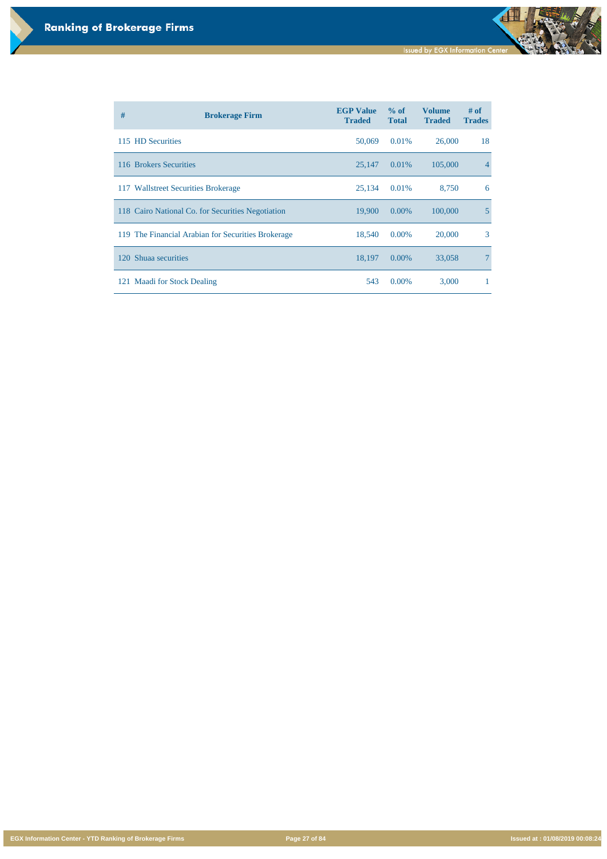đ

**EGX Information Center - YTD Ranking of Brokerage Firms Page 27 of 84 Issued at : 01/08/2019 00:08:24**

| # | <b>Brokerage Firm</b>                              | <b>EGP Value</b><br><b>Traded</b> | % of<br><b>Total</b> | <b>Volume</b><br><b>Traded</b> | # of<br><b>Trades</b> |
|---|----------------------------------------------------|-----------------------------------|----------------------|--------------------------------|-----------------------|
|   | 115 HD Securities                                  | 50,069                            | 0.01%                | 26,000                         | 18                    |
|   | 116 Brokers Securities                             | 25,147                            | 0.01%                | 105,000                        | $\overline{4}$        |
|   | 117 Wallstreet Securities Brokerage                | 25,134                            | 0.01%                | 8,750                          | 6                     |
|   | 118 Cairo National Co. for Securities Negotiation  | 19,900                            | $0.00\%$             | 100,000                        | 5                     |
|   | 119 The Financial Arabian for Securities Brokerage | 18,540                            | $0.00\%$             | 20,000                         | 3                     |
|   | 120 Shuaa securities                               | 18,197                            | $0.00\%$             | 33,058                         | $\overline{7}$        |
|   | 121 Maadi for Stock Dealing                        | 543                               | $0.00\%$             | 3,000                          |                       |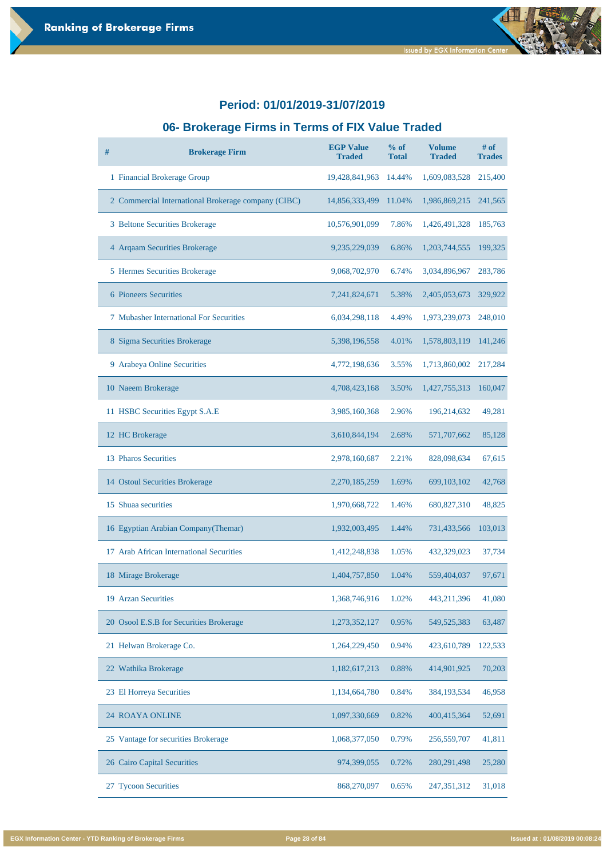## **Period: 01/01/2019-31/07/2019**

# **06- Brokerage Firms in Terms of FIX Value Traded**

| # | <b>Brokerage Firm</b>                               | <b>EGP Value</b><br><b>Traded</b> | $%$ of<br><b>Total</b> | <b>Volume</b><br><b>Traded</b> | $#$ of<br><b>Trades</b> |
|---|-----------------------------------------------------|-----------------------------------|------------------------|--------------------------------|-------------------------|
|   | 1 Financial Brokerage Group                         | 19,428,841,963                    | 14.44%                 | 1,609,083,528                  | 215,400                 |
|   | 2 Commercial International Brokerage company (CIBC) | 14,856,333,499                    | 11.04%                 | 1,986,869,215                  | 241,565                 |
|   | 3 Beltone Securities Brokerage                      | 10,576,901,099                    | 7.86%                  | 1,426,491,328                  | 185,763                 |
|   | 4 Arqaam Securities Brokerage                       | 9,235,229,039                     | 6.86%                  | 1,203,744,555                  | 199,325                 |
|   | 5 Hermes Securities Brokerage                       | 9,068,702,970                     | 6.74%                  | 3,034,896,967                  | 283,786                 |
|   | <b>6 Pioneers Securities</b>                        | 7,241,824,671                     | 5.38%                  | 2,405,053,673                  | 329,922                 |
|   | <b>7 Mubasher International For Securities</b>      | 6,034,298,118                     | 4.49%                  | 1,973,239,073                  | 248,010                 |
|   | 8 Sigma Securities Brokerage                        | 5,398,196,558                     | 4.01%                  | 1,578,803,119                  | 141,246                 |
|   | 9 Arabeya Online Securities                         | 4,772,198,636                     | 3.55%                  | 1,713,860,002                  | 217,284                 |
|   | 10 Naeem Brokerage                                  | 4,708,423,168                     | 3.50%                  | 1,427,755,313                  | 160,047                 |
|   | 11 HSBC Securities Egypt S.A.E                      | 3,985,160,368                     | 2.96%                  | 196,214,632                    | 49,281                  |
|   | 12 HC Brokerage                                     | 3,610,844,194                     | 2.68%                  | 571,707,662                    | 85,128                  |
|   | 13 Pharos Securities                                | 2,978,160,687                     | 2.21%                  | 828,098,634                    | 67,615                  |
|   | 14 Ostoul Securities Brokerage                      | 2,270,185,259                     | 1.69%                  | 699,103,102                    | 42,768                  |
|   | 15 Shuaa securities                                 | 1,970,668,722                     | 1.46%                  | 680, 827, 310                  | 48,825                  |
|   | 16 Egyptian Arabian Company (Themar)                | 1,932,003,495                     | 1.44%                  | 731,433,566                    | 103,013                 |
|   | 17 Arab African International Securities            | 1,412,248,838                     | 1.05%                  | 432,329,023                    | 37,734                  |
|   | 18 Mirage Brokerage                                 | 1,404,757,850                     | 1.04%                  | 559,404,037                    | 97,671                  |
|   | 19 Arzan Securities                                 | 1,368,746,916                     | 1.02%                  | 443,211,396                    | 41,080                  |
|   | 20 Osool E.S.B for Securities Brokerage             | 1,273,352,127                     | 0.95%                  | 549, 525, 383                  | 63,487                  |
|   | 21 Helwan Brokerage Co.                             | 1,264,229,450                     | 0.94%                  | 423,610,789                    | 122,533                 |
|   | 22 Wathika Brokerage                                | 1,182,617,213                     | 0.88%                  | 414,901,925                    | 70,203                  |
|   | 23 El Horreya Securities                            | 1,134,664,780                     | 0.84%                  | 384, 193, 534                  | 46,958                  |
|   | <b>24 ROAYA ONLINE</b>                              | 1,097,330,669                     | 0.82%                  | 400,415,364                    | 52,691                  |
|   | 25 Vantage for securities Brokerage                 | 1,068,377,050                     | 0.79%                  | 256,559,707                    | 41,811                  |
|   | <b>26 Cairo Capital Securities</b>                  | 974,399,055                       | 0.72%                  | 280, 291, 498                  | 25,280                  |
|   | 27 Tycoon Securities                                | 868,270,097                       | 0.65%                  | 247, 351, 312                  | 31,018                  |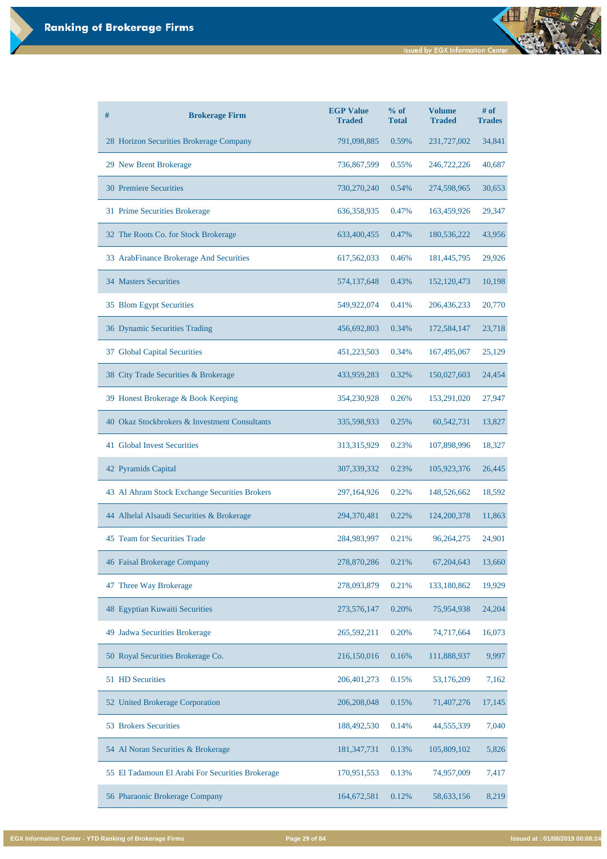| #<br><b>Brokerage Firm</b>                       | <b>EGP Value</b><br><b>Traded</b> | $%$ of<br><b>Total</b> | <b>Volume</b><br><b>Traded</b> | # of<br><b>Trades</b> |
|--------------------------------------------------|-----------------------------------|------------------------|--------------------------------|-----------------------|
| 28 Horizon Securities Brokerage Company          | 791,098,885                       | 0.59%                  | 231,727,002                    | 34,841                |
| 29 New Brent Brokerage                           | 736,867,599                       | 0.55%                  | 246,722,226                    | 40,687                |
| <b>30 Premiere Securities</b>                    | 730,270,240                       | 0.54%                  | 274,598,965                    | 30,653                |
| 31 Prime Securities Brokerage                    | 636, 358, 935                     | 0.47%                  | 163,459,926                    | 29,347                |
| 32 The Roots Co. for Stock Brokerage             | 633,400,455                       | 0.47%                  | 180,536,222                    | 43,956                |
| 33 ArabFinance Brokerage And Securities          | 617,562,033                       | 0.46%                  | 181,445,795                    | 29,926                |
| <b>34 Masters Securities</b>                     | 574,137,648                       | 0.43%                  | 152,120,473                    | 10,198                |
| 35 Blom Egypt Securities                         | 549,922,074                       | 0.41%                  | 206,436,233                    | 20,770                |
| 36 Dynamic Securities Trading                    | 456,692,803                       | 0.34%                  | 172,584,147                    | 23,718                |
| 37 Global Capital Securities                     | 451,223,503                       | 0.34%                  | 167,495,067                    | 25,129                |
| 38 City Trade Securities & Brokerage             | 433,959,283                       | 0.32%                  | 150,027,603                    | 24,454                |
| 39 Honest Brokerage & Book Keeping               | 354,230,928                       | 0.26%                  | 153,291,020                    | 27,947                |
| 40 Okaz Stockbrokers & Investment Consultants    | 335,598,933                       | 0.25%                  | 60,542,731                     | 13,827                |
| 41 Global Invest Securities                      | 313,315,929                       | 0.23%                  | 107,898,996                    | 18,327                |
| 42 Pyramids Capital                              | 307, 339, 332                     | 0.23%                  | 105,923,376                    | 26,445                |
| 43 Al Ahram Stock Exchange Securities Brokers    | 297, 164, 926                     | 0.22%                  | 148,526,662                    | 18,592                |
| 44 Alhelal Alsaudi Securities & Brokerage        | 294,370,481                       | 0.22%                  | 124, 200, 378                  | 11,863                |
| 45 Team for Securities Trade                     | 284,983,997                       | 0.21%                  | 96,264,275                     | 24,901                |
| 46 Faisal Brokerage Company                      | 278,870,286                       | 0.21%                  | 67,204,643                     | 13,660                |
| 47 Three Way Brokerage                           | 278,093,879                       | 0.21%                  | 133,180,862                    | 19,929                |
| 48 Egyptian Kuwaiti Securities                   | 273,576,147                       | 0.20%                  | 75,954,938                     | 24,204                |
| 49 Jadwa Securities Brokerage                    | 265,592,211                       | 0.20%                  | 74,717,664                     | 16,073                |
| 50 Royal Securities Brokerage Co.                | 216,150,016                       | 0.16%                  | 111,888,937                    | 9,997                 |
| 51 HD Securities                                 | 206, 401, 273                     | 0.15%                  | 53,176,209                     | 7,162                 |
| 52 United Brokerage Corporation                  | 206, 208, 048                     | 0.15%                  | 71,407,276                     | 17,145                |
| 53<br><b>Brokers Securities</b>                  | 188,492,530                       | 0.14%                  | 44,555,339                     | 7,040                 |
| 54 Al Noran Securities & Brokerage               | 181, 347, 731                     | 0.13%                  | 105,809,102                    | 5,826                 |
| 55 El Tadamoun El Arabi For Securities Brokerage | 170,951,553                       | 0.13%                  | 74,957,009                     | 7,417                 |
| 56 Pharaonic Brokerage Company                   | 164,672,581                       | 0.12%                  | 58,633,156                     | 8,219                 |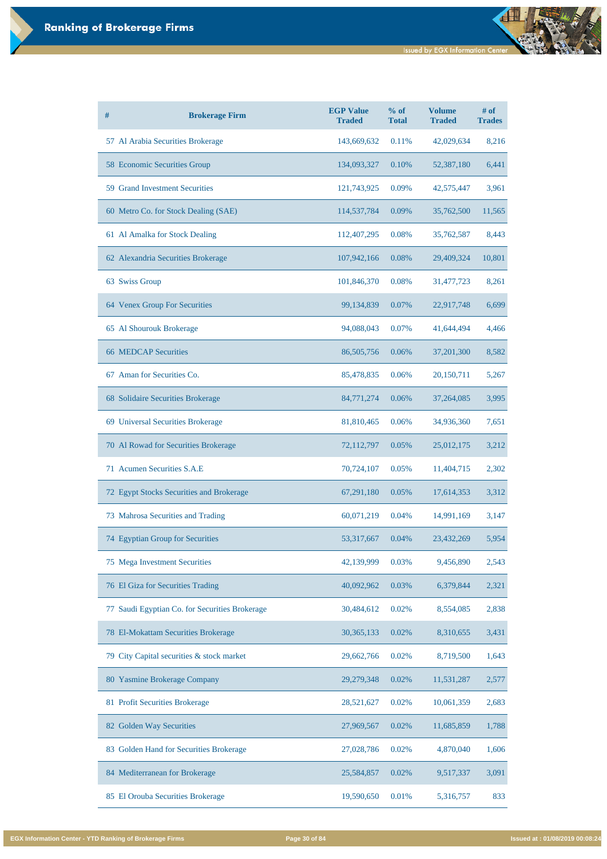| # | <b>Brokerage Firm</b>                          | <b>EGP Value</b><br><b>Traded</b> | % of<br><b>Total</b> | <b>Volume</b><br><b>Traded</b> | $#$ of<br><b>Trades</b> |
|---|------------------------------------------------|-----------------------------------|----------------------|--------------------------------|-------------------------|
|   | 57 Al Arabia Securities Brokerage              | 143,669,632                       | 0.11%                | 42,029,634                     | 8,216                   |
|   | 58 Economic Securities Group                   | 134,093,327                       | 0.10%                | 52,387,180                     | 6,441                   |
|   | 59 Grand Investment Securities                 | 121,743,925                       | 0.09%                | 42,575,447                     | 3,961                   |
|   | 60 Metro Co. for Stock Dealing (SAE)           | 114,537,784                       | 0.09%                | 35,762,500                     | 11,565                  |
|   | 61 Al Amalka for Stock Dealing                 | 112,407,295                       | 0.08%                | 35,762,587                     | 8,443                   |
|   | 62 Alexandria Securities Brokerage             | 107,942,166                       | 0.08%                | 29,409,324                     | 10,801                  |
|   | 63 Swiss Group                                 | 101,846,370                       | 0.08%                | 31,477,723                     | 8,261                   |
|   | 64 Venex Group For Securities                  | 99,134,839                        | 0.07%                | 22,917,748                     | 6,699                   |
|   | 65 Al Shourouk Brokerage                       | 94,088,043                        | 0.07%                | 41,644,494                     | 4,466                   |
|   | <b>66 MEDCAP Securities</b>                    | 86,505,756                        | 0.06%                | 37,201,300                     | 8,582                   |
|   | 67 Aman for Securities Co.                     | 85,478,835                        | 0.06%                | 20,150,711                     | 5,267                   |
|   | 68 Solidaire Securities Brokerage              | 84,771,274                        | 0.06%                | 37,264,085                     | 3,995                   |
|   | 69 Universal Securities Brokerage              | 81,810,465                        | 0.06%                | 34,936,360                     | 7,651                   |
|   | 70 Al Rowad for Securities Brokerage           | 72,112,797                        | 0.05%                | 25,012,175                     | 3,212                   |
|   | 71 Acumen Securities S.A.E                     | 70,724,107                        | 0.05%                | 11,404,715                     | 2,302                   |
|   | 72 Egypt Stocks Securities and Brokerage       | 67,291,180                        | 0.05%                | 17,614,353                     | 3,312                   |
|   | 73 Mahrosa Securities and Trading              | 60,071,219                        | 0.04%                | 14,991,169                     | 3,147                   |
|   | 74 Egyptian Group for Securities               | 53, 317, 667                      | 0.04%                | 23,432,269                     | 5,954                   |
|   | 75 Mega Investment Securities                  | 42,139,999                        | 0.03%                | 9,456,890                      | 2,543                   |
|   | 76 El Giza for Securities Trading              | 40,092,962                        | 0.03%                | 6,379,844                      | 2,321                   |
|   | 77 Saudi Egyptian Co. for Securities Brokerage | 30,484,612                        | 0.02%                | 8,554,085                      | 2,838                   |

| 78 El-Mokattam Securities Brokerage       | 30, 365, 133 | 0.02% | 8,310,655  | 3,431 |
|-------------------------------------------|--------------|-------|------------|-------|
| 79 City Capital securities & stock market | 29,662,766   | 0.02% | 8,719,500  | 1,643 |
| 80 Yasmine Brokerage Company              | 29,279,348   | 0.02% | 11,531,287 | 2,577 |
| 81 Profit Securities Brokerage            | 28,521,627   | 0.02% | 10,061,359 | 2,683 |
| 82 Golden Way Securities                  | 27,969,567   | 0.02% | 11,685,859 | 1,788 |
| 83 Golden Hand for Securities Brokerage   | 27,028,786   | 0.02% | 4,870,040  | 1,606 |
| 84 Mediterranean for Brokerage            | 25,584,857   | 0.02% | 9,517,337  | 3,091 |
| 85 El Orouba Securities Brokerage         | 19,590,650   | 0.01% | 5,316,757  | 833   |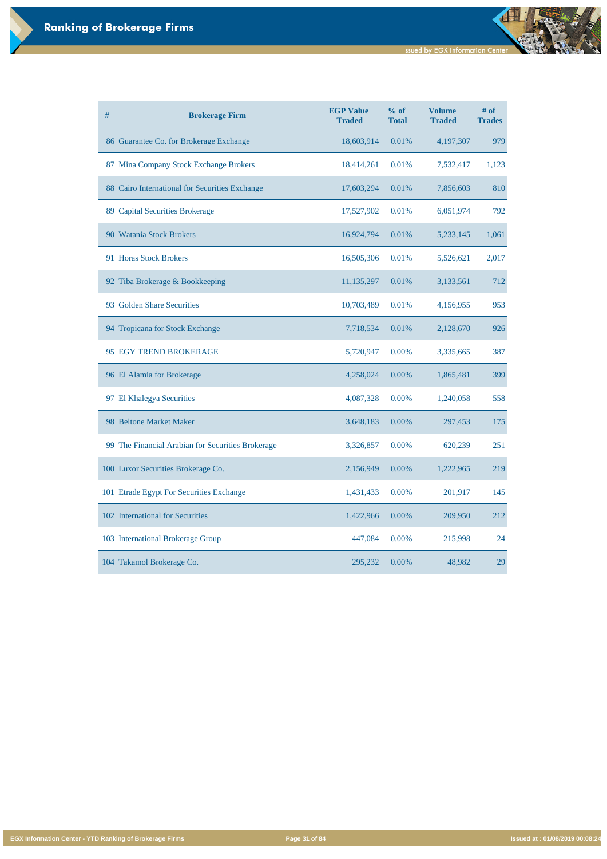**Issued by EGX Information Center** 

đ

**EGX Information Center - YTD Ranking of Brokerage Firms Page 31 of 84 Issued at : 01/08/2019 00:08:24**

| # | <b>Brokerage Firm</b>                             | <b>EGP Value</b><br><b>Traded</b> | % of<br><b>Total</b> | <b>Volume</b><br><b>Traded</b> | # of<br><b>Trades</b> |
|---|---------------------------------------------------|-----------------------------------|----------------------|--------------------------------|-----------------------|
|   | 86 Guarantee Co. for Brokerage Exchange           | 18,603,914                        | 0.01%                | 4,197,307                      | 979                   |
|   | 87 Mina Company Stock Exchange Brokers            | 18,414,261                        | 0.01%                | 7,532,417                      | 1,123                 |
|   | 88 Cairo International for Securities Exchange    | 17,603,294                        | 0.01%                | 7,856,603                      | 810                   |
|   | 89 Capital Securities Brokerage                   | 17,527,902                        | 0.01%                | 6,051,974                      | 792                   |
|   | 90 Watania Stock Brokers                          | 16,924,794                        | 0.01%                | 5, 233, 145                    | 1,061                 |
|   | 91 Horas Stock Brokers                            | 16,505,306                        | 0.01%                | 5,526,621                      | 2,017                 |
|   | 92 Tiba Brokerage & Bookkeeping                   | 11,135,297                        | 0.01%                | 3,133,561                      | 712                   |
|   | 93 Golden Share Securities                        | 10,703,489                        | 0.01%                | 4,156,955                      | 953                   |
|   | 94 Tropicana for Stock Exchange                   | 7,718,534                         | 0.01%                | 2,128,670                      | 926                   |
|   | 95 EGY TREND BROKERAGE                            | 5,720,947                         | 0.00%                | 3,335,665                      | 387                   |
|   | 96 El Alamia for Brokerage                        | 4,258,024                         | 0.00%                | 1,865,481                      | 399                   |
|   | 97 El Khalegya Securities                         | 4,087,328                         | 0.00%                | 1,240,058                      | 558                   |
|   | 98 Beltone Market Maker                           | 3,648,183                         | 0.00%                | 297,453                        | 175                   |
|   | 99 The Financial Arabian for Securities Brokerage | 3,326,857                         | 0.00%                | 620,239                        | 251                   |
|   | 100 Luxor Securities Brokerage Co.                | 2,156,949                         | 0.00%                | 1,222,965                      | 219                   |
|   | 101 Etrade Egypt For Securities Exchange          | 1,431,433                         | 0.00%                | 201,917                        | 145                   |
|   | 102 International for Securities                  | 1,422,966                         | 0.00%                | 209,950                        | 212                   |
|   | 103 International Brokerage Group                 | 447,084                           | 0.00%                | 215,998                        | 24                    |
|   | 104 Takamol Brokerage Co.                         | 295,232                           | 0.00%                | 48,982                         | 29                    |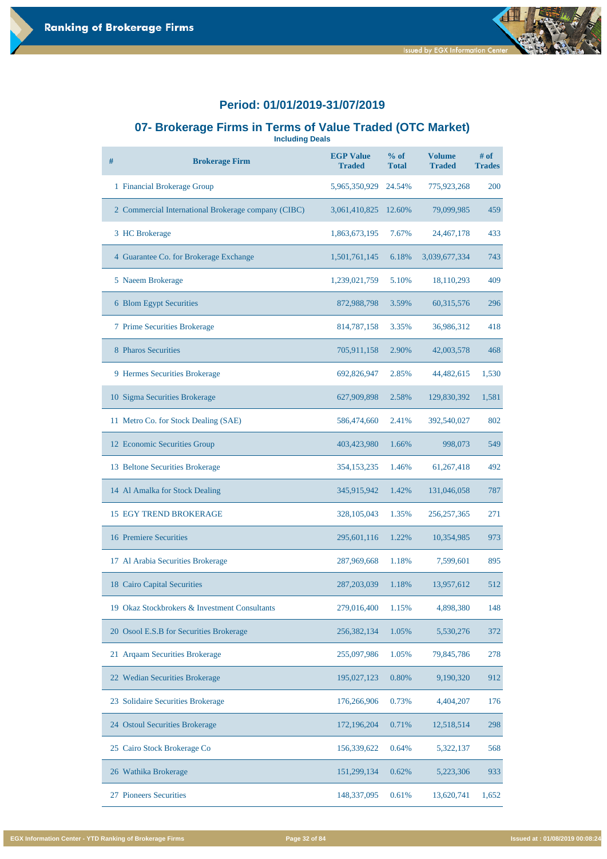# **Period: 01/01/2019-31/07/2019**

### **07- Brokerage Firms in Terms of Value Traded (OTC Market)**

**Including Deals**

| # | <b>Brokerage Firm</b>                               | <b>EGP Value</b><br><b>Traded</b> | % of<br><b>Total</b> | <b>Volume</b><br><b>Traded</b> | # of<br><b>Trades</b> |
|---|-----------------------------------------------------|-----------------------------------|----------------------|--------------------------------|-----------------------|
|   | 1 Financial Brokerage Group                         | 5,965,350,929                     | 24.54%               | 775,923,268                    | 200                   |
|   | 2 Commercial International Brokerage company (CIBC) | 3,061,410,825                     | 12.60%               | 79,099,985                     | 459                   |
|   | 3 HC Brokerage                                      | 1,863,673,195                     | 7.67%                | 24,467,178                     | 433                   |
|   | 4 Guarantee Co. for Brokerage Exchange              | 1,501,761,145                     | 6.18%                | 3,039,677,334                  | 743                   |
|   | 5 Naeem Brokerage                                   | 1,239,021,759                     | 5.10%                | 18,110,293                     | 409                   |
|   | 6 Blom Egypt Securities                             | 872,988,798                       | 3.59%                | 60,315,576                     | 296                   |
|   | 7 Prime Securities Brokerage                        | 814,787,158                       | 3.35%                | 36,986,312                     | 418                   |
|   | 8 Pharos Securities                                 | 705,911,158                       | 2.90%                | 42,003,578                     | 468                   |
|   | 9 Hermes Securities Brokerage                       | 692,826,947                       | 2.85%                | 44,482,615                     | 1,530                 |
|   | 10 Sigma Securities Brokerage                       | 627,909,898                       | 2.58%                | 129,830,392                    | 1,581                 |
|   | 11 Metro Co. for Stock Dealing (SAE)                | 586,474,660                       | 2.41%                | 392,540,027                    | 802                   |
|   | 12 Economic Securities Group                        | 403,423,980                       | 1.66%                | 998,073                        | 549                   |
|   | 13 Beltone Securities Brokerage                     | 354, 153, 235                     | 1.46%                | 61,267,418                     | 492                   |
|   | 14 Al Amalka for Stock Dealing                      | 345,915,942                       | 1.42%                | 131,046,058                    | 787                   |
|   | <b>15 EGY TREND BROKERAGE</b>                       | 328, 105, 043                     | 1.35%                | 256, 257, 365                  | 271                   |
|   | <b>16 Premiere Securities</b>                       | 295,601,116                       | 1.22%                | 10,354,985                     | 973                   |
|   | 17 Al Arabia Securities Brokerage                   | 287,969,668                       | 1.18%                | 7,599,601                      | 895                   |
|   | 18 Cairo Capital Securities                         | 287, 203, 039                     | 1.18%                | 13,957,612                     | 512                   |
|   | 19 Okaz Stockbrokers & Investment Consultants       | 279,016,400                       | 1.15%                | 4,898,380                      | 148                   |

| 20 Osool E.S.B for Securities Brokerage | 256,382,134   | 1.05% | 5,530,276  | 372   |
|-----------------------------------------|---------------|-------|------------|-------|
| 21 Argaam Securities Brokerage          | 255,097,986   | 1.05% | 79,845,786 | 278   |
| 22 Wedian Securities Brokerage          | 195,027,123   | 0.80% | 9,190,320  | 912   |
| 23 Solidaire Securities Brokerage       | 176,266,906   | 0.73% | 4,404,207  | 176   |
| 24 Ostoul Securities Brokerage          | 172,196,204   | 0.71% | 12,518,514 | 298   |
| 25 Cairo Stock Brokerage Co             | 156,339,622   | 0.64% | 5,322,137  | 568   |
| 26 Wathika Brokerage                    | 151,299,134   | 0.62% | 5,223,306  | 933   |
| <b>Pioneers Securities</b><br>27        | 148, 337, 095 | 0.61% | 13,620,741 | 1,652 |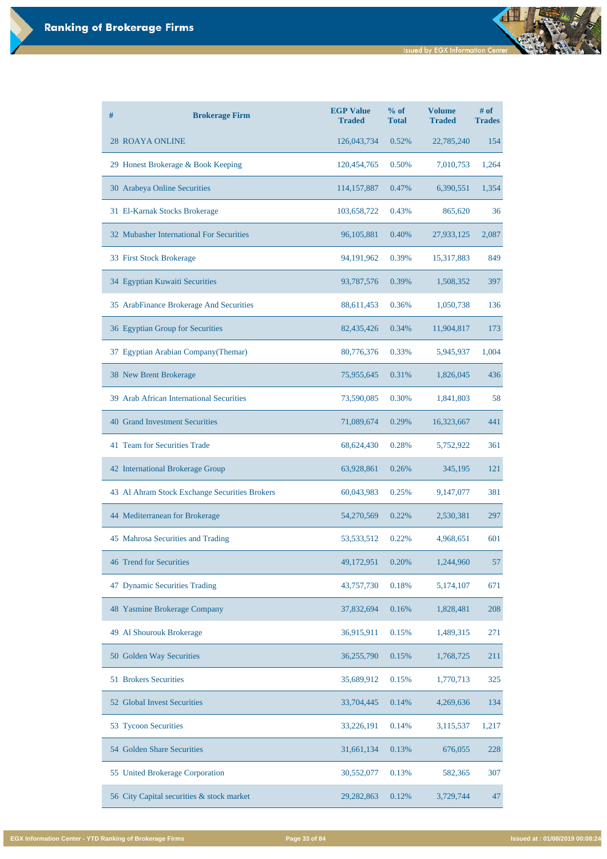| # | <b>Brokerage Firm</b>                         | <b>EGP Value</b><br><b>Traded</b> | % of<br><b>Total</b> | <b>Volume</b><br><b>Traded</b> | # of<br><b>Trades</b> |
|---|-----------------------------------------------|-----------------------------------|----------------------|--------------------------------|-----------------------|
|   | <b>28 ROAYA ONLINE</b>                        | 126,043,734                       | 0.52%                | 22,785,240                     | 154                   |
|   | 29 Honest Brokerage & Book Keeping            | 120,454,765                       | 0.50%                | 7,010,753                      | 1,264                 |
|   | 30 Arabeya Online Securities                  | 114, 157, 887                     | 0.47%                | 6,390,551                      | 1,354                 |
|   | 31 El-Karnak Stocks Brokerage                 | 103,658,722                       | 0.43%                | 865,620                        | 36                    |
|   | 32 Mubasher International For Securities      | 96,105,881                        | 0.40%                | 27,933,125                     | 2,087                 |
|   | 33 First Stock Brokerage                      | 94,191,962                        | 0.39%                | 15,317,883                     | 849                   |
|   | 34 Egyptian Kuwaiti Securities                | 93,787,576                        | 0.39%                | 1,508,352                      | 397                   |
|   | 35 ArabFinance Brokerage And Securities       | 88,611,453                        | 0.36%                | 1,050,738                      | 136                   |
|   | 36 Egyptian Group for Securities              | 82,435,426                        | 0.34%                | 11,904,817                     | 173                   |
|   | 37 Egyptian Arabian Company (Themar)          | 80,776,376                        | 0.33%                | 5,945,937                      | 1,004                 |
|   | 38 New Brent Brokerage                        | 75,955,645                        | 0.31%                | 1,826,045                      | 436                   |
|   | 39 Arab African International Securities      | 73,590,085                        | 0.30%                | 1,841,803                      | 58                    |
|   | <b>40 Grand Investment Securities</b>         | 71,089,674                        | 0.29%                | 16,323,667                     | 441                   |
|   | 41 Team for Securities Trade                  | 68,624,430                        | 0.28%                | 5,752,922                      | 361                   |
|   | 42 International Brokerage Group              | 63,928,861                        | 0.26%                | 345,195                        | 121                   |
|   | 43 Al Ahram Stock Exchange Securities Brokers | 60,043,983                        | 0.25%                | 9,147,077                      | 381                   |
|   | 44 Mediterranean for Brokerage                | 54,270,569                        | 0.22%                | 2,530,381                      | 297                   |
|   | 45 Mahrosa Securities and Trading             | 53, 533, 512                      | 0.22%                | 4,968,651                      | 601                   |
|   | <b>46 Trend for Securities</b>                | 49,172,951                        | 0.20%                | 1,244,960                      | 57                    |
|   | 47 Dynamic Securities Trading                 | 43,757,730                        | 0.18%                | 5,174,107                      | 671                   |
|   | 48 Yasmine Brokerage Company                  | 37,832,694                        | 0.16%                | 1,828,481                      | 208                   |

| <b>Al Shourouk Brokerage</b><br>49        | 36,915,911   | 0.15% | 1,489,315 | 271   |
|-------------------------------------------|--------------|-------|-----------|-------|
| 50 Golden Way Securities                  | 36,255,790   | 0.15% | 1,768,725 | 211   |
| <b>51 Brokers Securities</b>              | 35,689,912   | 0.15% | 1,770,713 | 325   |
| 52 Global Invest Securities               | 33,704,445   | 0.14% | 4,269,636 | 134   |
| 53 Tycoon Securities                      | 33,226,191   | 0.14% | 3,115,537 | 1,217 |
| 54 Golden Share Securities                | 31,661,134   | 0.13% | 676,055   | 228   |
| 55 United Brokerage Corporation           | 30,552,077   | 0.13% | 582,365   | 307   |
| 56 City Capital securities & stock market | 29, 282, 863 | 0.12% | 3,729,744 | 47    |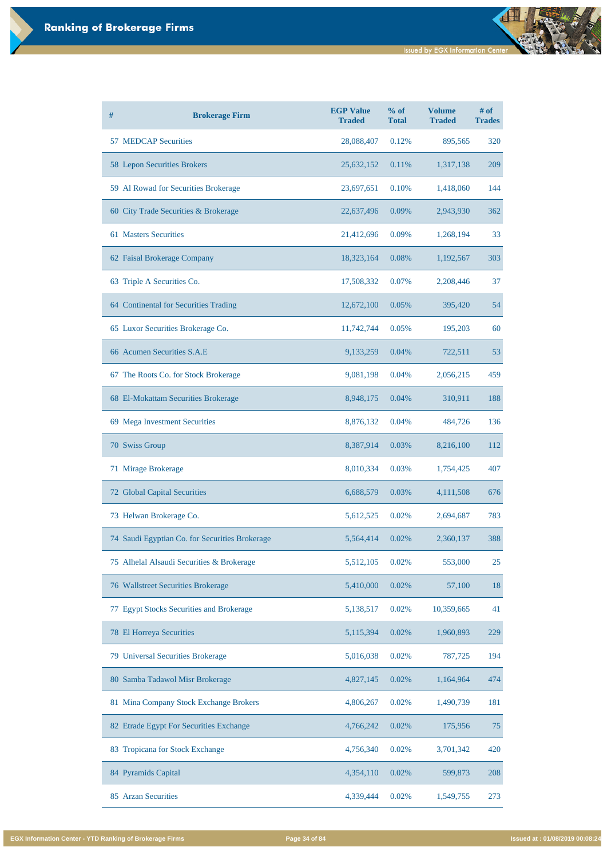| $\#$ | <b>Brokerage Firm</b>                          | <b>EGP Value</b><br><b>Traded</b> | $%$ of<br><b>Total</b> | <b>Volume</b><br><b>Traded</b> | $#$ of<br><b>Trades</b> |
|------|------------------------------------------------|-----------------------------------|------------------------|--------------------------------|-------------------------|
|      | <b>57 MEDCAP Securities</b>                    | 28,088,407                        | 0.12%                  | 895,565                        | 320                     |
|      | 58 Lepon Securities Brokers                    | 25,632,152                        | 0.11%                  | 1,317,138                      | 209                     |
|      | 59 Al Rowad for Securities Brokerage           | 23,697,651                        | 0.10%                  | 1,418,060                      | 144                     |
|      | 60 City Trade Securities & Brokerage           | 22,637,496                        | 0.09%                  | 2,943,930                      | 362                     |
|      | 61 Masters Securities                          | 21,412,696                        | 0.09%                  | 1,268,194                      | 33                      |
|      | 62 Faisal Brokerage Company                    | 18,323,164                        | 0.08%                  | 1,192,567                      | 303                     |
|      | 63 Triple A Securities Co.                     | 17,508,332                        | 0.07%                  | 2,208,446                      | 37                      |
|      | 64 Continental for Securities Trading          | 12,672,100                        | 0.05%                  | 395,420                        | 54                      |
|      | 65 Luxor Securities Brokerage Co.              | 11,742,744                        | 0.05%                  | 195,203                        | 60                      |
|      | 66 Acumen Securities S.A.E                     | 9,133,259                         | 0.04%                  | 722,511                        | 53                      |
|      | 67 The Roots Co. for Stock Brokerage           | 9,081,198                         | 0.04%                  | 2,056,215                      | 459                     |
|      | 68 El-Mokattam Securities Brokerage            | 8,948,175                         | 0.04%                  | 310,911                        | 188                     |
|      | 69 Mega Investment Securities                  | 8,876,132                         | 0.04%                  | 484,726                        | 136                     |
|      | 70 Swiss Group                                 | 8,387,914                         | 0.03%                  | 8,216,100                      | 112                     |
|      | 71 Mirage Brokerage                            | 8,010,334                         | 0.03%                  | 1,754,425                      | 407                     |
|      | <b>72 Global Capital Securities</b>            | 6,688,579                         | 0.03%                  | 4,111,508                      | 676                     |
|      | 73 Helwan Brokerage Co.                        | 5,612,525                         | 0.02%                  | 2,694,687                      | 783                     |
|      | 74 Saudi Egyptian Co. for Securities Brokerage | 5,564,414                         | 0.02%                  | 2,360,137                      | 388                     |
|      | 75 Alhelal Alsaudi Securities & Brokerage      | 5,512,105                         | 0.02%                  | 553,000                        | 25                      |
|      | 76 Wallstreet Securities Brokerage             | 5,410,000                         | 0.02%                  | 57,100                         | 18                      |
|      | 77 Egypt Stocks Securities and Brokerage       | 5,138,517                         | 0.02%                  | 10,359,665                     | 41                      |

| 78 El Horreya Securities                | 5,115,394 | 0.02% | 1,960,893 | 229 |
|-----------------------------------------|-----------|-------|-----------|-----|
| 79 Universal Securities Brokerage       | 5,016,038 | 0.02% | 787,725   | 194 |
| 80 Samba Tadawol Misr Brokerage         | 4,827,145 | 0.02% | 1,164,964 | 474 |
| 81 Mina Company Stock Exchange Brokers  | 4,806,267 | 0.02% | 1,490,739 | 181 |
| 82 Etrade Egypt For Securities Exchange | 4,766,242 | 0.02% | 175,956   | 75  |
| 83 Tropicana for Stock Exchange         | 4,756,340 | 0.02% | 3,701,342 | 420 |
| 84 Pyramids Capital                     | 4,354,110 | 0.02% | 599,873   | 208 |
| <b>Arzan Securities</b><br>85           | 4,339,444 | 0.02% | 1,549,755 | 273 |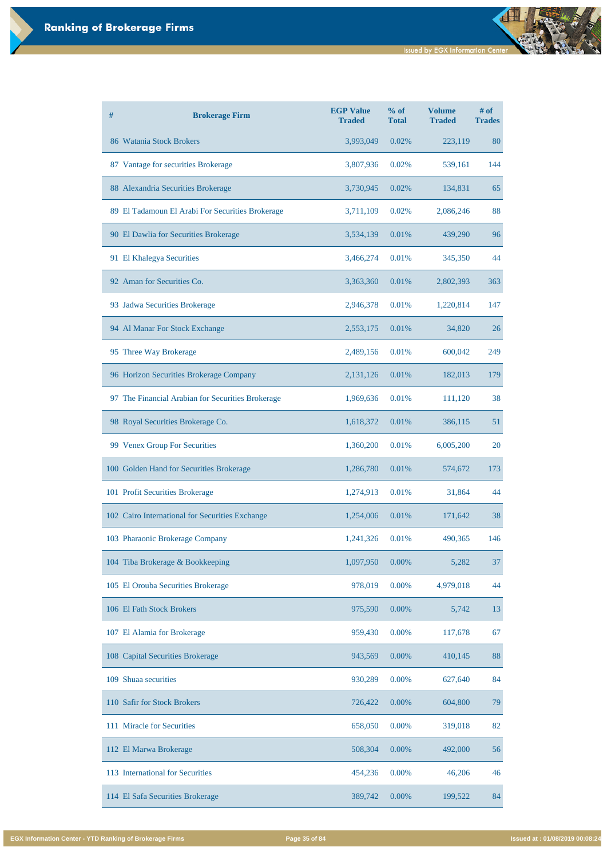| # | <b>Brokerage Firm</b>                             | <b>EGP Value</b><br><b>Traded</b> | % of<br><b>Total</b> | <b>Volume</b><br><b>Traded</b> | # of<br><b>Trades</b> |
|---|---------------------------------------------------|-----------------------------------|----------------------|--------------------------------|-----------------------|
|   | 86 Watania Stock Brokers                          | 3,993,049                         | 0.02%                | 223,119                        | 80                    |
|   | 87 Vantage for securities Brokerage               | 3,807,936                         | 0.02%                | 539,161                        | 144                   |
|   | 88 Alexandria Securities Brokerage                | 3,730,945                         | 0.02%                | 134,831                        | 65                    |
|   | 89 El Tadamoun El Arabi For Securities Brokerage  | 3,711,109                         | 0.02%                | 2,086,246                      | 88                    |
|   | 90 El Dawlia for Securities Brokerage             | 3,534,139                         | 0.01%                | 439,290                        | 96                    |
|   | 91 El Khalegya Securities                         | 3,466,274                         | 0.01%                | 345,350                        | 44                    |
|   | 92 Aman for Securities Co.                        | 3,363,360                         | 0.01%                | 2,802,393                      | 363                   |
|   | 93 Jadwa Securities Brokerage                     | 2,946,378                         | 0.01%                | 1,220,814                      | 147                   |
|   | 94 Al Manar For Stock Exchange                    | 2,553,175                         | 0.01%                | 34,820                         | 26                    |
|   | 95 Three Way Brokerage                            | 2,489,156                         | 0.01%                | 600,042                        | 249                   |
|   | 96 Horizon Securities Brokerage Company           | 2,131,126                         | 0.01%                | 182,013                        | 179                   |
|   | 97 The Financial Arabian for Securities Brokerage | 1,969,636                         | 0.01%                | 111,120                        | 38                    |
|   | 98 Royal Securities Brokerage Co.                 | 1,618,372                         | 0.01%                | 386,115                        | 51                    |
|   | 99 Venex Group For Securities                     | 1,360,200                         | 0.01%                | 6,005,200                      | 20                    |
|   | 100 Golden Hand for Securities Brokerage          | 1,286,780                         | 0.01%                | 574,672                        | 173                   |
|   | 101 Profit Securities Brokerage                   | 1,274,913                         | 0.01%                | 31,864                         | 44                    |
|   | 102 Cairo International for Securities Exchange   | 1,254,006                         | 0.01%                | 171,642                        | 38                    |
|   | 103 Pharaonic Brokerage Company                   | 1,241,326                         | 0.01%                | 490,365                        | 146                   |
|   | 104 Tiba Brokerage & Bookkeeping                  | 1,097,950                         | 0.00%                | 5,282                          | 37                    |
|   | 105 El Orouba Securities Brokerage                | 978,019                           | 0.00%                | 4,979,018                      | 44                    |
|   | 106 El Fath Stock Brokers                         | 975,590                           | 0.00%                | 5,742                          | 13                    |

| 959,430 | $0.00\%$ | 117,678 | 67 |
|---------|----------|---------|----|
| 943,569 | $0.00\%$ | 410,145 | 88 |
| 930,289 | $0.00\%$ | 627,640 | 84 |
| 726,422 | $0.00\%$ | 604,800 | 79 |
| 658,050 | 0.00%    | 319,018 | 82 |
| 508,304 | 0.00%    | 492,000 | 56 |
| 454,236 | $0.00\%$ | 46,206  | 46 |
| 389,742 | $0.00\%$ | 199,522 | 84 |
|         |          |         |    |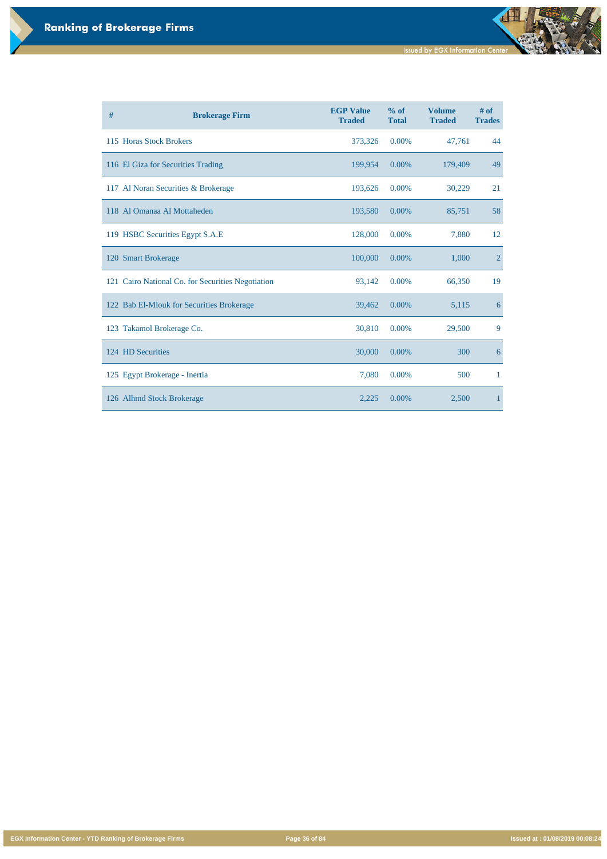đ

**EGX Information Center - YTD Ranking of Brokerage Firms Page 36 of 84 Issued at : 01/08/2019 00:08:24**

| #                         | <b>Brokerage Firm</b>                             | <b>EGP Value</b><br><b>Traded</b> | % of<br><b>Total</b> | <b>Volume</b><br><b>Traded</b> | # of<br><b>Trades</b> |
|---------------------------|---------------------------------------------------|-----------------------------------|----------------------|--------------------------------|-----------------------|
| 115 Horas Stock Brokers   |                                                   | 373,326                           | 0.00%                | 47,761                         | 44                    |
|                           | 116 El Giza for Securities Trading                | 199,954                           | 0.00%                | 179,409                        | 49                    |
|                           | 117 Al Noran Securities & Brokerage               | 193,626                           | 0.00%                | 30,229                         | 21                    |
|                           | 118 Al Omanaa Al Mottaheden                       | 193,580                           | 0.00%                | 85,751                         | 58                    |
|                           | 119 HSBC Securities Egypt S.A.E                   | 128,000                           | 0.00%                | 7,880                          | 12                    |
| 120 Smart Brokerage       |                                                   | 100,000                           | 0.00%                | 1,000                          | $\overline{2}$        |
|                           | 121 Cairo National Co. for Securities Negotiation | 93,142                            | 0.00%                | 66,350                         | 19                    |
|                           | 122 Bab El-Mlouk for Securities Brokerage         | 39,462                            | $0.00\%$             | 5,115                          | $\boldsymbol{6}$      |
| 123 Takamol Brokerage Co. |                                                   | 30,810                            | 0.00%                | 29,500                         | 9                     |
| 124 HD Securities         |                                                   | 30,000                            | 0.00%                | 300                            | 6                     |
|                           | 125 Egypt Brokerage - Inertia                     | 7,080                             | 0.00%                | 500                            | 1                     |
| 126 Alhmd Stock Brokerage |                                                   | 2,225                             | 0.00%                | 2,500                          | $\mathbf{1}$          |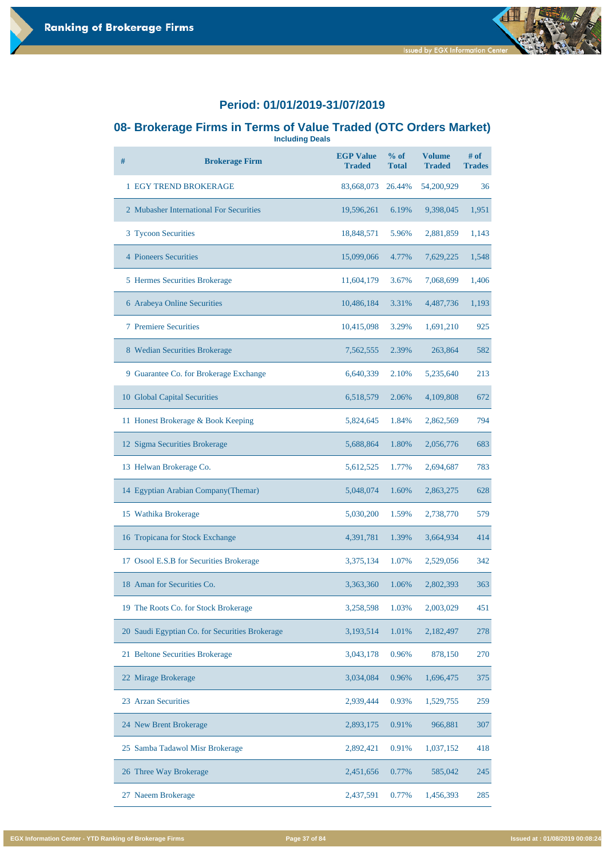#### **Period: 01/01/2019-31/07/2019**

#### **08- Brokerage Firms in Terms of Value Traded (OTC Orders Market) Including Deals**

**# Brokerage Firm EGP Value Traded % of Total Volume Traded # of Trades** 1 EGY TREND BROKERAGE 83,668,073 26.44% 54,200,929 36 2 Mubasher International For Securities 19,596,261 6.19% 9,398,045 1,951 3 Tycoon Securities 18,848,571 5.96% 2,881,859 1,143 4 Pioneers Securities 15,099,066 4.77% 7,629,225 1,548 5 Hermes Securities Brokerage 11,604,179 3.67% 7,068,699 1,406 6 Arabeya Online Securities 10,486,184 3.31% 4,487,736 1,193 7 Premiere Securities 10,415,098 3.29% 1,691,210 925 8 Wedian Securities Brokerage 7,562,555 2.39% 263,864 582 9 Guarantee Co. for Brokerage Exchange 6,640,339 2.10% 5,235,640 213 10 Global Capital Securities 6,518,579 2.06% 4,109,808 672 11 Honest Brokerage & Book Keeping 5,824,645 1.84% 2,862,569 794 12 Sigma Securities Brokerage 5,688,864 1.80% 2,056,776 683 13 Helwan Brokerage Co. 5,612,525 1.77% 2,694,687 783 14 Egyptian Arabian Company(Themar) 5,048,074 1.60% 2,863,275 628 15 Wathika Brokerage 5,030,200 1.59% 2,738,770 579 16 Tropicana for Stock Exchange 4,391,781 1.39% 3,664,934 414 17 Osool E.S.B for Securities Brokerage 3,375,134 1.07% 2,529,056 342 18 Aman for Securities Co. 3,363,360 1.06% 2,802,393 363 19 The Roots Co. for Stock Brokerage 3,258,598 1.03% 2,003,029 451

| 20 Saudi Egyptian Co. for Securities Brokerage | 3,193,514 | 1.01% | 2,182,497 | 278 |
|------------------------------------------------|-----------|-------|-----------|-----|
| 21 Beltone Securities Brokerage                | 3,043,178 | 0.96% | 878,150   | 270 |
| 22 Mirage Brokerage                            | 3,034,084 | 0.96% | 1,696,475 | 375 |
| <b>Arzan Securities</b><br>23                  | 2,939,444 | 0.93% | 1,529,755 | 259 |
| 24 New Brent Brokerage                         | 2,893,175 | 0.91% | 966,881   | 307 |
| 25 Samba Tadawol Misr Brokerage                | 2,892,421 | 0.91% | 1,037,152 | 418 |
| 26 Three Way Brokerage                         | 2,451,656 | 0.77% | 585,042   | 245 |
| 27 Naeem Brokerage                             | 2,437,591 | 0.77% | 1,456,393 | 285 |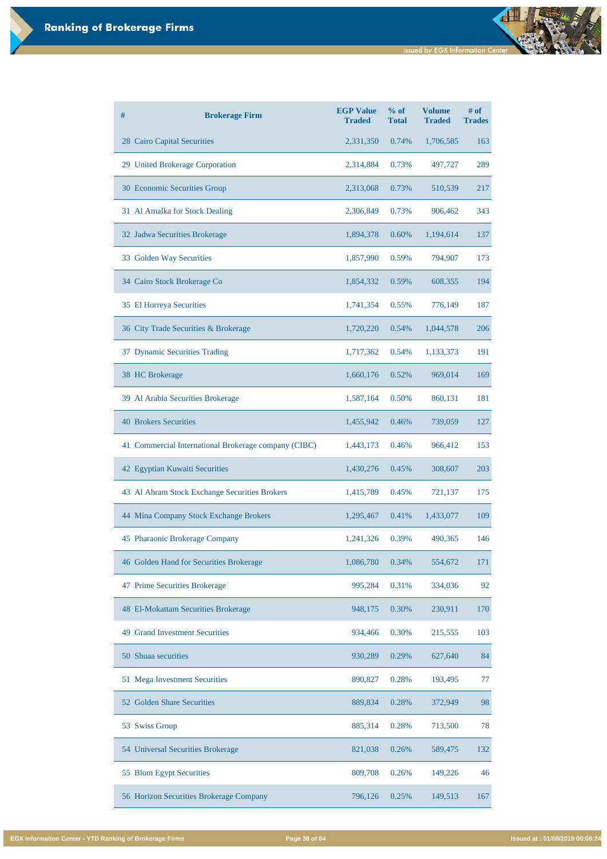| #               | <b>Brokerage Firm</b>                                | <b>EGP Value</b><br><b>Traded</b> | % of<br><b>Total</b> | <b>Volume</b><br><b>Traded</b> | $#$ of<br><b>Trades</b> |
|-----------------|------------------------------------------------------|-----------------------------------|----------------------|--------------------------------|-------------------------|
|                 | 28 Cairo Capital Securities                          | 2,331,350                         | 0.74%                | 1,706,585                      | 163                     |
|                 | 29 United Brokerage Corporation                      | 2,314,884                         | 0.73%                | 497,727                        | 289                     |
|                 | 30 Economic Securities Group                         | 2,313,068                         | 0.73%                | 510,539                        | 217                     |
|                 | 31 Al Amalka for Stock Dealing                       | 2,306,849                         | 0.73%                | 906,462                        | 343                     |
|                 | 32 Jadwa Securities Brokerage                        | 1,894,378                         | 0.60%                | 1,194,614                      | 137                     |
|                 | 33 Golden Way Securities                             | 1,857,990                         | 0.59%                | 794,907                        | 173                     |
|                 | 34 Cairo Stock Brokerage Co                          | 1,854,332                         | 0.59%                | 608,355                        | 194                     |
|                 | 35 El Horreya Securities                             | 1,741,354                         | 0.55%                | 776,149                        | 187                     |
|                 | 36 City Trade Securities & Brokerage                 | 1,720,220                         | 0.54%                | 1,044,578                      | 206                     |
|                 | 37 Dynamic Securities Trading                        | 1,717,362                         | 0.54%                | 1,133,373                      | 191                     |
| 38 HC Brokerage |                                                      | 1,660,176                         | 0.52%                | 969,014                        | 169                     |
|                 | 39 Al Arabia Securities Brokerage                    | 1,587,164                         | 0.50%                | 860,131                        | 181                     |
|                 | <b>40 Brokers Securities</b>                         | 1,455,942                         | 0.46%                | 739,059                        | 127                     |
|                 | 41 Commercial International Brokerage company (CIBC) | 1,443,173                         | 0.46%                | 966,412                        | 153                     |
|                 | 42 Egyptian Kuwaiti Securities                       | 1,430,276                         | 0.45%                | 308,607                        | 203                     |
|                 | 43 Al Ahram Stock Exchange Securities Brokers        | 1,415,789                         | 0.45%                | 721,137                        | 175                     |
|                 | 44 Mina Company Stock Exchange Brokers               | 1,295,467                         | 0.41%                | 1,433,077                      | 109                     |
|                 | 45 Pharaonic Brokerage Company                       | 1,241,326                         | 0.39%                | 490,365                        | 146                     |
|                 | 46 Golden Hand for Securities Brokerage              | 1,086,780                         | 0.34%                | 554,672                        | 171                     |
|                 | 47 Prime Securities Brokerage                        | 995,284                           | 0.31%                | 334,036                        | 92                      |
|                 | <b>48 El-Mokattam Securities Brokerage</b>           | 948,175                           | 0.30%                | 230,911                        | 170                     |

| <b>49 Grand Investment Securities</b>   | 934,466 | 0.30% | 215,555 | 103 |
|-----------------------------------------|---------|-------|---------|-----|
| 50 Shuaa securities                     | 930,289 | 0.29% | 627,640 | 84  |
| 51 Mega Investment Securities           | 890,827 | 0.28% | 193,495 | 77  |
| 52 Golden Share Securities              | 889,834 | 0.28% | 372,949 | 98  |
| 53 Swiss Group                          | 885,314 | 0.28% | 713,500 | 78  |
| 54 Universal Securities Brokerage       | 821,038 | 0.26% | 589,475 | 132 |
| 55 Blom Egypt Securities                | 809,708 | 0.26% | 149,226 | 46  |
| 56 Horizon Securities Brokerage Company | 796,126 | 0.25% | 149,513 | 167 |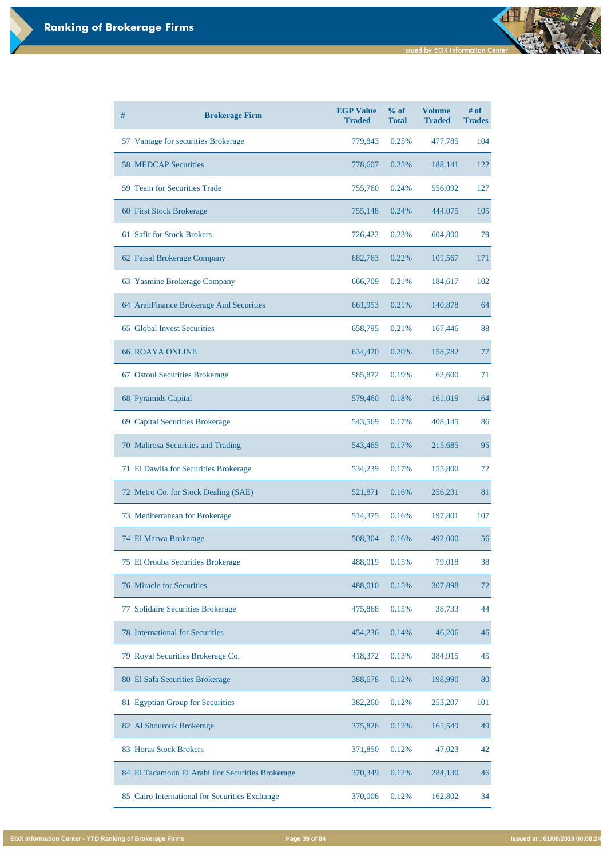| #  | <b>Brokerage Firm</b>                   | <b>EGP Value</b><br><b>Traded</b> | % of<br><b>Total</b> | <b>Volume</b><br><b>Traded</b> | # of<br><b>Trades</b> |
|----|-----------------------------------------|-----------------------------------|----------------------|--------------------------------|-----------------------|
|    | 57 Vantage for securities Brokerage     | 779,843                           | 0.25%                | 477,785                        | 104                   |
|    | <b>58 MEDCAP Securities</b>             | 778,607                           | 0.25%                | 188,141                        | 122                   |
|    | 59 Team for Securities Trade            | 755,760                           | 0.24%                | 556,092                        | 127                   |
|    | 60 First Stock Brokerage                | 755,148                           | 0.24%                | 444,075                        | 105                   |
|    | 61 Safir for Stock Brokers              | 726,422                           | 0.23%                | 604,800                        | 79                    |
|    | 62 Faisal Brokerage Company             | 682,763                           | 0.22%                | 101,567                        | 171                   |
|    | 63 Yasmine Brokerage Company            | 666,709                           | 0.21%                | 184,617                        | 102                   |
|    | 64 ArabFinance Brokerage And Securities | 661,953                           | 0.21%                | 140,878                        | 64                    |
|    | 65 Global Invest Securities             | 658,795                           | 0.21%                | 167,446                        | 88                    |
|    | <b>66 ROAYA ONLINE</b>                  | 634,470                           | 0.20%                | 158,782                        | 77                    |
|    | 67 Ostoul Securities Brokerage          | 585,872                           | 0.19%                | 63,600                         | 71                    |
|    | 68 Pyramids Capital                     | 579,460                           | 0.18%                | 161,019                        | 164                   |
|    | 69 Capital Securities Brokerage         | 543,569                           | 0.17%                | 408,145                        | 86                    |
|    | 70 Mahrosa Securities and Trading       | 543,465                           | 0.17%                | 215,685                        | 95                    |
|    | 71 El Dawlia for Securities Brokerage   | 534,239                           | 0.17%                | 155,800                        | 72                    |
|    | 72 Metro Co. for Stock Dealing (SAE)    | 521,871                           | 0.16%                | 256,231                        | 81                    |
|    | 73 Mediterranean for Brokerage          | 514,375                           | 0.16%                | 197,801                        | 107                   |
|    | 74 El Marwa Brokerage                   | 508,304                           | 0.16%                | 492,000                        | 56                    |
|    | 75 El Orouba Securities Brokerage       | 488,019                           | 0.15%                | 79,018                         | 38                    |
|    | <b>76 Miracle for Securities</b>        | 488,010                           | 0.15%                | 307,898                        | 72                    |
| 77 | <b>Solidaire Securities Brokerage</b>   | 475,868                           | 0.15%                | 38,733                         | 44                    |

| <b>78</b> International for Securities           | 454,236 | 0.14% | 46,206  | 46  |
|--------------------------------------------------|---------|-------|---------|-----|
| 79 Royal Securities Brokerage Co.                | 418,372 | 0.13% | 384,915 | 45  |
| 80 El Safa Securities Brokerage                  | 388,678 | 0.12% | 198,990 | 80  |
| 81 Egyptian Group for Securities                 | 382,260 | 0.12% | 253,207 | 101 |
| 82 Al Shourouk Brokerage                         | 375,826 | 0.12% | 161,549 | 49  |
| 83 Horas Stock Brokers                           | 371,850 | 0.12% | 47,023  | 42  |
| 84 El Tadamoun El Arabi For Securities Brokerage | 370,349 | 0.12% | 284,130 | 46  |
| 85 Cairo International for Securities Exchange   | 370,006 | 0.12% | 162,802 | 34  |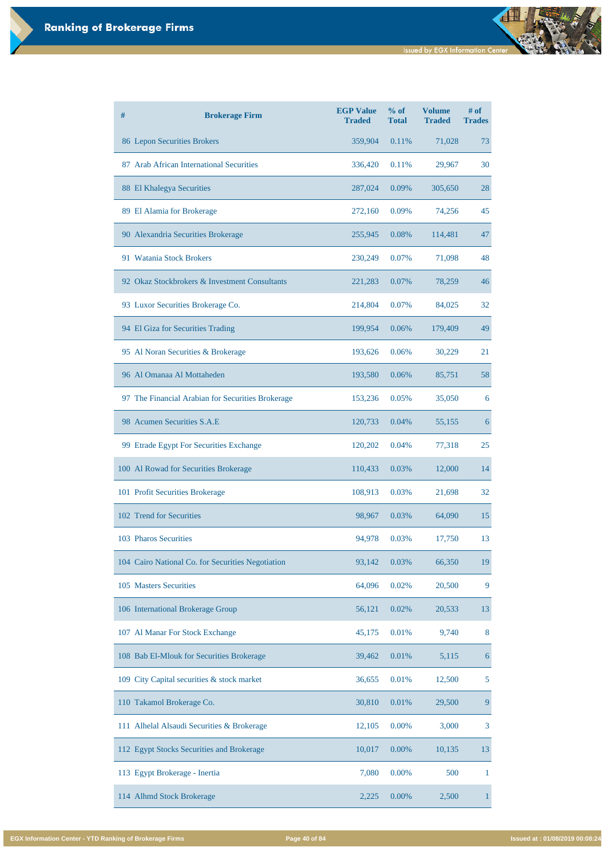đ

| # | <b>Brokerage Firm</b>                             | <b>EGP Value</b> | % of         | <b>Volume</b> | # of          |
|---|---------------------------------------------------|------------------|--------------|---------------|---------------|
|   |                                                   | <b>Traded</b>    | <b>Total</b> | <b>Traded</b> | <b>Trades</b> |
|   | 86 Lepon Securities Brokers                       | 359,904          | 0.11%        | 71,028        | 73            |
|   | 87 Arab African International Securities          | 336,420          | 0.11%        | 29,967        | 30            |
|   | 88 El Khalegya Securities                         | 287,024          | 0.09%        | 305,650       | 28            |
|   | 89 El Alamia for Brokerage                        | 272,160          | 0.09%        | 74,256        | 45            |
|   | 90 Alexandria Securities Brokerage                | 255,945          | 0.08%        | 114,481       | 47            |
|   | 91 Watania Stock Brokers                          | 230,249          | 0.07%        | 71,098        | 48            |
|   | 92 Okaz Stockbrokers & Investment Consultants     | 221,283          | 0.07%        | 78,259        | 46            |
|   | 93 Luxor Securities Brokerage Co.                 | 214,804          | 0.07%        | 84,025        | 32            |
|   | 94 El Giza for Securities Trading                 | 199,954          | 0.06%        | 179,409       | 49            |
|   | 95 Al Noran Securities & Brokerage                | 193,626          | 0.06%        | 30,229        | 21            |
|   | 96 Al Omanaa Al Mottaheden                        | 193,580          | 0.06%        | 85,751        | 58            |
|   | 97 The Financial Arabian for Securities Brokerage | 153,236          | 0.05%        | 35,050        | 6             |
|   | 98 Acumen Securities S.A.E                        | 120,733          | 0.04%        | 55,155        | 6             |
|   | 99 Etrade Egypt For Securities Exchange           | 120,202          | 0.04%        | 77,318        | 25            |
|   | 100 Al Rowad for Securities Brokerage             | 110,433          | 0.03%        | 12,000        | 14            |
|   | 101 Profit Securities Brokerage                   | 108,913          | 0.03%        | 21,698        | 32            |
|   | 102 Trend for Securities                          | 98,967           | 0.03%        | 64,090        | 15            |
|   | 103 Pharos Securities                             | 94,978           | 0.03%        | 17,750        | 13            |
|   | 104 Cairo National Co. for Securities Negotiation | 93,142           | 0.03%        | 66,350        | 19            |
|   | 105 Masters Securities                            | 64,096           | 0.02%        | 20,500        | 9             |
|   | 106 International Brokerage Group                 | 56,121           | 0.02%        | 20,533        | 13            |

| 107 Al Manar For Stock Exchange            | 45,175 | 0.01%    | 9,740  | 8  |
|--------------------------------------------|--------|----------|--------|----|
| 108 Bab El-Mlouk for Securities Brokerage  | 39,462 | 0.01%    | 5,115  | 6  |
| 109 City Capital securities & stock market | 36,655 | 0.01%    | 12,500 | 5  |
| 110 Takamol Brokerage Co.                  | 30,810 | 0.01%    | 29,500 | 9  |
| 111 Alhelal Alsaudi Securities & Brokerage | 12,105 | 0.00%    | 3,000  | 3  |
| 112 Egypt Stocks Securities and Brokerage  | 10,017 | $0.00\%$ | 10,135 | 13 |
| 113 Egypt Brokerage - Inertia              | 7,080  | 0.00%    | 500    |    |
| 114 Alhmd Stock Brokerage                  | 2,225  | $0.00\%$ | 2,500  |    |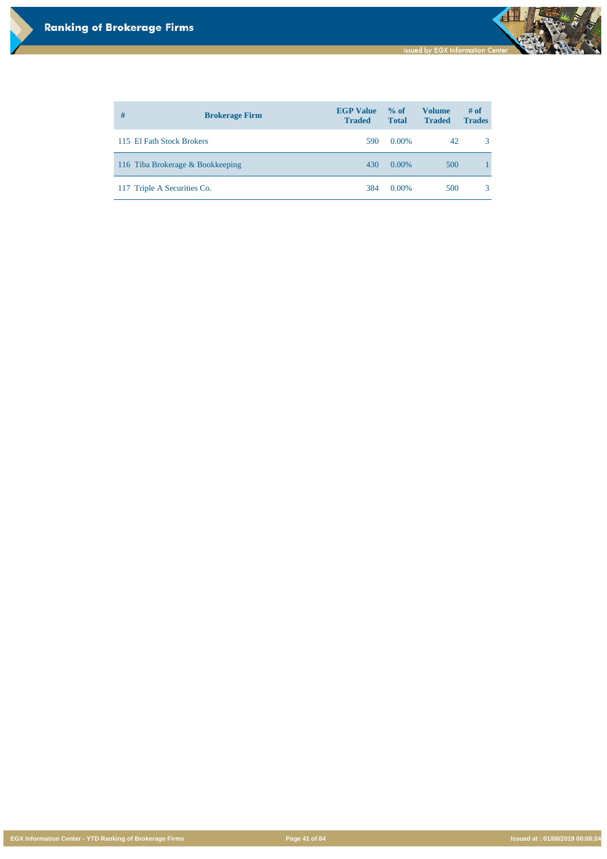**EGX Information Center - YTD Ranking of Brokerage Firms Page 41 of 84 Issued at : 01/08/2019 00:08:24**

| #                                | <b>Brokerage Firm</b> | <b>EGP Value</b><br><b>Traded</b> | $%$ of<br><b>Total</b> | <b>Volume</b><br><b>Traded</b> | # of<br><b>Trades</b> |
|----------------------------------|-----------------------|-----------------------------------|------------------------|--------------------------------|-----------------------|
| 115 El Fath Stock Brokers        |                       | 590                               | $0.00\%$               | 42                             | 3                     |
| 116 Tiba Brokerage & Bookkeeping |                       | 430                               | $0.00\%$               | 500                            |                       |
| 117 Triple A Securities Co.      |                       | 384                               | $0.00\%$               | 500                            | 3                     |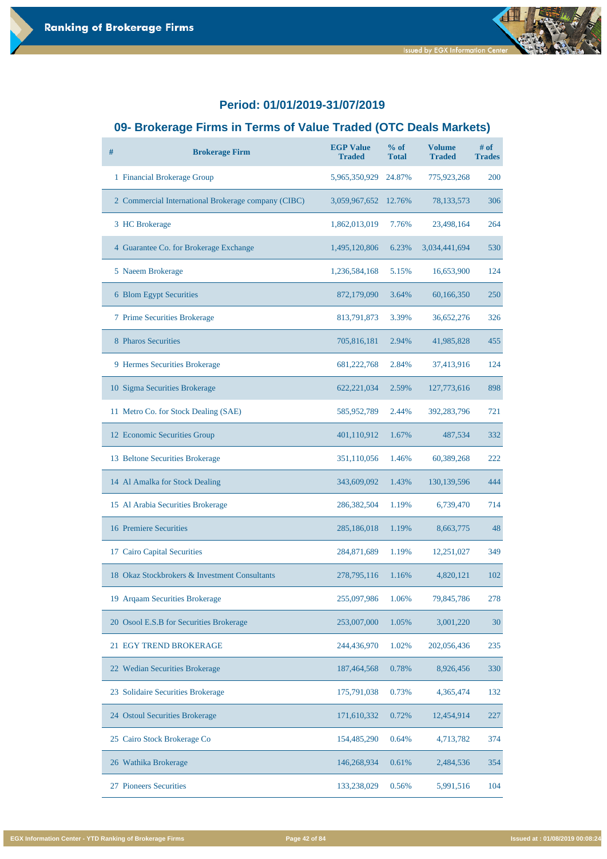## **Period: 01/01/2019-31/07/2019**

# **09- Brokerage Firms in Terms of Value Traded (OTC Deals Markets)**

| # | <b>Brokerage Firm</b>                               | <b>EGP Value</b><br><b>Traded</b> | % of<br><b>Total</b> | <b>Volume</b><br><b>Traded</b> | # of<br><b>Trades</b> |
|---|-----------------------------------------------------|-----------------------------------|----------------------|--------------------------------|-----------------------|
|   | 1 Financial Brokerage Group                         | 5,965,350,929                     | 24.87%               | 775,923,268                    | 200                   |
|   | 2 Commercial International Brokerage company (CIBC) | 3,059,967,652                     | 12.76%               | 78, 133, 573                   | 306                   |
|   | 3 HC Brokerage                                      | 1,862,013,019                     | 7.76%                | 23,498,164                     | 264                   |
|   | 4 Guarantee Co. for Brokerage Exchange              | 1,495,120,806                     | 6.23%                | 3,034,441,694                  | 530                   |
|   | 5 Naeem Brokerage                                   | 1,236,584,168                     | 5.15%                | 16,653,900                     | 124                   |
|   | 6 Blom Egypt Securities                             | 872,179,090                       | 3.64%                | 60,166,350                     | 250                   |
|   | 7 Prime Securities Brokerage                        | 813,791,873                       | 3.39%                | 36,652,276                     | 326                   |
|   | 8 Pharos Securities                                 | 705,816,181                       | 2.94%                | 41,985,828                     | 455                   |
|   | 9 Hermes Securities Brokerage                       | 681,222,768                       | 2.84%                | 37,413,916                     | 124                   |
|   | 10 Sigma Securities Brokerage                       | 622, 221, 034                     | 2.59%                | 127,773,616                    | 898                   |
|   | 11 Metro Co. for Stock Dealing (SAE)                | 585,952,789                       | 2.44%                | 392,283,796                    | 721                   |
|   | 12 Economic Securities Group                        | 401,110,912                       | 1.67%                | 487,534                        | 332                   |
|   | 13 Beltone Securities Brokerage                     | 351,110,056                       | 1.46%                | 60,389,268                     | 222                   |
|   | 14 Al Amalka for Stock Dealing                      | 343,609,092                       | 1.43%                | 130, 139, 596                  | 444                   |
|   | 15 Al Arabia Securities Brokerage                   | 286, 382, 504                     | 1.19%                | 6,739,470                      | 714                   |
|   | <b>16 Premiere Securities</b>                       | 285,186,018                       | 1.19%                | 8,663,775                      | 48                    |
|   | 17 Cairo Capital Securities                         | 284,871,689                       | 1.19%                | 12,251,027                     | 349                   |
|   | 18 Okaz Stockbrokers & Investment Consultants       | 278, 795, 116                     | 1.16%                | 4,820,121                      | 102                   |
|   | 19 Arqaam Securities Brokerage                      | 255,097,986                       | 1.06%                | 79,845,786                     | 278                   |
|   | 20 Osool E.S.B for Securities Brokerage             | 253,007,000                       | 1.05%                | 3,001,220                      | 30                    |
|   | 21 EGY TREND BROKERAGE                              | 244,436,970                       | 1.02%                | 202,056,436                    | 235                   |
|   | 22 Wedian Securities Brokerage                      | 187,464,568                       | 0.78%                | 8,926,456                      | 330                   |
|   | 23 Solidaire Securities Brokerage                   | 175,791,038                       | 0.73%                | 4,365,474                      | 132                   |
|   | 24 Ostoul Securities Brokerage                      | 171,610,332                       | 0.72%                | 12,454,914                     | 227                   |
|   | 25 Cairo Stock Brokerage Co                         | 154,485,290                       | 0.64%                | 4,713,782                      | 374                   |
|   | 26 Wathika Brokerage                                | 146,268,934                       | 0.61%                | 2,484,536                      | 354                   |
|   | 27 Pioneers Securities                              | 133,238,029                       | 0.56%                | 5,991,516                      | 104                   |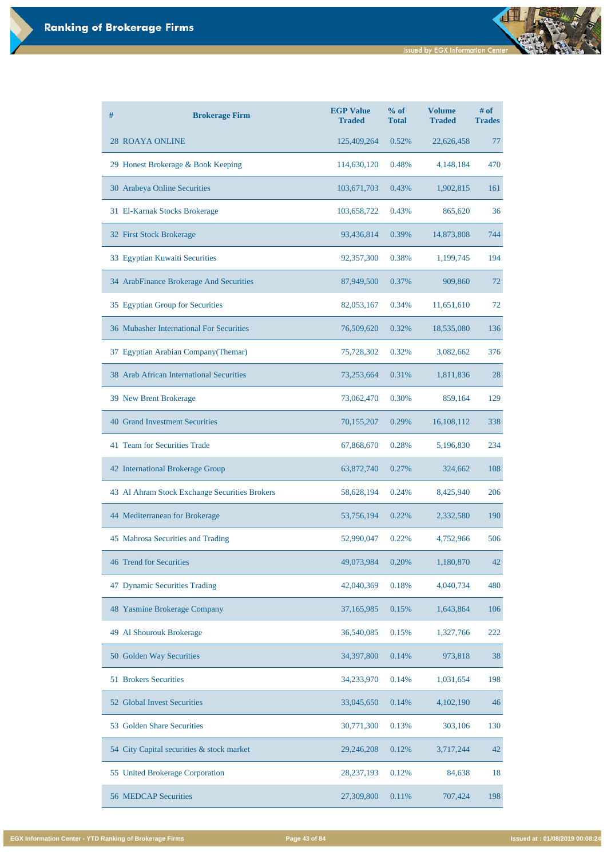| # | <b>Brokerage Firm</b>                         | <b>EGP Value</b><br><b>Traded</b> | % of<br><b>Total</b> | <b>Volume</b><br><b>Traded</b> | # of<br><b>Trades</b> |
|---|-----------------------------------------------|-----------------------------------|----------------------|--------------------------------|-----------------------|
|   | <b>28 ROAYA ONLINE</b>                        | 125,409,264                       | 0.52%                | 22,626,458                     | 77                    |
|   | 29 Honest Brokerage & Book Keeping            | 114,630,120                       | 0.48%                | 4,148,184                      | 470                   |
|   | 30 Arabeya Online Securities                  | 103,671,703                       | 0.43%                | 1,902,815                      | 161                   |
|   | 31 El-Karnak Stocks Brokerage                 | 103,658,722                       | 0.43%                | 865,620                        | 36                    |
|   | 32 First Stock Brokerage                      | 93,436,814                        | 0.39%                | 14,873,808                     | 744                   |
|   | 33 Egyptian Kuwaiti Securities                | 92,357,300                        | 0.38%                | 1,199,745                      | 194                   |
|   | 34 ArabFinance Brokerage And Securities       | 87,949,500                        | 0.37%                | 909,860                        | 72                    |
|   | 35 Egyptian Group for Securities              | 82,053,167                        | 0.34%                | 11,651,610                     | 72                    |
|   | 36 Mubasher International For Securities      | 76,509,620                        | 0.32%                | 18,535,080                     | 136                   |
|   | 37 Egyptian Arabian Company (Themar)          | 75,728,302                        | 0.32%                | 3,082,662                      | 376                   |
|   | 38 Arab African International Securities      | 73,253,664                        | 0.31%                | 1,811,836                      | 28                    |
|   | 39 New Brent Brokerage                        | 73,062,470                        | 0.30%                | 859,164                        | 129                   |
|   | <b>40 Grand Investment Securities</b>         | 70,155,207                        | 0.29%                | 16,108,112                     | 338                   |
|   | 41 Team for Securities Trade                  | 67,868,670                        | 0.28%                | 5,196,830                      | 234                   |
|   | 42 International Brokerage Group              | 63,872,740                        | 0.27%                | 324,662                        | 108                   |
|   | 43 Al Ahram Stock Exchange Securities Brokers | 58,628,194                        | 0.24%                | 8,425,940                      | 206                   |
|   | 44 Mediterranean for Brokerage                | 53,756,194                        | 0.22%                | 2,332,580                      | 190                   |
|   | 45 Mahrosa Securities and Trading             | 52,990,047                        | 0.22%                | 4,752,966                      | 506                   |
|   | <b>46 Trend for Securities</b>                | 49,073,984                        | 0.20%                | 1,180,870                      | 42                    |
|   | 47 Dynamic Securities Trading                 | 42,040,369                        | 0.18%                | 4,040,734                      | 480                   |
|   | 48 Yasmine Brokerage Company                  | 37,165,985                        | 0.15%                | 1,643,864                      | 106                   |

| 49 Al Shourouk Brokerage                  | 36,540,085   | 0.15% | 1,327,766 | 222 |
|-------------------------------------------|--------------|-------|-----------|-----|
| 50 Golden Way Securities                  | 34,397,800   | 0.14% | 973,818   | 38  |
| <b>51 Brokers Securities</b>              | 34,233,970   | 0.14% | 1,031,654 | 198 |
| 52 Global Invest Securities               | 33,045,650   | 0.14% | 4,102,190 | 46  |
| 53 Golden Share Securities                | 30,771,300   | 0.13% | 303,106   | 130 |
| 54 City Capital securities & stock market | 29,246,208   | 0.12% | 3,717,244 | 42  |
| 55 United Brokerage Corporation           | 28, 237, 193 | 0.12% | 84,638    | 18  |
| <b>56 MEDCAP Securities</b>               | 27,309,800   | 0.11% | 707,424   | 198 |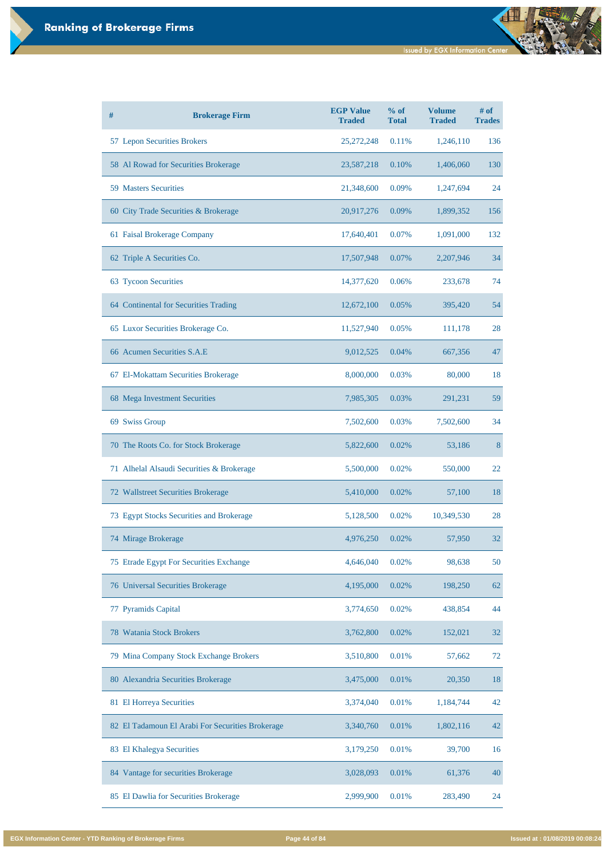| # | <b>Brokerage Firm</b>                     | <b>EGP Value</b><br><b>Traded</b> | % of<br><b>Total</b> | <b>Volume</b><br><b>Traded</b> | # of<br><b>Trades</b> |
|---|-------------------------------------------|-----------------------------------|----------------------|--------------------------------|-----------------------|
|   | 57 Lepon Securities Brokers               | 25, 272, 248                      | 0.11%                | 1,246,110                      | 136                   |
|   | 58 Al Rowad for Securities Brokerage      | 23,587,218                        | 0.10%                | 1,406,060                      | 130                   |
|   | <b>59 Masters Securities</b>              | 21,348,600                        | 0.09%                | 1,247,694                      | 24                    |
|   | 60 City Trade Securities & Brokerage      | 20,917,276                        | 0.09%                | 1,899,352                      | 156                   |
|   | 61 Faisal Brokerage Company               | 17,640,401                        | 0.07%                | 1,091,000                      | 132                   |
|   | 62 Triple A Securities Co.                | 17,507,948                        | 0.07%                | 2,207,946                      | 34                    |
|   | 63 Tycoon Securities                      | 14,377,620                        | 0.06%                | 233,678                        | 74                    |
|   | 64 Continental for Securities Trading     | 12,672,100                        | 0.05%                | 395,420                        | 54                    |
|   | 65 Luxor Securities Brokerage Co.         | 11,527,940                        | 0.05%                | 111,178                        | 28                    |
|   | 66 Acumen Securities S.A.E                | 9,012,525                         | 0.04%                | 667,356                        | 47                    |
|   | 67 El-Mokattam Securities Brokerage       | 8,000,000                         | 0.03%                | 80,000                         | 18                    |
|   | 68 Mega Investment Securities             | 7,985,305                         | 0.03%                | 291,231                        | 59                    |
|   | 69 Swiss Group                            | 7,502,600                         | 0.03%                | 7,502,600                      | 34                    |
|   | 70 The Roots Co. for Stock Brokerage      | 5,822,600                         | 0.02%                | 53,186                         | 8                     |
|   | 71 Alhelal Alsaudi Securities & Brokerage | 5,500,000                         | 0.02%                | 550,000                        | 22                    |
|   | 72 Wallstreet Securities Brokerage        | 5,410,000                         | 0.02%                | 57,100                         | 18                    |
|   | 73 Egypt Stocks Securities and Brokerage  | 5,128,500                         | 0.02%                | 10,349,530                     | 28                    |
|   | 74 Mirage Brokerage                       | 4,976,250                         | 0.02%                | 57,950                         | 32                    |
|   | 75 Etrade Egypt For Securities Exchange   | 4,646,040                         | 0.02%                | 98,638                         | 50                    |
|   | 76 Universal Securities Brokerage         | 4,195,000                         | 0.02%                | 198,250                        | 62                    |
|   | 77 Pyramids Capital                       | 3,774,650                         | 0.02%                | 438,854                        | 44                    |

| 78 Watania Stock Brokers                         | 3,762,800 | 0.02% | 152,021   | 32 |
|--------------------------------------------------|-----------|-------|-----------|----|
| 79 Mina Company Stock Exchange Brokers           | 3,510,800 | 0.01% | 57,662    | 72 |
| 80 Alexandria Securities Brokerage               | 3,475,000 | 0.01% | 20,350    | 18 |
| 81 El Horreya Securities                         | 3,374,040 | 0.01% | 1,184,744 | 42 |
| 82 El Tadamoun El Arabi For Securities Brokerage | 3,340,760 | 0.01% | 1,802,116 | 42 |
| 83 El Khalegya Securities                        | 3,179,250 | 0.01% | 39,700    | 16 |
| 84 Vantage for securities Brokerage              | 3,028,093 | 0.01% | 61,376    | 40 |
| 85 El Dawlia for Securities Brokerage            | 2,999,900 | 0.01% | 283,490   | 24 |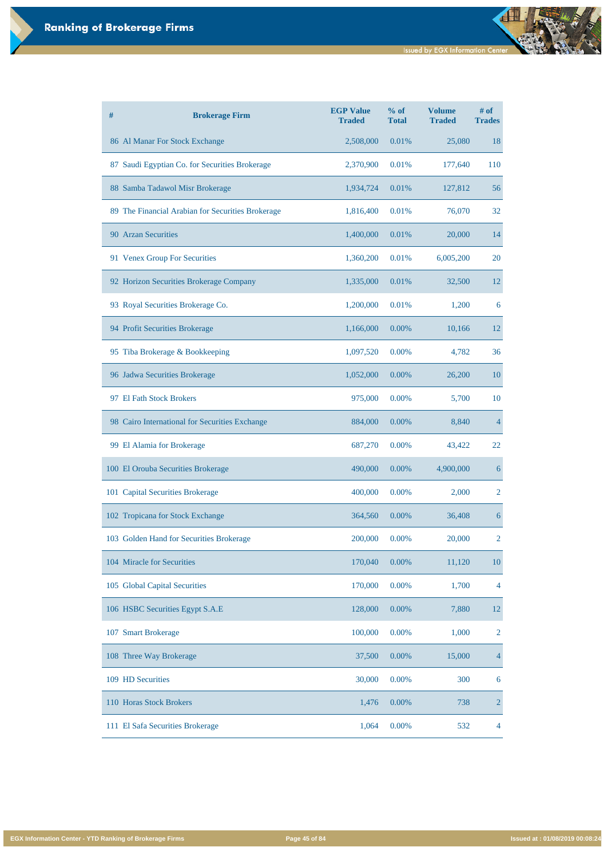| # | <b>Brokerage Firm</b>                             | <b>EGP Value</b><br><b>Traded</b> | % of<br><b>Total</b> | <b>Volume</b><br><b>Traded</b> | # of<br><b>Trades</b> |
|---|---------------------------------------------------|-----------------------------------|----------------------|--------------------------------|-----------------------|
|   | 86 Al Manar For Stock Exchange                    | 2,508,000                         | 0.01%                | 25,080                         | 18                    |
|   | 87 Saudi Egyptian Co. for Securities Brokerage    | 2,370,900                         | 0.01%                | 177,640                        | 110                   |
|   | 88 Samba Tadawol Misr Brokerage                   | 1,934,724                         | 0.01%                | 127,812                        | 56                    |
|   | 89 The Financial Arabian for Securities Brokerage | 1,816,400                         | 0.01%                | 76,070                         | 32                    |
|   | 90 Arzan Securities                               | 1,400,000                         | 0.01%                | 20,000                         | 14                    |
|   | 91 Venex Group For Securities                     | 1,360,200                         | 0.01%                | 6,005,200                      | 20                    |
|   | 92 Horizon Securities Brokerage Company           | 1,335,000                         | 0.01%                | 32,500                         | 12                    |
|   | 93 Royal Securities Brokerage Co.                 | 1,200,000                         | 0.01%                | 1,200                          | 6                     |
|   | 94 Profit Securities Brokerage                    | 1,166,000                         | 0.00%                | 10,166                         | 12                    |
|   | 95 Tiba Brokerage & Bookkeeping                   | 1,097,520                         | 0.00%                | 4,782                          | 36                    |
|   | 96 Jadwa Securities Brokerage                     | 1,052,000                         | 0.00%                | 26,200                         | 10                    |
|   | 97 El Fath Stock Brokers                          | 975,000                           | 0.00%                | 5,700                          | 10                    |
|   | 98 Cairo International for Securities Exchange    | 884,000                           | 0.00%                | 8,840                          | $\overline{4}$        |
|   | 99 El Alamia for Brokerage                        | 687,270                           | 0.00%                | 43,422                         | 22                    |
|   | 100 El Orouba Securities Brokerage                | 490,000                           | 0.00%                | 4,900,000                      | $\boldsymbol{6}$      |
|   | 101 Capital Securities Brokerage                  | 400,000                           | 0.00%                | 2,000                          | $\overline{2}$        |
|   | 102 Tropicana for Stock Exchange                  | 364,560                           | 0.00%                | 36,408                         | $\boldsymbol{6}$      |
|   | 103 Golden Hand for Securities Brokerage          | 200,000                           | 0.00%                | 20,000                         | $\overline{2}$        |
|   | 104 Miracle for Securities                        | 170,040                           | 0.00%                | 11,120                         | 10                    |
|   | 105 Global Capital Securities                     | 170,000                           | 0.00%                | 1,700                          | 4                     |
|   | 106 HSBC Securities Egypt S.A.E                   | 128,000                           | 0.00%                | 7,880                          | 12                    |

| 107 Smart Brokerage              | 100,000 | $0.00\%$ | 1,000  | $\overline{2}$ |
|----------------------------------|---------|----------|--------|----------------|
| 108 Three Way Brokerage          | 37,500  | $0.00\%$ | 15,000 | $\overline{4}$ |
| 109 HD Securities                | 30,000  | $0.00\%$ | 300    | 6              |
| 110 Horas Stock Brokers          | 1,476   | 0.00%    | 738    | $\overline{2}$ |
| 111 El Safa Securities Brokerage | 1,064   | $0.00\%$ | 532    | $\overline{4}$ |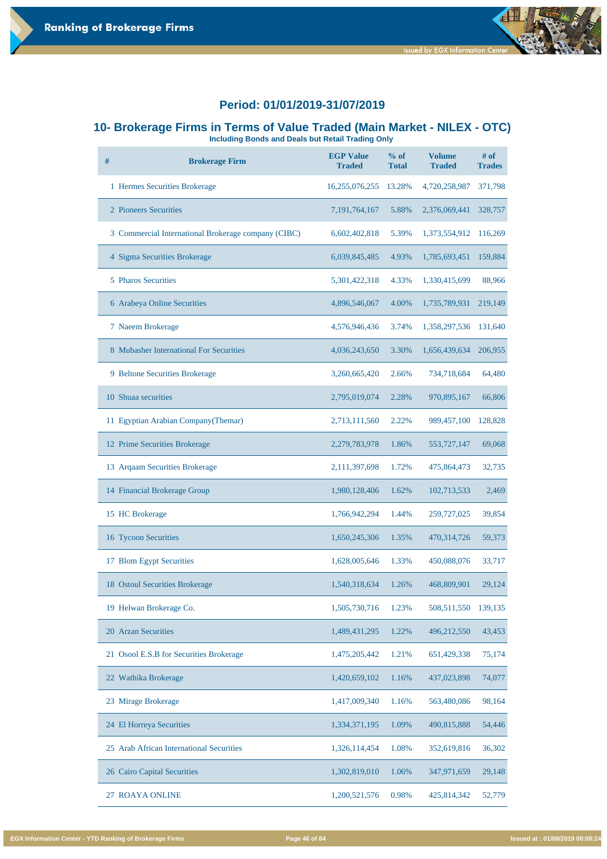

**Issued by EGX Information Cente** 

# **10- Brokerage Firms in Terms of Value Traded (Main Market - NILEX - OTC)**

**Including Bonds and Deals but Retail Trading Only** 

| # | <b>Brokerage Firm</b>                               | <b>EGP Value</b><br><b>Traded</b> | $%$ of<br><b>Total</b> | <b>Volume</b><br><b>Traded</b> | $#$ of<br><b>Trades</b> |
|---|-----------------------------------------------------|-----------------------------------|------------------------|--------------------------------|-------------------------|
|   | 1 Hermes Securities Brokerage                       | 16,255,076,255                    | 13.28%                 | 4,720,258,987                  | 371,798                 |
|   | 2 Pioneers Securities                               | 7, 191, 764, 167                  | 5.88%                  | 2,376,069,441                  | 328,757                 |
|   | 3 Commercial International Brokerage company (CIBC) | 6,602,402,818                     | 5.39%                  | 1,373,554,912                  | 116,269                 |
|   | 4 Sigma Securities Brokerage                        | 6,039,845,485                     | 4.93%                  | 1,785,693,451                  | 159,884                 |
|   | 5 Pharos Securities                                 | 5,301,422,318                     | 4.33%                  | 1,330,415,699                  | 88,966                  |
|   | 6 Arabeya Online Securities                         | 4,896,546,067                     | 4.00%                  | 1,735,789,931                  | 219,149                 |
|   | 7 Naeem Brokerage                                   | 4,576,946,436                     | 3.74%                  | 1,358,297,536                  | 131,640                 |
|   | 8 Mubasher International For Securities             | 4,036,243,650                     | 3.30%                  | 1,656,439,634                  | 206,955                 |
|   | 9 Beltone Securities Brokerage                      | 3,260,665,420                     | 2.66%                  | 734,718,684                    | 64,480                  |
|   | 10 Shuaa securities                                 | 2,795,019,074                     | 2.28%                  | 970,895,167                    | 66,806                  |
|   | 11 Egyptian Arabian Company (Themar)                | 2,713,111,560                     | 2.22%                  | 989,457,100                    | 128,828                 |
|   | 12 Prime Securities Brokerage                       | 2,279,783,978                     | 1.86%                  | 553,727,147                    | 69,068                  |
|   | 13 Argaam Securities Brokerage                      | 2,111,397,698                     | 1.72%                  | 475,864,473                    | 32,735                  |
|   | 14 Financial Brokerage Group                        | 1,980,128,406                     | 1.62%                  | 102,713,533                    | 2,469                   |
|   | 15 HC Brokerage                                     | 1,766,942,294                     | 1.44%                  | 259,727,025                    | 39,854                  |
|   | 16 Tycoon Securities                                | 1,650,245,306                     | 1.35%                  | 470, 314, 726                  | 59,373                  |
|   | 17 Blom Egypt Securities                            | 1,628,005,646                     | 1.33%                  | 450,088,076                    | 33,717                  |
|   | 18 Ostoul Securities Brokerage                      | 1,540,318,634                     | 1.26%                  | 468,809,901                    | 29,124                  |
|   | 19 Helwan Brokerage Co.                             | 1,505,730,716                     | 1.23%                  | 508,511,550                    | 139,135                 |

| 20 Arzan Securities                      | 1,489,431,295 | 1.22% | 496,212,550 | 43,453 |
|------------------------------------------|---------------|-------|-------------|--------|
| 21 Osool E.S.B for Securities Brokerage  | 1,475,205,442 | 1.21% | 651,429,338 | 75,174 |
| 22 Wathika Brokerage                     | 1,420,659,102 | 1.16% | 437,023,898 | 74,077 |
| 23 Mirage Brokerage                      | 1,417,009,340 | 1.16% | 563,480,086 | 98,164 |
| 24 El Horreya Securities                 | 1,334,371,195 | 1.09% | 490,815,888 | 54,446 |
| 25 Arab African International Securities | 1,326,114,454 | 1.08% | 352,619,816 | 36,302 |
| 26 Cairo Capital Securities              | 1,302,819,010 | 1.06% | 347,971,659 | 29,148 |
| <b>27 ROAYA ONLINE</b>                   | 1,200,521,576 | 0.98% | 425,814,342 | 52,779 |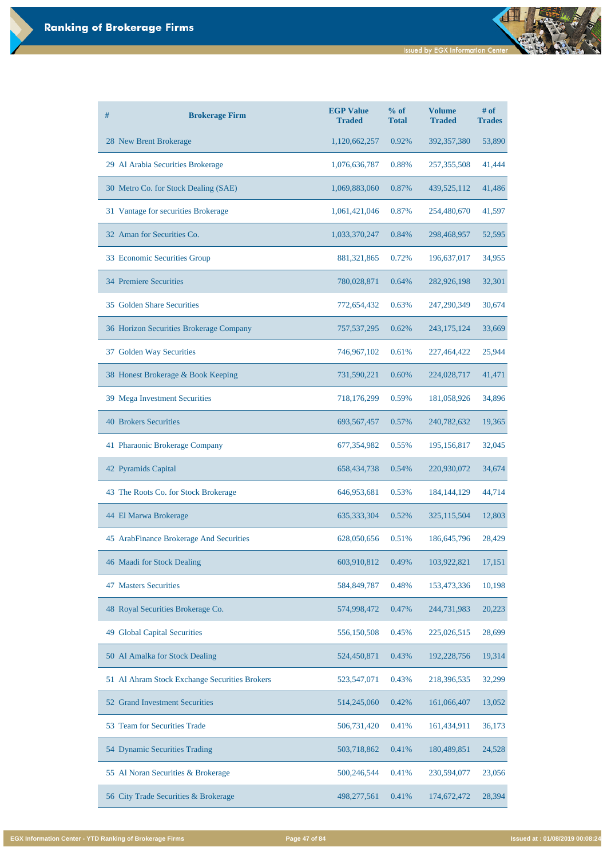| #                                    | <b>Brokerage Firm</b>                   | <b>EGP Value</b><br><b>Traded</b> | $%$ of<br><b>Total</b> | <b>Volume</b><br><b>Traded</b> | $#$ of<br><b>Trades</b> |
|--------------------------------------|-----------------------------------------|-----------------------------------|------------------------|--------------------------------|-------------------------|
| 28 New Brent Brokerage               |                                         | 1,120,662,257                     | 0.92%                  | 392, 357, 380                  | 53,890                  |
| 29 Al Arabia Securities Brokerage    |                                         | 1,076,636,787                     | 0.88%                  | 257, 355, 508                  | 41,444                  |
| 30 Metro Co. for Stock Dealing (SAE) |                                         | 1,069,883,060                     | 0.87%                  | 439,525,112                    | 41,486                  |
| 31 Vantage for securities Brokerage  |                                         | 1,061,421,046                     | 0.87%                  | 254,480,670                    | 41,597                  |
| 32 Aman for Securities Co.           |                                         | 1,033,370,247                     | 0.84%                  | 298,468,957                    | 52,595                  |
| 33 Economic Securities Group         |                                         | 881, 321, 865                     | 0.72%                  | 196,637,017                    | 34,955                  |
| <b>34 Premiere Securities</b>        |                                         | 780,028,871                       | 0.64%                  | 282,926,198                    | 32,301                  |
| 35 Golden Share Securities           |                                         | 772,654,432                       | 0.63%                  | 247,290,349                    | 30,674                  |
|                                      | 36 Horizon Securities Brokerage Company | 757, 537, 295                     | 0.62%                  | 243, 175, 124                  | 33,669                  |
| 37 Golden Way Securities             |                                         | 746,967,102                       | 0.61%                  | 227,464,422                    | 25,944                  |
| 38 Honest Brokerage & Book Keeping   |                                         | 731,590,221                       | 0.60%                  | 224,028,717                    | 41,471                  |
| 39 Mega Investment Securities        |                                         | 718,176,299                       | 0.59%                  | 181,058,926                    | 34,896                  |
| <b>40 Brokers Securities</b>         |                                         | 693, 567, 457                     | 0.57%                  | 240,782,632                    | 19,365                  |
| 41 Pharaonic Brokerage Company       |                                         | 677,354,982                       | 0.55%                  | 195,156,817                    | 32,045                  |
| 42 Pyramids Capital                  |                                         | 658, 434, 738                     | 0.54%                  | 220,930,072                    | 34,674                  |
| 43 The Roots Co. for Stock Brokerage |                                         | 646,953,681                       | 0.53%                  | 184, 144, 129                  | 44,714                  |
| 44 El Marwa Brokerage                |                                         | 635, 333, 304                     | 0.52%                  | 325, 115, 504                  | 12,803                  |
|                                      | 45 ArabFinance Brokerage And Securities | 628,050,656                       | 0.51%                  | 186,645,796                    | 28,429                  |
| 46 Maadi for Stock Dealing           |                                         | 603,910,812                       | 0.49%                  | 103,922,821                    | 17,151                  |
| <b>Masters Securities</b><br>47      |                                         | 584, 849, 787                     | 0.48%                  | 153,473,336                    | 10,198                  |
| 48 Royal Securities Brokerage Co.    |                                         | 574,998,472                       | 0.47%                  | 244,731,983                    | 20,223                  |

| 49 Global Capital Securities                  | 556,150,508   | 0.45% | 225,026,515 | 28,699 |
|-----------------------------------------------|---------------|-------|-------------|--------|
| 50 Al Amalka for Stock Dealing                | 524,450,871   | 0.43% | 192,228,756 | 19,314 |
| 51 Al Ahram Stock Exchange Securities Brokers | 523, 547, 071 | 0.43% | 218,396,535 | 32,299 |
| 52 Grand Investment Securities                | 514,245,060   | 0.42% | 161,066,407 | 13,052 |
| 53 Team for Securities Trade                  | 506,731,420   | 0.41% | 161,434,911 | 36,173 |
| 54 Dynamic Securities Trading                 | 503,718,862   | 0.41% | 180,489,851 | 24,528 |
| 55 Al Noran Securities & Brokerage            | 500,246,544   | 0.41% | 230,594,077 | 23,056 |
| 56 City Trade Securities & Brokerage          | 498,277,561   | 0.41% | 174,672,472 | 28,394 |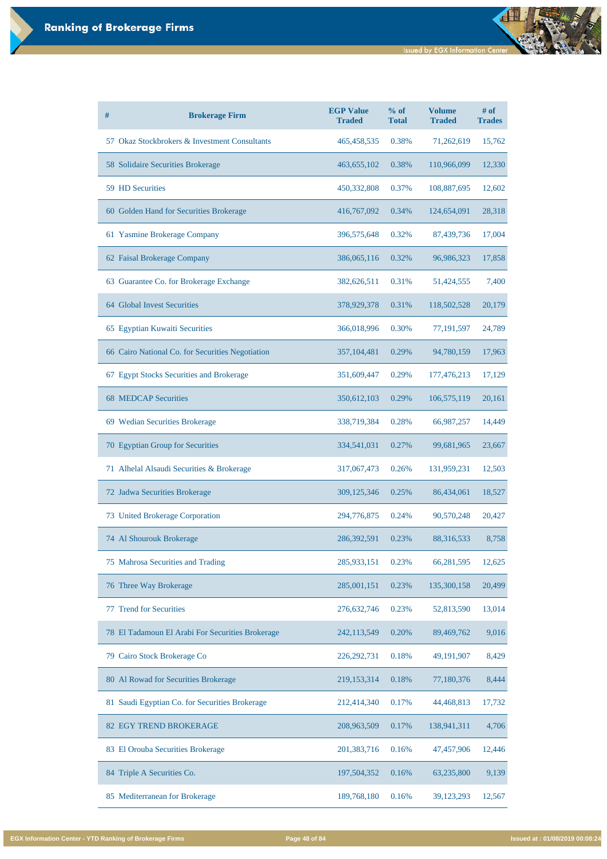| # | <b>Brokerage Firm</b>                            | <b>EGP Value</b><br><b>Traded</b> | $%$ of<br><b>Total</b> | <b>Volume</b><br><b>Traded</b> | # of<br><b>Trades</b> |
|---|--------------------------------------------------|-----------------------------------|------------------------|--------------------------------|-----------------------|
|   | 57 Okaz Stockbrokers & Investment Consultants    | 465,458,535                       | 0.38%                  | 71,262,619                     | 15,762                |
|   | 58 Solidaire Securities Brokerage                | 463, 655, 102                     | 0.38%                  | 110,966,099                    | 12,330                |
|   | 59 HD Securities                                 | 450,332,808                       | 0.37%                  | 108,887,695                    | 12,602                |
|   | 60 Golden Hand for Securities Brokerage          | 416,767,092                       | 0.34%                  | 124,654,091                    | 28,318                |
|   | 61 Yasmine Brokerage Company                     | 396, 575, 648                     | 0.32%                  | 87,439,736                     | 17,004                |
|   | 62 Faisal Brokerage Company                      | 386,065,116                       | 0.32%                  | 96,986,323                     | 17,858                |
|   | 63 Guarantee Co. for Brokerage Exchange          | 382,626,511                       | 0.31%                  | 51,424,555                     | 7,400                 |
|   | <b>64 Global Invest Securities</b>               | 378,929,378                       | 0.31%                  | 118,502,528                    | 20,179                |
|   | 65 Egyptian Kuwaiti Securities                   | 366,018,996                       | 0.30%                  | 77,191,597                     | 24,789                |
|   | 66 Cairo National Co. for Securities Negotiation | 357, 104, 481                     | 0.29%                  | 94,780,159                     | 17,963                |
|   | 67 Egypt Stocks Securities and Brokerage         | 351,609,447                       | 0.29%                  | 177,476,213                    | 17,129                |
|   | <b>68 MEDCAP Securities</b>                      | 350,612,103                       | 0.29%                  | 106,575,119                    | 20,161                |
|   | 69 Wedian Securities Brokerage                   | 338,719,384                       | 0.28%                  | 66,987,257                     | 14,449                |
|   | 70 Egyptian Group for Securities                 | 334,541,031                       | 0.27%                  | 99,681,965                     | 23,667                |
|   | 71 Alhelal Alsaudi Securities & Brokerage        | 317,067,473                       | 0.26%                  | 131,959,231                    | 12,503                |
|   | 72 Jadwa Securities Brokerage                    | 309,125,346                       | 0.25%                  | 86,434,061                     | 18,527                |
|   | 73 United Brokerage Corporation                  | 294,776,875                       | 0.24%                  | 90,570,248                     | 20,427                |
|   | 74 Al Shourouk Brokerage                         | 286, 392, 591                     | 0.23%                  | 88,316,533                     | 8,758                 |
|   | 75 Mahrosa Securities and Trading                | 285,933,151                       | 0.23%                  | 66,281,595                     | 12,625                |
|   | 76 Three Way Brokerage                           | 285,001,151                       | 0.23%                  | 135,300,158                    | 20,499                |
|   | 77 Trend for Securities                          | 276,632,746                       | 0.23%                  | 52,813,590                     | 13,014                |

| 78 El Tadamoun El Arabi For Securities Brokerage  | 242, 113, 549 | 0.20% | 89,469,762  | 9,016  |
|---------------------------------------------------|---------------|-------|-------------|--------|
| 79 Cairo Stock Brokerage Co                       | 226, 292, 731 | 0.18% | 49,191,907  | 8,429  |
| 80 Al Rowad for Securities Brokerage              | 219, 153, 314 | 0.18% | 77,180,376  | 8,444  |
| Saudi Egyptian Co. for Securities Brokerage<br>81 | 212,414,340   | 0.17% | 44,468,813  | 17,732 |
| <b>82 EGY TREND BROKERAGE</b>                     | 208,963,509   | 0.17% | 138,941,311 | 4,706  |
| 83 El Orouba Securities Brokerage                 | 201,383,716   | 0.16% | 47,457,906  | 12,446 |
| 84 Triple A Securities Co.                        | 197,504,352   | 0.16% | 63,235,800  | 9,139  |
| 85 Mediterranean for Brokerage                    | 189,768,180   | 0.16% | 39,123,293  | 12,567 |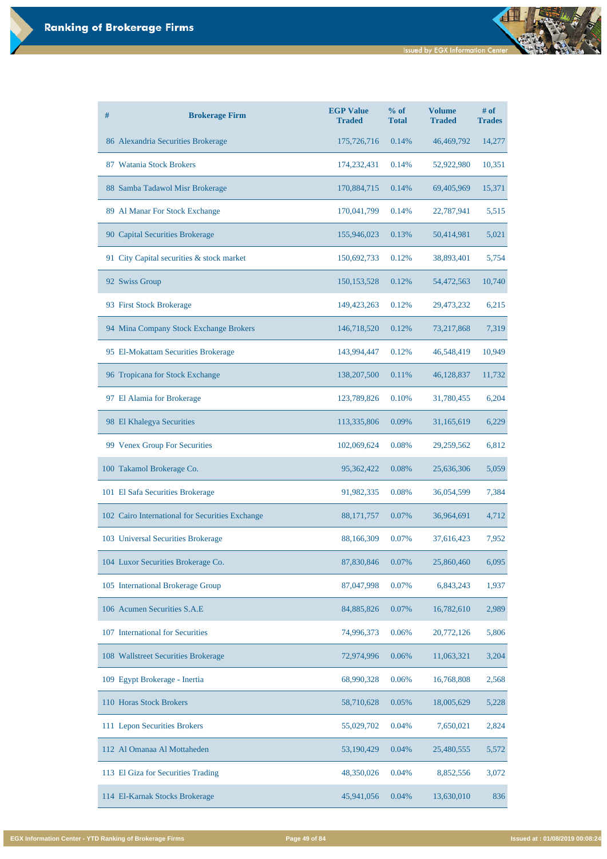| # | <b>Brokerage Firm</b>                           | <b>EGP Value</b><br><b>Traded</b> | $%$ of<br><b>Total</b> | <b>Volume</b><br><b>Traded</b> | # of<br><b>Trades</b> |
|---|-------------------------------------------------|-----------------------------------|------------------------|--------------------------------|-----------------------|
|   | 86 Alexandria Securities Brokerage              | 175,726,716                       | 0.14%                  | 46,469,792                     | 14,277                |
|   | 87 Watania Stock Brokers                        | 174,232,431                       | 0.14%                  | 52,922,980                     | 10,351                |
|   | 88 Samba Tadawol Misr Brokerage                 | 170,884,715                       | 0.14%                  | 69,405,969                     | 15,371                |
|   | 89 Al Manar For Stock Exchange                  | 170,041,799                       | 0.14%                  | 22,787,941                     | 5,515                 |
|   | 90 Capital Securities Brokerage                 | 155,946,023                       | 0.13%                  | 50,414,981                     | 5,021                 |
|   | 91 City Capital securities & stock market       | 150,692,733                       | 0.12%                  | 38,893,401                     | 5,754                 |
|   | 92 Swiss Group                                  | 150, 153, 528                     | 0.12%                  | 54,472,563                     | 10,740                |
|   | 93 First Stock Brokerage                        | 149, 423, 263                     | 0.12%                  | 29,473,232                     | 6,215                 |
|   | 94 Mina Company Stock Exchange Brokers          | 146,718,520                       | 0.12%                  | 73,217,868                     | 7,319                 |
|   | 95 El-Mokattam Securities Brokerage             | 143,994,447                       | 0.12%                  | 46,548,419                     | 10,949                |
|   | 96 Tropicana for Stock Exchange                 | 138,207,500                       | 0.11%                  | 46,128,837                     | 11,732                |
|   | 97 El Alamia for Brokerage                      | 123,789,826                       | 0.10%                  | 31,780,455                     | 6,204                 |
|   | 98 El Khalegya Securities                       | 113,335,806                       | 0.09%                  | 31,165,619                     | 6,229                 |
|   | 99 Venex Group For Securities                   | 102,069,624                       | 0.08%                  | 29,259,562                     | 6,812                 |
|   | 100 Takamol Brokerage Co.                       | 95,362,422                        | 0.08%                  | 25,636,306                     | 5,059                 |
|   | 101 El Safa Securities Brokerage                | 91,982,335                        | 0.08%                  | 36,054,599                     | 7,384                 |
|   | 102 Cairo International for Securities Exchange | 88, 171, 757                      | 0.07%                  | 36,964,691                     | 4,712                 |
|   | 103 Universal Securities Brokerage              | 88,166,309                        | 0.07%                  | 37,616,423                     | 7,952                 |
|   | 104 Luxor Securities Brokerage Co.              | 87,830,846                        | 0.07%                  | 25,860,460                     | 6,095                 |
|   | 105 International Brokerage Group               | 87,047,998                        | 0.07%                  | 6,843,243                      | 1,937                 |
|   | 106 Acumen Securities S.A.E                     | 84,885,826                        | 0.07%                  | 16,782,610                     | 2,989                 |

| 107 International for Securities    | 74,996,373 | 0.06% | 20,772,126 | 5,806 |
|-------------------------------------|------------|-------|------------|-------|
| 108 Wallstreet Securities Brokerage | 72,974,996 | 0.06% | 11,063,321 | 3,204 |
| 109 Egypt Brokerage - Inertia       | 68,990,328 | 0.06% | 16,768,808 | 2,568 |
| 110 Horas Stock Brokers             | 58,710,628 | 0.05% | 18,005,629 | 5,228 |
| 111 Lepon Securities Brokers        | 55,029,702 | 0.04% | 7,650,021  | 2,824 |
| 112 Al Omanaa Al Mottaheden         | 53,190,429 | 0.04% | 25,480,555 | 5,572 |
| 113 El Giza for Securities Trading  | 48,350,026 | 0.04% | 8,852,556  | 3,072 |
| 114 El-Karnak Stocks Brokerage      | 45,941,056 | 0.04% | 13,630,010 | 836   |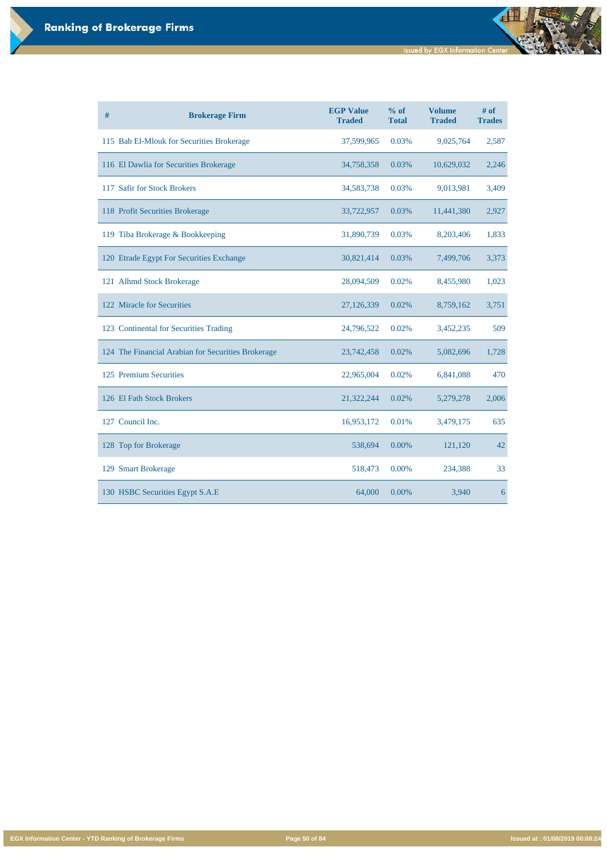**Issued by EGX Information Center** 

đ

**EGX Information Center - YTD Ranking of Brokerage Firms Page 50 of 84 Issued at : 01/08/2019 00:08:24**

| #<br><b>Brokerage Firm</b>                         | <b>EGP Value</b><br><b>Traded</b> | $%$ of<br><b>Total</b> | <b>Volume</b><br><b>Traded</b> | # of<br><b>Trades</b> |
|----------------------------------------------------|-----------------------------------|------------------------|--------------------------------|-----------------------|
| 115 Bab El-Mlouk for Securities Brokerage          | 37,599,965                        | 0.03%                  | 9,025,764                      | 2,587                 |
| 116 El Dawlia for Securities Brokerage             | 34,758,358                        | 0.03%                  | 10,629,032                     | 2,246                 |
| 117 Safir for Stock Brokers                        | 34, 583, 738                      | 0.03%                  | 9,013,981                      | 3,409                 |
| 118 Profit Securities Brokerage                    | 33,722,957                        | 0.03%                  | 11,441,380                     | 2,927                 |
| 119 Tiba Brokerage & Bookkeeping                   | 31,890,739                        | 0.03%                  | 8,203,406                      | 1,833                 |
| 120 Etrade Egypt For Securities Exchange           | 30,821,414                        | 0.03%                  | 7,499,706                      | 3,373                 |
| 121 Alhmd Stock Brokerage                          | 28,094,509                        | 0.02%                  | 8,455,980                      | 1,023                 |
| 122 Miracle for Securities                         | 27,126,339                        | 0.02%                  | 8,759,162                      | 3,751                 |
| 123 Continental for Securities Trading             | 24,796,522                        | 0.02%                  | 3,452,235                      | 509                   |
| 124 The Financial Arabian for Securities Brokerage | 23,742,458                        | 0.02%                  | 5,082,696                      | 1,728                 |
| 125 Premium Securities                             | 22,965,004                        | 0.02%                  | 6,841,088                      | 470                   |
| 126 El Fath Stock Brokers                          | 21,322,244                        | 0.02%                  | 5,279,278                      | 2,006                 |
| 127 Council Inc.                                   | 16,953,172                        | 0.01%                  | 3,479,175                      | 635                   |
| 128 Top for Brokerage                              | 538,694                           | 0.00%                  | 121,120                        | 42                    |
| 129 Smart Brokerage                                | 518,473                           | 0.00%                  | 234,388                        | 33                    |
| 130 HSBC Securities Egypt S.A.E                    | 64,000                            | 0.00%                  | 3,940                          | 6                     |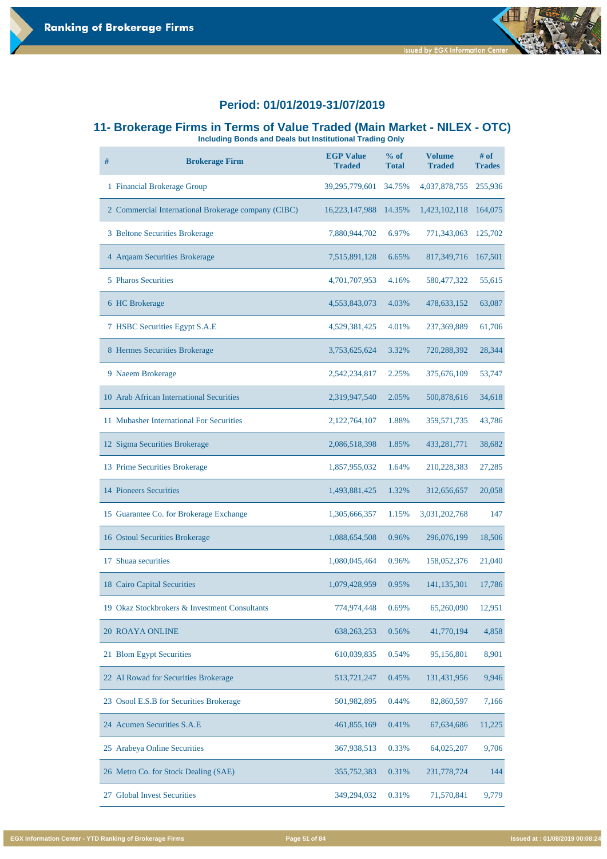

#### **11- Brokerage Firms in Terms of Value Traded (Main Market - NILEX - OTC)**

**Including Bonds and Deals but Institutional Trading Only** 

| #  | <b>Brokerage Firm</b>                               | <b>EGP Value</b><br><b>Traded</b> | $%$ of<br><b>Total</b> | <b>Volume</b><br><b>Traded</b> | $#$ of<br><b>Trades</b> |
|----|-----------------------------------------------------|-----------------------------------|------------------------|--------------------------------|-------------------------|
|    | 1 Financial Brokerage Group                         | 39,295,779,601                    | 34.75%                 | 4,037,878,755                  | 255,936                 |
|    | 2 Commercial International Brokerage company (CIBC) | 16,223,147,988                    | 14.35%                 | 1,423,102,118                  | 164,075                 |
|    | 3 Beltone Securities Brokerage                      | 7,880,944,702                     | 6.97%                  | 771,343,063                    | 125,702                 |
|    | 4 Arqaam Securities Brokerage                       | 7,515,891,128                     | 6.65%                  | 817, 349, 716                  | 167,501                 |
|    | 5 Pharos Securities                                 | 4,701,707,953                     | 4.16%                  | 580, 477, 322                  | 55,615                  |
|    | 6 HC Brokerage                                      | 4,553,843,073                     | 4.03%                  | 478, 633, 152                  | 63,087                  |
|    | 7 HSBC Securities Egypt S.A.E                       | 4,529,381,425                     | 4.01%                  | 237, 369, 889                  | 61,706                  |
|    | 8 Hermes Securities Brokerage                       | 3,753,625,624                     | 3.32%                  | 720,288,392                    | 28,344                  |
|    | 9 Naeem Brokerage                                   | 2,542,234,817                     | 2.25%                  | 375,676,109                    | 53,747                  |
|    | 10 Arab African International Securities            | 2,319,947,540                     | 2.05%                  | 500,878,616                    | 34,618                  |
|    | 11 Mubasher International For Securities            | 2,122,764,107                     | 1.88%                  | 359,571,735                    | 43,786                  |
|    | 12 Sigma Securities Brokerage                       | 2,086,518,398                     | 1.85%                  | 433, 281, 771                  | 38,682                  |
|    | 13 Prime Securities Brokerage                       | 1,857,955,032                     | 1.64%                  | 210,228,383                    | 27,285                  |
|    | 14 Pioneers Securities                              | 1,493,881,425                     | 1.32%                  | 312,656,657                    | 20,058                  |
|    | 15 Guarantee Co. for Brokerage Exchange             | 1,305,666,357                     | 1.15%                  | 3,031,202,768                  | 147                     |
|    | 16 Ostoul Securities Brokerage                      | 1,088,654,508                     | 0.96%                  | 296,076,199                    | 18,506                  |
| 17 | Shuaa securities                                    | 1,080,045,464                     | 0.96%                  | 158,052,376                    | 21,040                  |
|    | 18 Cairo Capital Securities                         | 1,079,428,959                     | 0.95%                  | 141,135,301                    | 17,786                  |
|    | 19 Okaz Stockbrokers & Investment Consultants       | 774,974,448                       | 0.69%                  | 65,260,090                     | 12,951                  |

| <b>20 ROAYA ONLINE</b>                  | 638, 263, 253 | 0.56% | 41,770,194  | 4,858  |
|-----------------------------------------|---------------|-------|-------------|--------|
| 21 Blom Egypt Securities                | 610,039,835   | 0.54% | 95,156,801  | 8,901  |
| 22 Al Rowad for Securities Brokerage    | 513,721,247   | 0.45% | 131,431,956 | 9,946  |
| 23 Osool E.S.B for Securities Brokerage | 501,982,895   | 0.44% | 82,860,597  | 7,166  |
| 24 Acumen Securities S.A.E              | 461,855,169   | 0.41% | 67,634,686  | 11,225 |
| 25 Arabeya Online Securities            | 367,938,513   | 0.33% | 64,025,207  | 9,706  |
| 26 Metro Co. for Stock Dealing (SAE)    | 355,752,383   | 0.31% | 231,778,724 | 144    |
| <b>Global Invest Securities</b><br>27   | 349,294,032   | 0.31% | 71,570,841  | 9,779  |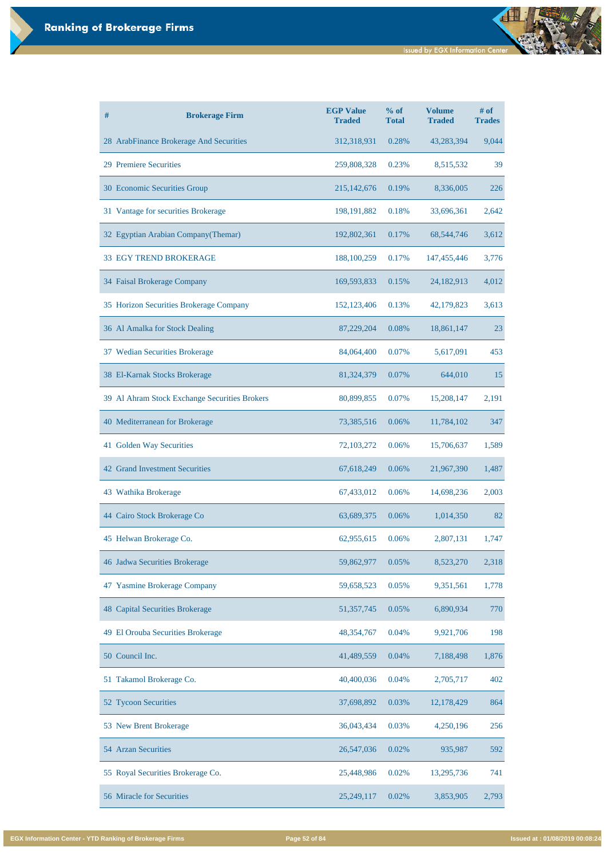| $\#$ | <b>Brokerage Firm</b>                         | <b>EGP Value</b><br><b>Traded</b> | % of<br><b>Total</b> | <b>Volume</b><br><b>Traded</b> | # of<br><b>Trades</b> |
|------|-----------------------------------------------|-----------------------------------|----------------------|--------------------------------|-----------------------|
|      | 28 ArabFinance Brokerage And Securities       | 312,318,931                       | 0.28%                | 43,283,394                     | 9,044                 |
|      | 29 Premiere Securities                        | 259,808,328                       | 0.23%                | 8,515,532                      | 39                    |
|      | 30 Economic Securities Group                  | 215, 142, 676                     | 0.19%                | 8,336,005                      | 226                   |
|      | 31 Vantage for securities Brokerage           | 198, 191, 882                     | 0.18%                | 33,696,361                     | 2,642                 |
|      | 32 Egyptian Arabian Company (Themar)          | 192,802,361                       | 0.17%                | 68, 544, 746                   | 3,612                 |
|      | <b>33 EGY TREND BROKERAGE</b>                 | 188,100,259                       | 0.17%                | 147,455,446                    | 3,776                 |
|      | 34 Faisal Brokerage Company                   | 169,593,833                       | 0.15%                | 24,182,913                     | 4,012                 |
|      | 35 Horizon Securities Brokerage Company       | 152, 123, 406                     | 0.13%                | 42,179,823                     | 3,613                 |
|      | 36 Al Amalka for Stock Dealing                | 87,229,204                        | 0.08%                | 18,861,147                     | 23                    |
|      | 37 Wedian Securities Brokerage                | 84,064,400                        | 0.07%                | 5,617,091                      | 453                   |
|      | 38 El-Karnak Stocks Brokerage                 | 81,324,379                        | 0.07%                | 644,010                        | 15                    |
|      | 39 Al Ahram Stock Exchange Securities Brokers | 80,899,855                        | 0.07%                | 15,208,147                     | 2,191                 |
|      | 40 Mediterranean for Brokerage                | 73,385,516                        | 0.06%                | 11,784,102                     | 347                   |
|      | 41 Golden Way Securities                      | 72,103,272                        | 0.06%                | 15,706,637                     | 1,589                 |
|      | <b>42 Grand Investment Securities</b>         | 67,618,249                        | 0.06%                | 21,967,390                     | 1,487                 |
|      | 43 Wathika Brokerage                          | 67,433,012                        | 0.06%                | 14,698,236                     | 2,003                 |
|      | 44 Cairo Stock Brokerage Co                   | 63,689,375                        | 0.06%                | 1,014,350                      | 82                    |
|      | 45 Helwan Brokerage Co.                       | 62,955,615                        | 0.06%                | 2,807,131                      | 1,747                 |
|      | 46 Jadwa Securities Brokerage                 | 59,862,977                        | 0.05%                | 8,523,270                      | 2,318                 |
|      | 47 Yasmine Brokerage Company                  | 59,658,523                        | 0.05%                | 9,351,561                      | 1,778                 |
|      | <b>48 Capital Securities Brokerage</b>        | 51,357,745                        | 0.05%                | 6,890,934                      | 770                   |

| 49 El Orouba Securities Brokerage | 48,354,767   | 0.04% | 9,921,706  | 198   |
|-----------------------------------|--------------|-------|------------|-------|
| 50 Council Inc.                   | 41,489,559   | 0.04% | 7,188,498  | 1,876 |
| Takamol Brokerage Co.<br>51       | 40,400,036   | 0.04% | 2,705,717  | 402   |
| 52 Tycoon Securities              | 37,698,892   | 0.03% | 12,178,429 | 864   |
| 53 New Brent Brokerage            | 36,043,434   | 0.03% | 4,250,196  | 256   |
| 54 Arzan Securities               | 26,547,036   | 0.02% | 935,987    | 592   |
| 55 Royal Securities Brokerage Co. | 25,448,986   | 0.02% | 13,295,736 | 741   |
| 56 Miracle for Securities         | 25, 249, 117 | 0.02% | 3,853,905  | 2,793 |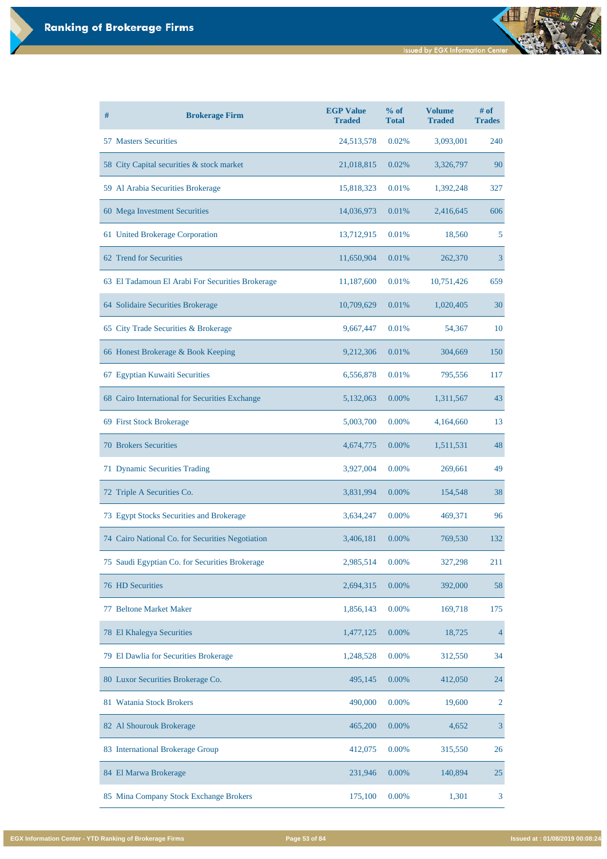| $\#$ | <b>Brokerage Firm</b>                            | <b>EGP Value</b><br><b>Traded</b> | % of<br><b>Total</b> | <b>Volume</b><br><b>Traded</b> | # of<br><b>Trades</b> |
|------|--------------------------------------------------|-----------------------------------|----------------------|--------------------------------|-----------------------|
|      | <b>57 Masters Securities</b>                     | 24, 513, 578                      | 0.02%                | 3,093,001                      | 240                   |
|      | 58 City Capital securities & stock market        | 21,018,815                        | 0.02%                | 3,326,797                      | 90                    |
|      | 59 Al Arabia Securities Brokerage                | 15,818,323                        | 0.01%                | 1,392,248                      | 327                   |
|      | 60 Mega Investment Securities                    | 14,036,973                        | 0.01%                | 2,416,645                      | 606                   |
|      | 61 United Brokerage Corporation                  | 13,712,915                        | 0.01%                | 18,560                         | 5                     |
|      | 62 Trend for Securities                          | 11,650,904                        | 0.01%                | 262,370                        | 3                     |
|      | 63 El Tadamoun El Arabi For Securities Brokerage | 11,187,600                        | 0.01%                | 10,751,426                     | 659                   |
|      | 64 Solidaire Securities Brokerage                | 10,709,629                        | 0.01%                | 1,020,405                      | 30                    |
|      | 65 City Trade Securities & Brokerage             | 9,667,447                         | 0.01%                | 54,367                         | 10                    |
|      | 66 Honest Brokerage & Book Keeping               | 9,212,306                         | 0.01%                | 304,669                        | 150                   |
|      | 67 Egyptian Kuwaiti Securities                   | 6,556,878                         | 0.01%                | 795,556                        | 117                   |
|      | 68 Cairo International for Securities Exchange   | 5,132,063                         | 0.00%                | 1,311,567                      | 43                    |
|      | 69 First Stock Brokerage                         | 5,003,700                         | 0.00%                | 4,164,660                      | 13                    |
|      | <b>70 Brokers Securities</b>                     | 4,674,775                         | 0.00%                | 1,511,531                      | 48                    |
|      | 71 Dynamic Securities Trading                    | 3,927,004                         | 0.00%                | 269,661                        | 49                    |
|      | 72 Triple A Securities Co.                       | 3,831,994                         | 0.00%                | 154,548                        | 38                    |
|      | 73 Egypt Stocks Securities and Brokerage         | 3,634,247                         | 0.00%                | 469,371                        | 96                    |
|      | 74 Cairo National Co. for Securities Negotiation | 3,406,181                         | 0.00%                | 769,530                        | 132                   |
|      | 75 Saudi Egyptian Co. for Securities Brokerage   | 2,985,514                         | 0.00%                | 327,298                        | 211                   |
|      | <b>76 HD Securities</b>                          | 2,694,315                         | 0.00%                | 392,000                        | 58                    |
| 77.  | <b>Beltone Market Maker</b>                      | 1,856,143                         | 0.00%                | 169,718                        | 175                   |

| 78 El Khalegya Securities              | 1,477,125 | $0.00\%$ | 18,725  | $\overline{4}$ |
|----------------------------------------|-----------|----------|---------|----------------|
| 79 El Dawlia for Securities Brokerage  | 1,248,528 | $0.00\%$ | 312,550 | 34             |
| 80 Luxor Securities Brokerage Co.      | 495,145   | 0.00%    | 412,050 | 24             |
| 81 Watania Stock Brokers               | 490,000   | $0.00\%$ | 19,600  | $\overline{2}$ |
| 82 Al Shourouk Brokerage               | 465,200   | 0.00%    | 4,652   | 3              |
| 83 International Brokerage Group       | 412,075   | 0.00%    | 315,550 | 26             |
| 84 El Marwa Brokerage                  | 231,946   | 0.00%    | 140,894 | 25             |
| 85 Mina Company Stock Exchange Brokers | 175,100   | $0.00\%$ | 1,301   | 3              |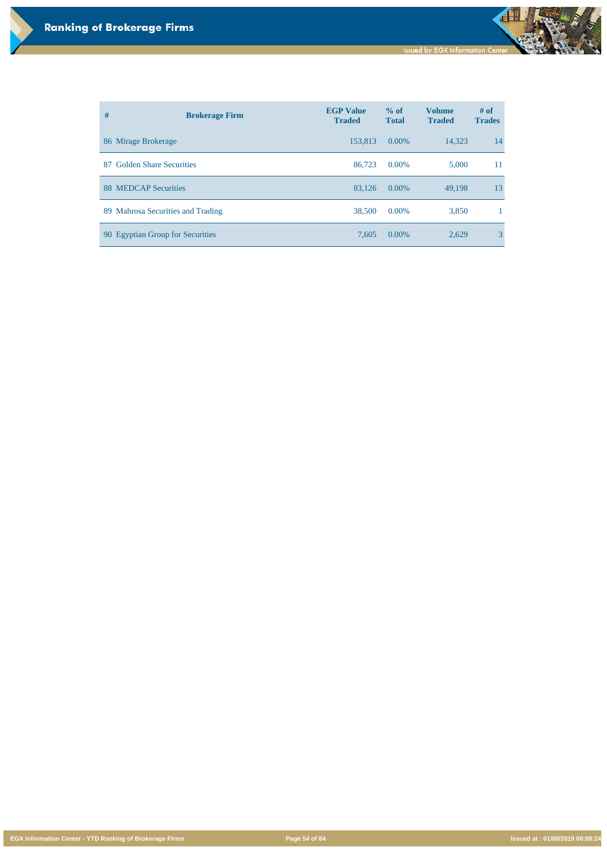**EGX Information Center - YTD Ranking of Brokerage Firms Page 54 of 84 Issued at : 01/08/2019 00:08:24**

| #                                     | <b>Brokerage Firm</b> | <b>EGP Value</b><br><b>Traded</b> | $%$ of<br><b>Total</b> | <b>Volume</b><br><b>Traded</b> | # of<br><b>Trades</b> |
|---------------------------------------|-----------------------|-----------------------------------|------------------------|--------------------------------|-----------------------|
| 86 Mirage Brokerage                   |                       | 153,813                           | $0.00\%$               | 14,323                         | 14                    |
| <b>Golden Share Securities</b><br>87. |                       | 86,723                            | $0.00\%$               | 5,000                          | 11                    |
| <b>88 MEDCAP Securities</b>           |                       | 83,126                            | $0.00\%$               | 49,198                         | 13                    |
| 89 Mahrosa Securities and Trading     |                       | 38,500                            | 0.00%                  | 3,850                          |                       |
| 90 Egyptian Group for Securities      |                       | 7,605                             | 0.00%                  | 2,629                          | 3                     |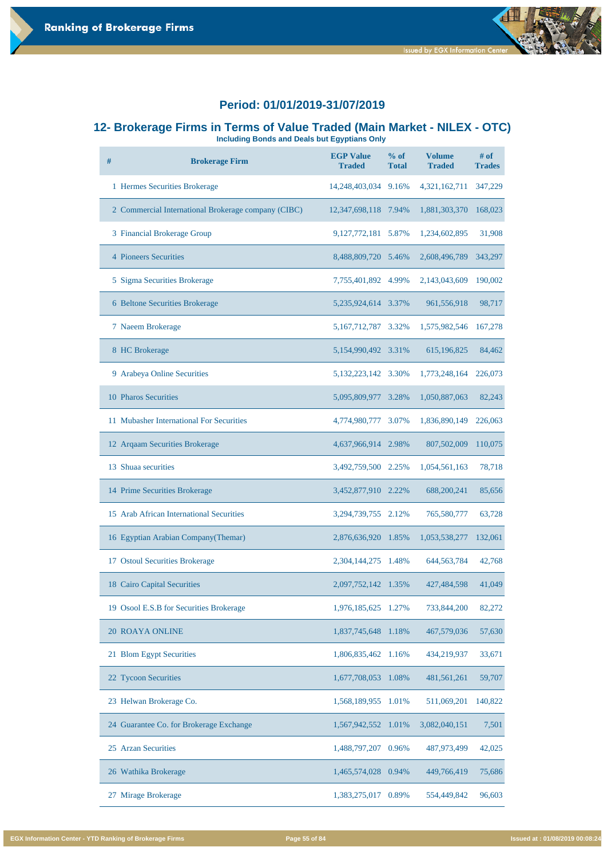### **Period: 01/01/2019-31/07/2019**

# **12- Brokerage Firms in Terms of Value Traded (Main Market - NILEX - OTC)**

**Including Bonds and Deals but Egyptians Only** 

| # | <b>Brokerage Firm</b>                               | <b>EGP Value</b><br><b>Traded</b> | % of<br><b>Total</b> | <b>Volume</b><br><b>Traded</b> | $#$ of<br><b>Trades</b> |
|---|-----------------------------------------------------|-----------------------------------|----------------------|--------------------------------|-------------------------|
|   | 1 Hermes Securities Brokerage                       | 14,248,403,034                    | 9.16%                | 4,321,162,711                  | 347,229                 |
|   | 2 Commercial International Brokerage company (CIBC) | 12,347,698,118                    | 7.94%                | 1,881,303,370                  | 168,023                 |
|   | 3 Financial Brokerage Group                         | 9, 127, 772, 181                  | 5.87%                | 1,234,602,895                  | 31,908                  |
|   | 4 Pioneers Securities                               | 8,488,809,720                     | 5.46%                | 2,608,496,789                  | 343,297                 |
|   | 5 Sigma Securities Brokerage                        | 7,755,401,892                     | 4.99%                | 2,143,043,609                  | 190,002                 |
|   | 6 Beltone Securities Brokerage                      | 5,235,924,614                     | 3.37%                | 961,556,918                    | 98,717                  |
|   | 7 Naeem Brokerage                                   | 5, 167, 712, 787                  | 3.32%                | 1,575,982,546                  | 167,278                 |
|   | 8 HC Brokerage                                      | 5,154,990,492                     | 3.31%                | 615,196,825                    | 84,462                  |
|   | 9 Arabeya Online Securities                         | 5, 132, 223, 142                  | 3.30%                | 1,773,248,164                  | 226,073                 |
|   | 10 Pharos Securities                                | 5,095,809,977                     | 3.28%                | 1,050,887,063                  | 82,243                  |
|   | 11 Mubasher International For Securities            | 4,774,980,777                     | 3.07%                | 1,836,890,149                  | 226,063                 |
|   | 12 Arqaam Securities Brokerage                      | 4,637,966,914                     | 2.98%                | 807,502,009                    | 110,075                 |
|   | 13 Shuaa securities                                 | 3,492,759,500 2.25%               |                      | 1,054,561,163                  | 78,718                  |
|   | 14 Prime Securities Brokerage                       | 3,452,877,910                     | 2.22%                | 688,200,241                    | 85,656                  |
|   | 15 Arab African International Securities            | 3,294,739,755                     | 2.12%                | 765,580,777                    | 63,728                  |
|   | 16 Egyptian Arabian Company (Themar)                | 2,876,636,920                     | 1.85%                | 1,053,538,277                  | 132,061                 |
|   | 17 Ostoul Securities Brokerage                      | 2,304,144,275                     | 1.48%                | 644, 563, 784                  | 42,768                  |
|   | 18 Cairo Capital Securities                         | 2,097,752,142                     | 1.35%                | 427,484,598                    | 41,049                  |
|   | 19 Osool E.S.B for Securities Brokerage             | 1,976,185,625                     | 1.27%                | 733,844,200                    | 82,272                  |

| <b>20 ROAYA ONLINE</b>                  | 1,837,745,648 1.18% |       | 467,579,036   | 57,630  |
|-----------------------------------------|---------------------|-------|---------------|---------|
| 21 Blom Egypt Securities                | 1,806,835,462       | 1.16% | 434,219,937   | 33,671  |
| 22 Tycoon Securities                    | 1,677,708,053       | 1.08% | 481,561,261   | 59,707  |
| 23 Helwan Brokerage Co.                 | 1,568,189,955       | 1.01% | 511,069,201   | 140,822 |
| 24 Guarantee Co. for Brokerage Exchange | 1,567,942,552       | 1.01% | 3,082,040,151 | 7,501   |
| <b>Arzan Securities</b><br>25           | 1,488,797,207       | 0.96% | 487,973,499   | 42,025  |
| 26 Wathika Brokerage                    | 1,465,574,028       | 0.94% | 449,766,419   | 75,686  |
| Mirage Brokerage<br>27                  | 1,383,275,017       | 0.89% | 554,449,842   | 96,603  |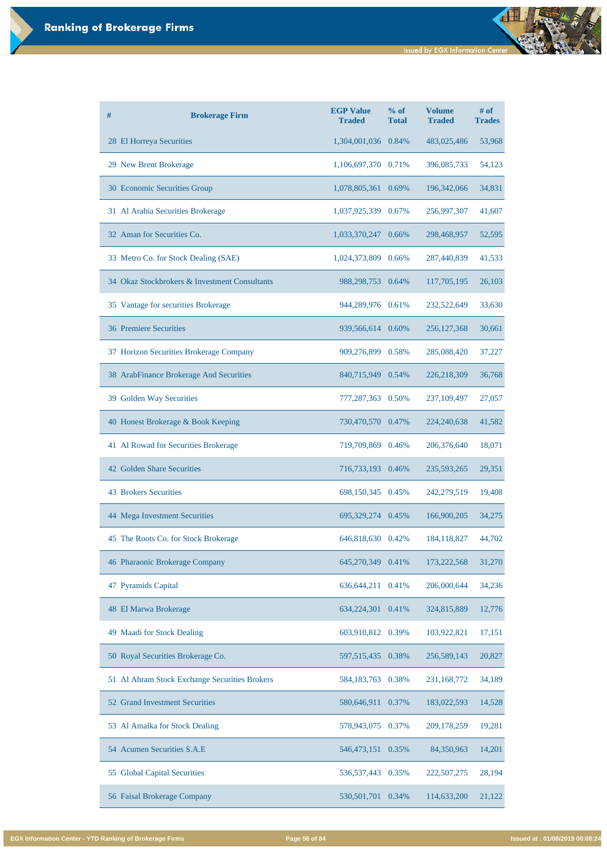| #<br><b>Brokerage Firm</b>                    | <b>EGP Value</b><br><b>Traded</b> | $%$ of<br><b>Total</b> | <b>Volume</b><br><b>Traded</b> | $#$ of<br><b>Trades</b> |
|-----------------------------------------------|-----------------------------------|------------------------|--------------------------------|-------------------------|
| 28 El Horreya Securities                      | 1,304,001,036 0.84%               |                        | 483,025,486                    | 53,968                  |
| 29 New Brent Brokerage                        | 1,106,697,370 0.71%               |                        | 396,085,733                    | 54,123                  |
| 30 Economic Securities Group                  | 1,078,805,361                     | 0.69%                  | 196, 342, 066                  | 34,831                  |
| 31 Al Arabia Securities Brokerage             | 1,037,925,339 0.67%               |                        | 256,997,307                    | 41,607                  |
| 32 Aman for Securities Co.                    | 1,033,370,247                     | 0.66%                  | 298,468,957                    | 52,595                  |
| 33 Metro Co. for Stock Dealing (SAE)          | 1,024,373,809                     | $0.66\%$               | 287,440,839                    | 41,533                  |
| 34 Okaz Stockbrokers & Investment Consultants | 988, 298, 753                     | 0.64%                  | 117,705,195                    | 26,103                  |
| 35 Vantage for securities Brokerage           | 944,289,976 0.61%                 |                        | 232,522,649                    | 33,630                  |
| <b>36 Premiere Securities</b>                 | 939,566,614 0.60%                 |                        | 256, 127, 368                  | 30,661                  |
| 37 Horizon Securities Brokerage Company       | 909,276,899 0.58%                 |                        | 285,088,420                    | 37,227                  |
| 38 ArabFinance Brokerage And Securities       | 840,715,949 0.54%                 |                        | 226,218,309                    | 36,768                  |
| 39 Golden Way Securities                      | 777,287,363 0.50%                 |                        | 237,109,497                    | 27,057                  |
| 40 Honest Brokerage & Book Keeping            | 730,470,570 0.47%                 |                        | 224,240,638                    | 41,582                  |
| 41 Al Rowad for Securities Brokerage          | 719,709,869 0.46%                 |                        | 206,376,640                    | 18,071                  |
| 42 Golden Share Securities                    | 716,733,193                       | 0.46%                  | 235,593,265                    | 29,351                  |
| <b>43 Brokers Securities</b>                  | 698,150,345 0.45%                 |                        | 242,279,519                    | 19,408                  |
| 44 Mega Investment Securities                 | 695,329,274 0.45%                 |                        | 166,900,205                    | 34,275                  |
| 45 The Roots Co. for Stock Brokerage          | 646,818,630                       | 0.42%                  | 184, 118, 827                  | 44,702                  |
| 46 Pharaonic Brokerage Company                | 645,270,349                       | 0.41%                  | 173,222,568                    | 31,270                  |
| 47 Pyramids Capital                           | 636, 644, 211                     | 0.41%                  | 206,000,644                    | 34,236                  |
| 48 El Marwa Brokerage                         | 634,224,301                       | 0.41%                  | 324,815,889                    | 12,776                  |

| 49 Maadi for Stock Dealing                    | 603,910,812 0.39%    | 103,922,821 | 17,151 |
|-----------------------------------------------|----------------------|-------------|--------|
| 50 Royal Securities Brokerage Co.             | 597,515,435 0.38%    | 256,589,143 | 20,827 |
| 51 Al Ahram Stock Exchange Securities Brokers | 584,183,763 0.38%    | 231,168,772 | 34,189 |
| 52 Grand Investment Securities                | 580,646,911<br>0.37% | 183,022,593 | 14,528 |
| 53 Al Amalka for Stock Dealing                | 578,943,075 0.37%    | 209,178,259 | 19,281 |
| 54 Acumen Securities S.A.E                    | 546,473,151<br>0.35% | 84,350,963  | 14,201 |
| 55 Global Capital Securities                  | 536, 537, 443 0.35%  | 222,507,275 | 28,194 |
| 56 Faisal Brokerage Company                   | 530,501,701<br>0.34% | 114,633,200 | 21,122 |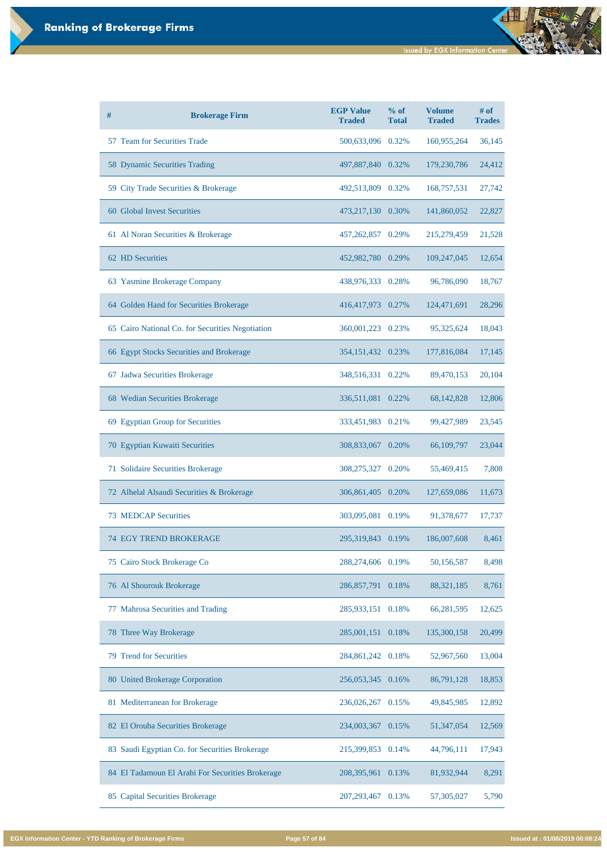| # | <b>Brokerage Firm</b>                            | <b>EGP Value</b><br><b>Traded</b> | % of<br><b>Total</b> | <b>Volume</b><br><b>Traded</b> | $#$ of<br><b>Trades</b> |
|---|--------------------------------------------------|-----------------------------------|----------------------|--------------------------------|-------------------------|
|   | 57 Team for Securities Trade                     | 500,633,096                       | 0.32%                | 160,955,264                    | 36,145                  |
|   | 58 Dynamic Securities Trading                    | 497,887,840 0.32%                 |                      | 179,230,786                    | 24,412                  |
|   | 59 City Trade Securities & Brokerage             | 492,513,809 0.32%                 |                      | 168,757,531                    | 27,742                  |
|   | 60 Global Invest Securities                      | 473,217,130                       | 0.30%                | 141,860,052                    | 22,827                  |
|   | 61 Al Noran Securities & Brokerage               | 457, 262, 857                     | 0.29%                | 215,279,459                    | 21,528                  |
|   | 62 HD Securities                                 | 452,982,780                       | 0.29%                | 109,247,045                    | 12,654                  |
|   | 63 Yasmine Brokerage Company                     | 438,976,333 0.28%                 |                      | 96,786,090                     | 18,767                  |
|   | 64 Golden Hand for Securities Brokerage          | 416,417,973 0.27%                 |                      | 124,471,691                    | 28,296                  |
|   | 65 Cairo National Co. for Securities Negotiation | 360,001,223                       | 0.23%                | 95,325,624                     | 18,043                  |
|   | 66 Egypt Stocks Securities and Brokerage         | 354, 151, 432                     | 0.23%                | 177,816,084                    | 17,145                  |
|   | 67 Jadwa Securities Brokerage                    | 348,516,331                       | 0.22%                | 89,470,153                     | 20,104                  |
|   | 68 Wedian Securities Brokerage                   | 336,511,081                       | 0.22%                | 68,142,828                     | 12,806                  |
|   | 69 Egyptian Group for Securities                 | 333,451,983 0.21%                 |                      | 99,427,989                     | 23,545                  |
|   | 70 Egyptian Kuwaiti Securities                   | 308,833,067                       | 0.20%                | 66, 109, 797                   | 23,044                  |
|   | 71 Solidaire Securities Brokerage                | 308, 275, 327                     | 0.20%                | 55,469,415                     | 7,808                   |
|   | 72 Alhelal Alsaudi Securities & Brokerage        | 306,861,405                       | 0.20%                | 127,659,086                    | 11,673                  |
|   | <b>73 MEDCAP Securities</b>                      | 303,095,081                       | 0.19%                | 91,378,677                     | 17,737                  |
|   | <b>74 EGY TREND BROKERAGE</b>                    | 295, 319, 843                     | 0.19%                | 186,007,608                    | 8,461                   |
|   | 75 Cairo Stock Brokerage Co                      | 288,274,606                       | 0.19%                | 50,156,587                     | 8,498                   |
|   | 76 Al Shourouk Brokerage                         | 286,857,791                       | 0.18%                | 88, 321, 185                   | 8,761                   |
|   | 77 Mahrosa Securities and Trading                | 285,933,151                       | 0.18%                | 66,281,595                     | 12,625                  |

| 78 Three Way Brokerage                           | 285,001,151 0.18% |       | 135,300,158 | 20,499 |
|--------------------------------------------------|-------------------|-------|-------------|--------|
| 79 Trend for Securities                          | 284,861,242 0.18% |       | 52,967,560  | 13,004 |
| 80 United Brokerage Corporation                  | 256,053,345 0.16% |       | 86,791,128  | 18,853 |
| 81 Mediterranean for Brokerage                   | 236,026,267       | 0.15% | 49,845,985  | 12,892 |
| 82 El Orouba Securities Brokerage                | 234,003,367       | 0.15% | 51,347,054  | 12,569 |
| 83 Saudi Egyptian Co. for Securities Brokerage   | 215,399,853       | 0.14% | 44,796,111  | 17,943 |
| 84 El Tadamoun El Arabi For Securities Brokerage | 208, 395, 961     | 0.13% | 81,932,944  | 8,291  |
| 85 Capital Securities Brokerage                  | 207, 293, 467     | 0.13% | 57,305,027  | 5,790  |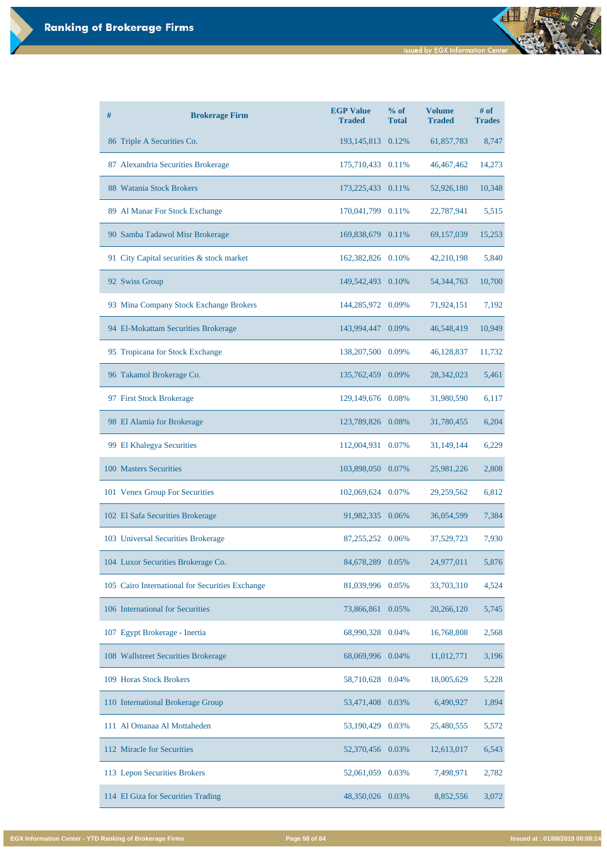| # | <b>Brokerage Firm</b>                           | <b>EGP Value</b><br><b>Traded</b> | $%$ of<br><b>Total</b> | <b>Volume</b><br><b>Traded</b> | # of<br><b>Trades</b> |
|---|-------------------------------------------------|-----------------------------------|------------------------|--------------------------------|-----------------------|
|   | 86 Triple A Securities Co.                      | 193, 145, 813                     | 0.12%                  | 61,857,783                     | 8,747                 |
|   | 87 Alexandria Securities Brokerage              | 175,710,433 0.11%                 |                        | 46,467,462                     | 14,273                |
|   | 88 Watania Stock Brokers                        | 173, 225, 433                     | 0.11\%                 | 52,926,180                     | 10,348                |
|   | 89 Al Manar For Stock Exchange                  | 170,041,799                       | 0.11%                  | 22,787,941                     | 5,515                 |
|   | 90 Samba Tadawol Misr Brokerage                 | 169,838,679                       | 0.11%                  | 69,157,039                     | 15,253                |
|   | 91 City Capital securities & stock market       | 162,382,826                       | 0.10%                  | 42,210,198                     | 5,840                 |
|   | 92 Swiss Group                                  | 149,542,493                       | 0.10%                  | 54, 344, 763                   | 10,700                |
|   | 93 Mina Company Stock Exchange Brokers          | 144,285,972                       | 0.09%                  | 71,924,151                     | 7,192                 |
|   | 94 El-Mokattam Securities Brokerage             | 143,994,447                       | 0.09%                  | 46,548,419                     | 10,949                |
|   | 95 Tropicana for Stock Exchange                 | 138, 207, 500                     | 0.09%                  | 46,128,837                     | 11,732                |
|   | 96 Takamol Brokerage Co.                        | 135,762,459                       | 0.09%                  | 28,342,023                     | 5,461                 |
|   | 97 First Stock Brokerage                        | 129, 149, 676                     | 0.08%                  | 31,980,590                     | 6,117                 |
|   | 98 El Alamia for Brokerage                      | 123,789,826                       | 0.08%                  | 31,780,455                     | 6,204                 |
|   | 99 El Khalegya Securities                       | 112,004,931                       | 0.07%                  | 31,149,144                     | 6,229                 |
|   | 100 Masters Securities                          | 103,898,050                       | 0.07%                  | 25,981,226                     | 2,808                 |
|   | 101 Venex Group For Securities                  | 102,069,624                       | 0.07%                  | 29,259,562                     | 6,812                 |
|   | 102 El Safa Securities Brokerage                | 91,982,335                        | 0.06%                  | 36,054,599                     | 7,384                 |
|   | 103 Universal Securities Brokerage              | 87, 255, 252                      | 0.06%                  | 37,529,723                     | 7,930                 |
|   | 104 Luxor Securities Brokerage Co.              | 84,678,289                        | 0.05%                  | 24,977,011                     | 5,876                 |
|   | 105 Cairo International for Securities Exchange | 81,039,996                        | 0.05%                  | 33,703,310                     | 4,524                 |
|   | 106 International for Securities                | 73,866,861                        | 0.05%                  | 20,266,120                     | 5,745                 |

| 107 Egypt Brokerage - Inertia       | 68,990,328 0.04% |       | 16,768,808 | 2,568 |
|-------------------------------------|------------------|-------|------------|-------|
| 108 Wallstreet Securities Brokerage | 68,069,996 0.04% |       | 11,012,771 | 3,196 |
| 109 Horas Stock Brokers             | 58,710,628 0.04% |       | 18,005,629 | 5,228 |
| 110 International Brokerage Group   | 53,471,408       | 0.03% | 6,490,927  | 1,894 |
| 111 Al Omanaa Al Mottaheden         | 53,190,429       | 0.03% | 25,480,555 | 5,572 |
| 112 Miracle for Securities          | 52,370,456 0.03% |       | 12,613,017 | 6,543 |
| 113 Lepon Securities Brokers        | 52,061,059       | 0.03% | 7,498,971  | 2,782 |
| 114 El Giza for Securities Trading  | 48,350,026       | 0.03% | 8,852,556  | 3,072 |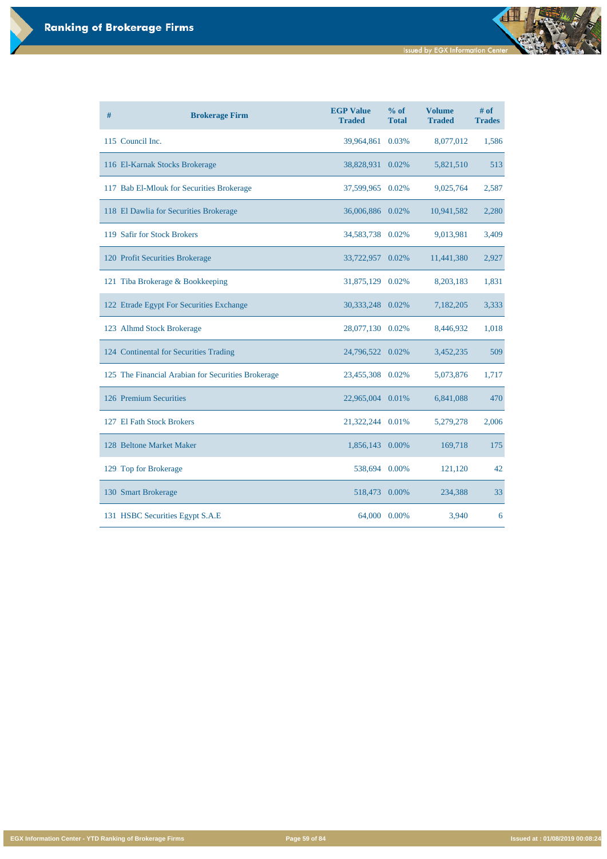**EGX Information Center - YTD Ranking of Brokerage Firms Page 59 of 84 Issued at : 01/08/2019 00:08:24**

| # | <b>Brokerage Firm</b>                              | <b>EGP Value</b><br><b>Traded</b> | % of<br><b>Total</b> | <b>Volume</b><br><b>Traded</b> | # of<br><b>Trades</b> |
|---|----------------------------------------------------|-----------------------------------|----------------------|--------------------------------|-----------------------|
|   | 115 Council Inc.                                   | 39,964,861                        | 0.03%                | 8,077,012                      | 1,586                 |
|   | 116 El-Karnak Stocks Brokerage                     | 38,828,931                        | 0.02%                | 5,821,510                      | 513                   |
|   | 117 Bab El-Mlouk for Securities Brokerage          | 37,599,965 0.02%                  |                      | 9,025,764                      | 2,587                 |
|   | 118 El Dawlia for Securities Brokerage             | 36,006,886 0.02%                  |                      | 10,941,582                     | 2,280                 |
|   | 119 Safir for Stock Brokers                        | 34, 583, 738                      | 0.02%                | 9,013,981                      | 3,409                 |
|   | 120 Profit Securities Brokerage                    | 33,722,957                        | 0.02%                | 11,441,380                     | 2,927                 |
|   | 121 Tiba Brokerage & Bookkeeping                   | 31,875,129 0.02%                  |                      | 8,203,183                      | 1,831                 |
|   | 122 Etrade Egypt For Securities Exchange           | 30,333,248 0.02%                  |                      | 7,182,205                      | 3,333                 |
|   | 123 Alhmd Stock Brokerage                          | 28,077,130 0.02%                  |                      | 8,446,932                      | 1,018                 |
|   | 124 Continental for Securities Trading             | 24,796,522                        | 0.02%                | 3,452,235                      | 509                   |
|   | 125 The Financial Arabian for Securities Brokerage | 23,455,308 0.02%                  |                      | 5,073,876                      | 1,717                 |
|   | 126 Premium Securities                             | 22,965,004 0.01%                  |                      | 6,841,088                      | 470                   |
|   | 127 El Fath Stock Brokers                          | 21,322,244 0.01%                  |                      | 5,279,278                      | 2,006                 |
|   | 128 Beltone Market Maker                           | 1,856,143                         | 0.00%                | 169,718                        | 175                   |
|   | 129 Top for Brokerage                              | 538,694                           | 0.00%                | 121,120                        | 42                    |
|   | 130 Smart Brokerage                                | 518,473                           | 0.00%                | 234,388                        | 33                    |
|   | 131 HSBC Securities Egypt S.A.E                    | 64,000                            | 0.00%                | 3,940                          | 6                     |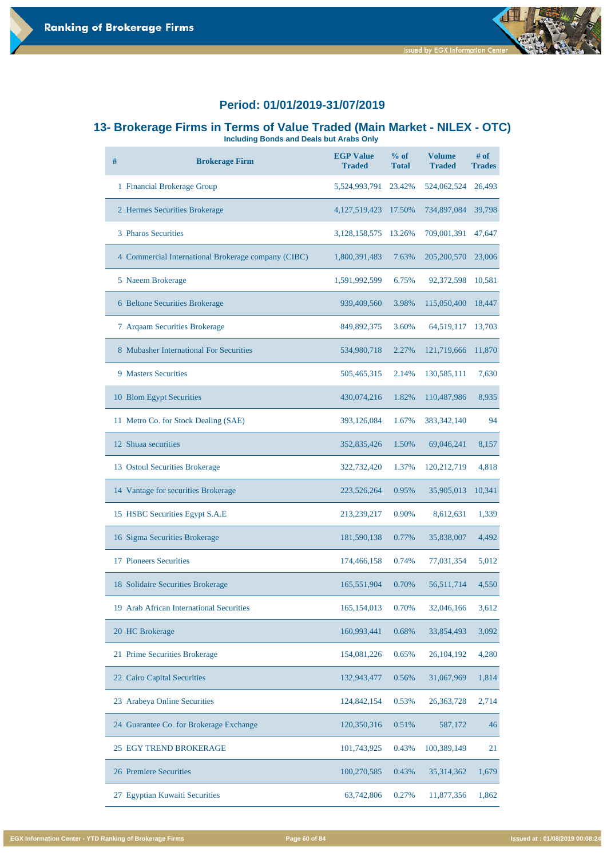### **Period: 01/01/2019-31/07/2019**

# **13- Brokerage Firms in Terms of Value Traded (Main Market - NILEX - OTC)**

**Including Bonds and Deals but Arabs Only** 

| # | <b>Brokerage Firm</b>                               | <b>EGP Value</b><br><b>Traded</b> | $%$ of<br><b>Total</b> | <b>Volume</b><br><b>Traded</b> | $#$ of<br><b>Trades</b> |
|---|-----------------------------------------------------|-----------------------------------|------------------------|--------------------------------|-------------------------|
|   | 1 Financial Brokerage Group                         | 5,524,993,791                     | 23.42%                 | 524,062,524                    | 26,493                  |
|   | 2 Hermes Securities Brokerage                       | 4, 127, 519, 423                  | 17.50%                 | 734,897,084                    | 39,798                  |
|   | 3 Pharos Securities                                 | 3,128,158,575                     | 13.26%                 | 709,001,391                    | 47,647                  |
|   | 4 Commercial International Brokerage company (CIBC) | 1,800,391,483                     | 7.63%                  | 205,200,570                    | 23,006                  |
|   | 5 Naeem Brokerage                                   | 1,591,992,599                     | 6.75%                  | 92,372,598                     | 10,581                  |
|   | 6 Beltone Securities Brokerage                      | 939,409,560                       | 3.98%                  | 115,050,400                    | 18,447                  |
|   | 7 Arqaam Securities Brokerage                       | 849, 892, 375                     | 3.60%                  | 64,519,117                     | 13,703                  |
|   | 8 Mubasher International For Securities             | 534,980,718                       | 2.27%                  | 121,719,666                    | 11,870                  |
|   | <b>9 Masters Securities</b>                         | 505,465,315                       | 2.14%                  | 130,585,111                    | 7,630                   |
|   | 10 Blom Egypt Securities                            | 430,074,216                       | 1.82%                  | 110,487,986                    | 8,935                   |
|   | 11 Metro Co. for Stock Dealing (SAE)                | 393,126,084                       | 1.67%                  | 383, 342, 140                  | 94                      |
|   | 12 Shuaa securities                                 | 352,835,426                       | 1.50%                  | 69,046,241                     | 8,157                   |
|   | 13 Ostoul Securities Brokerage                      | 322,732,420                       | 1.37%                  | 120,212,719                    | 4,818                   |
|   | 14 Vantage for securities Brokerage                 | 223,526,264                       | 0.95%                  | 35,905,013                     | 10,341                  |
|   | 15 HSBC Securities Egypt S.A.E                      | 213,239,217                       | 0.90%                  | 8,612,631                      | 1,339                   |
|   | 16 Sigma Securities Brokerage                       | 181,590,138                       | 0.77%                  | 35,838,007                     | 4,492                   |
|   | 17 Pioneers Securities                              | 174,466,158                       | 0.74%                  | 77,031,354                     | 5,012                   |
|   | 18 Solidaire Securities Brokerage                   | 165,551,904                       | 0.70%                  | 56,511,714                     | 4,550                   |
|   | 19 Arab African International Securities            | 165,154,013                       | 0.70%                  | 32,046,166                     | 3,612                   |

| 20 HC Brokerage                          | 160,993,441 | 0.68% | 33,854,493  | 3,092 |
|------------------------------------------|-------------|-------|-------------|-------|
| 21 Prime Securities Brokerage            | 154,081,226 | 0.65% | 26,104,192  | 4,280 |
| 22 Cairo Capital Securities              | 132,943,477 | 0.56% | 31,067,969  | 1,814 |
| 23 Arabeya Online Securities             | 124,842,154 | 0.53% | 26,363,728  | 2,714 |
| 24 Guarantee Co. for Brokerage Exchange  | 120,350,316 | 0.51% | 587,172     | 46    |
| <b>25 EGY TREND BROKERAGE</b>            | 101,743,925 | 0.43% | 100,389,149 | 21    |
| 26 Premiere Securities                   | 100,270,585 | 0.43% | 35,314,362  | 1,679 |
| <b>Egyptian Kuwaiti Securities</b><br>27 | 63,742,806  | 0.27% | 11,877,356  | 1,862 |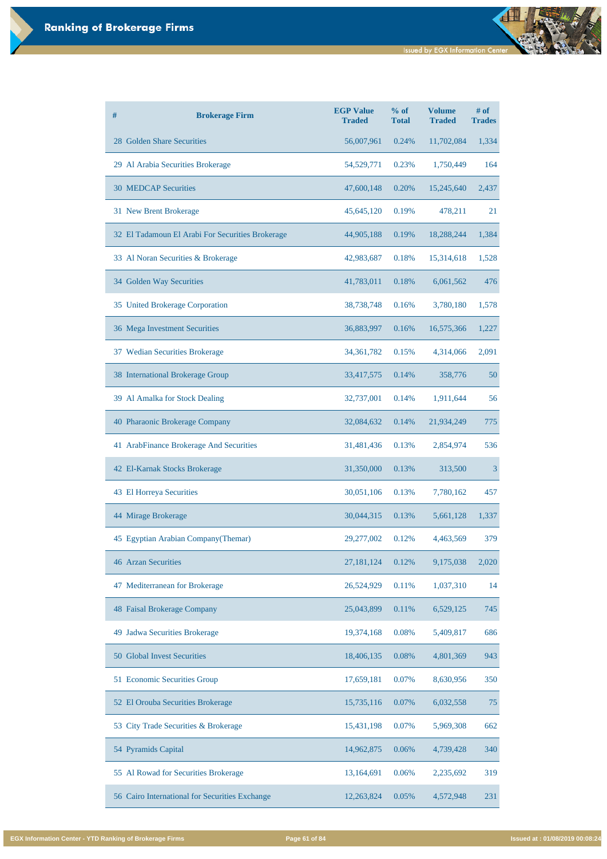| #<br><b>Brokerage Firm</b>                       | <b>EGP Value</b><br><b>Traded</b> | % of<br><b>Total</b> | <b>Volume</b><br><b>Traded</b> | # of<br><b>Trades</b> |
|--------------------------------------------------|-----------------------------------|----------------------|--------------------------------|-----------------------|
| 28 Golden Share Securities                       | 56,007,961                        | 0.24%                | 11,702,084                     | 1,334                 |
| 29 Al Arabia Securities Brokerage                | 54, 529, 771                      | 0.23%                | 1,750,449                      | 164                   |
| <b>30 MEDCAP Securities</b>                      | 47,600,148                        | 0.20%                | 15,245,640                     | 2,437                 |
| 31 New Brent Brokerage                           | 45,645,120                        | 0.19%                | 478,211                        | 21                    |
| 32 El Tadamoun El Arabi For Securities Brokerage | 44,905,188                        | 0.19%                | 18,288,244                     | 1,384                 |
| 33 Al Noran Securities & Brokerage               | 42,983,687                        | 0.18%                | 15,314,618                     | 1,528                 |
| 34 Golden Way Securities                         | 41,783,011                        | 0.18%                | 6,061,562                      | 476                   |
| 35 United Brokerage Corporation                  | 38,738,748                        | 0.16%                | 3,780,180                      | 1,578                 |
| 36 Mega Investment Securities                    | 36,883,997                        | 0.16%                | 16,575,366                     | 1,227                 |
| 37 Wedian Securities Brokerage                   | 34, 361, 782                      | 0.15%                | 4,314,066                      | 2,091                 |
| 38 International Brokerage Group                 | 33,417,575                        | 0.14%                | 358,776                        | 50                    |
| 39 Al Amalka for Stock Dealing                   | 32,737,001                        | 0.14%                | 1,911,644                      | 56                    |
| 40 Pharaonic Brokerage Company                   | 32,084,632                        | 0.14%                | 21,934,249                     | 775                   |
| 41 ArabFinance Brokerage And Securities          | 31,481,436                        | 0.13%                | 2,854,974                      | 536                   |
| 42 El-Karnak Stocks Brokerage                    | 31,350,000                        | 0.13%                | 313,500                        | $\mathfrak{Z}$        |
| 43 El Horreya Securities                         | 30,051,106                        | 0.13%                | 7,780,162                      | 457                   |
| 44 Mirage Brokerage                              | 30,044,315                        | 0.13%                | 5,661,128                      | 1,337                 |
| 45 Egyptian Arabian Company (Themar)             | 29,277,002                        | 0.12%                | 4,463,569                      | 379                   |
| <b>46 Arzan Securities</b>                       | 27, 181, 124                      | 0.12%                | 9,175,038                      | 2,020                 |
| 47 Mediterranean for Brokerage                   | 26,524,929                        | 0.11%                | 1,037,310                      | 14                    |
| <b>48 Faisal Brokerage Company</b>               | 25,043,899                        | 0.11%                | 6,529,125                      | 745                   |

| <b>Jadwa Securities Brokerage</b><br>49        | 19,374,168 | 0.08% | 5,409,817 | 686 |
|------------------------------------------------|------------|-------|-----------|-----|
| 50 Global Invest Securities                    | 18,406,135 | 0.08% | 4,801,369 | 943 |
| 51 Economic Securities Group                   | 17,659,181 | 0.07% | 8,630,956 | 350 |
| 52 El Orouba Securities Brokerage              | 15,735,116 | 0.07% | 6,032,558 | 75  |
| 53 City Trade Securities & Brokerage           | 15,431,198 | 0.07% | 5,969,308 | 662 |
| 54 Pyramids Capital                            | 14,962,875 | 0.06% | 4,739,428 | 340 |
| 55 Al Rowad for Securities Brokerage           | 13,164,691 | 0.06% | 2,235,692 | 319 |
| 56 Cairo International for Securities Exchange | 12,263,824 | 0.05% | 4,572,948 | 231 |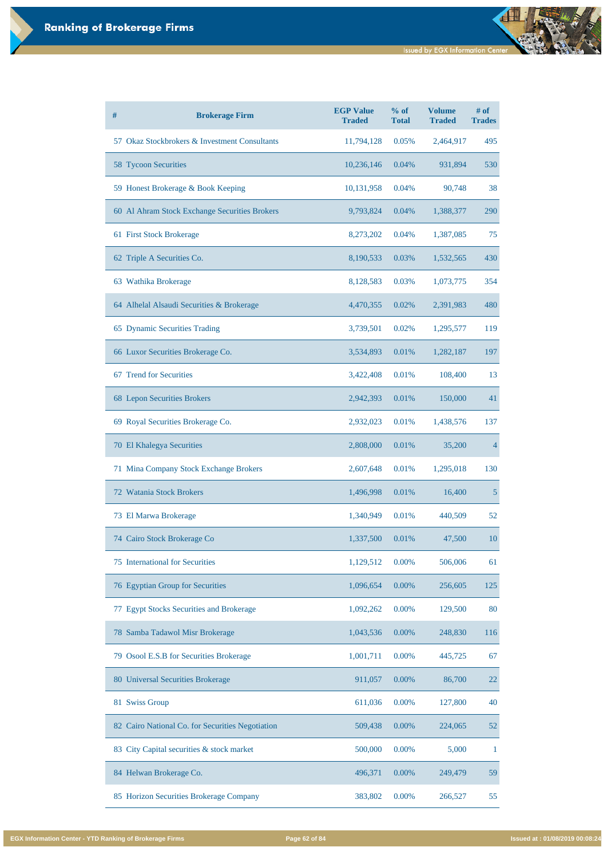| # | <b>Brokerage Firm</b>                         | <b>EGP Value</b><br><b>Traded</b> | $%$ of<br><b>Total</b> | <b>Volume</b><br><b>Traded</b> | $#$ of<br><b>Trades</b> |
|---|-----------------------------------------------|-----------------------------------|------------------------|--------------------------------|-------------------------|
|   | 57 Okaz Stockbrokers & Investment Consultants | 11,794,128                        | 0.05%                  | 2,464,917                      | 495                     |
|   | <b>58 Tycoon Securities</b>                   | 10,236,146                        | 0.04%                  | 931,894                        | 530                     |
|   | 59 Honest Brokerage & Book Keeping            | 10,131,958                        | 0.04%                  | 90,748                         | 38                      |
|   | 60 Al Ahram Stock Exchange Securities Brokers | 9,793,824                         | 0.04%                  | 1,388,377                      | 290                     |
|   | 61 First Stock Brokerage                      | 8,273,202                         | 0.04%                  | 1,387,085                      | 75                      |
|   | 62 Triple A Securities Co.                    | 8,190,533                         | 0.03%                  | 1,532,565                      | 430                     |
|   | 63 Wathika Brokerage                          | 8,128,583                         | 0.03%                  | 1,073,775                      | 354                     |
|   | 64 Alhelal Alsaudi Securities & Brokerage     | 4,470,355                         | 0.02%                  | 2,391,983                      | 480                     |
|   | 65 Dynamic Securities Trading                 | 3,739,501                         | 0.02%                  | 1,295,577                      | 119                     |
|   | 66 Luxor Securities Brokerage Co.             | 3,534,893                         | 0.01%                  | 1,282,187                      | 197                     |
|   | 67 Trend for Securities                       | 3,422,408                         | 0.01%                  | 108,400                        | 13                      |
|   | <b>68 Lepon Securities Brokers</b>            | 2,942,393                         | 0.01%                  | 150,000                        | 41                      |
|   | 69 Royal Securities Brokerage Co.             | 2,932,023                         | 0.01%                  | 1,438,576                      | 137                     |
|   | 70 El Khalegya Securities                     | 2,808,000                         | 0.01%                  | 35,200                         | $\overline{4}$          |
|   | 71 Mina Company Stock Exchange Brokers        | 2,607,648                         | 0.01%                  | 1,295,018                      | 130                     |
|   | <b>72 Watania Stock Brokers</b>               | 1,496,998                         | 0.01%                  | 16,400                         | $\overline{5}$          |
|   | 73 El Marwa Brokerage                         | 1,340,949                         | 0.01%                  | 440,509                        | 52                      |
|   | 74 Cairo Stock Brokerage Co                   | 1,337,500                         | 0.01%                  | 47,500                         | 10                      |
|   | 75 International for Securities               | 1,129,512                         | 0.00%                  | 506,006                        | 61                      |
|   | 76 Egyptian Group for Securities              | 1,096,654                         | 0.00%                  | 256,605                        | 125                     |
|   | 77 Egypt Stocks Securities and Brokerage      | 1,092,262                         | 0.00%                  | 129,500                        | 80                      |

| 78 Samba Tadawol Misr Brokerage                  | 1,043,536 | $0.00\%$ | 248,830 | 116 |
|--------------------------------------------------|-----------|----------|---------|-----|
| 79 Osool E.S.B for Securities Brokerage          | 1,001,711 | $0.00\%$ | 445,725 | 67  |
| 80 Universal Securities Brokerage                | 911,057   | $0.00\%$ | 86,700  | 22  |
| <b>Swiss Group</b><br>81                         | 611,036   | $0.00\%$ | 127,800 | 40  |
| 82 Cairo National Co. for Securities Negotiation | 509,438   | $0.00\%$ | 224,065 | 52  |
| 83 City Capital securities & stock market        | 500,000   | $0.00\%$ | 5,000   |     |
| 84 Helwan Brokerage Co.                          | 496,371   | $0.00\%$ | 249,479 | 59  |
| 85 Horizon Securities Brokerage Company          | 383,802   | $0.00\%$ | 266,527 | 55  |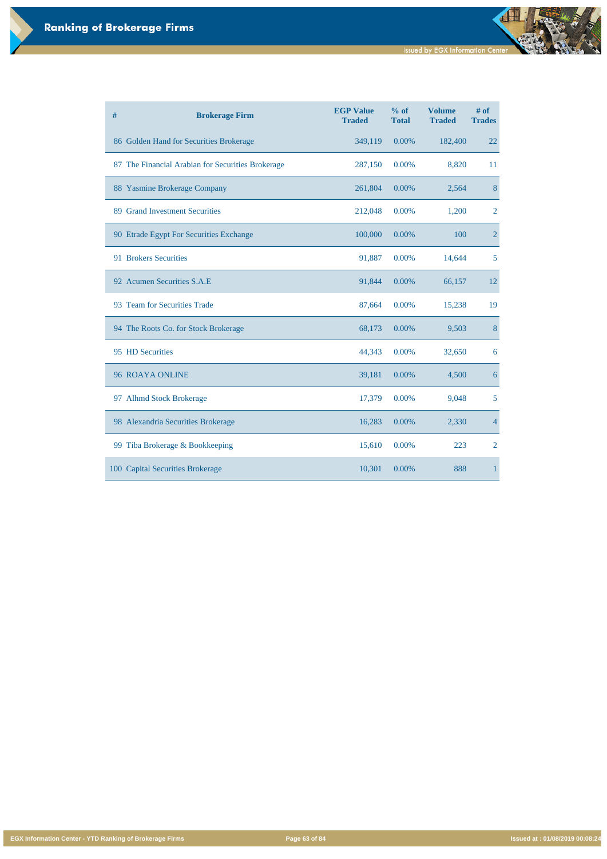**Issued by EGX Information Center** 

đ

**EGX Information Center - YTD Ranking of Brokerage Firms Page 63 of 84 Issued at : 01/08/2019 00:08:24**

| # | <b>Brokerage Firm</b>                             | <b>EGP Value</b><br><b>Traded</b> | % of<br><b>Total</b> | <b>Volume</b><br><b>Traded</b> | # of<br><b>Trades</b> |
|---|---------------------------------------------------|-----------------------------------|----------------------|--------------------------------|-----------------------|
|   | 86 Golden Hand for Securities Brokerage           | 349,119                           | 0.00%                | 182,400                        | 22                    |
|   | 87 The Financial Arabian for Securities Brokerage | 287,150                           | 0.00%                | 8,820                          | 11                    |
|   | 88 Yasmine Brokerage Company                      | 261,804                           | 0.00%                | 2,564                          | 8                     |
|   | 89 Grand Investment Securities                    | 212,048                           | 0.00%                | 1,200                          | $\overline{2}$        |
|   | 90 Etrade Egypt For Securities Exchange           | 100,000                           | 0.00%                | 100                            | $\overline{2}$        |
|   | 91 Brokers Securities                             | 91,887                            | 0.00%                | 14,644                         | 5                     |
|   | 92 Acumen Securities S.A.E                        | 91,844                            | 0.00%                | 66,157                         | 12                    |
|   | 93 Team for Securities Trade                      | 87,664                            | 0.00%                | 15,238                         | 19                    |
|   | 94 The Roots Co. for Stock Brokerage              | 68,173                            | 0.00%                | 9,503                          | 8                     |
|   | 95 HD Securities                                  | 44,343                            | 0.00%                | 32,650                         | 6                     |
|   | 96 ROAYA ONLINE                                   | 39,181                            | 0.00%                | 4,500                          | 6                     |
|   | 97 Alhmd Stock Brokerage                          | 17,379                            | 0.00%                | 9,048                          | 5                     |
|   | 98 Alexandria Securities Brokerage                | 16,283                            | 0.00%                | 2,330                          | $\overline{4}$        |
|   | 99 Tiba Brokerage & Bookkeeping                   | 15,610                            | 0.00%                | 223                            | $\overline{2}$        |
|   | 100 Capital Securities Brokerage                  | 10,301                            | 0.00%                | 888                            | $\mathbf{1}$          |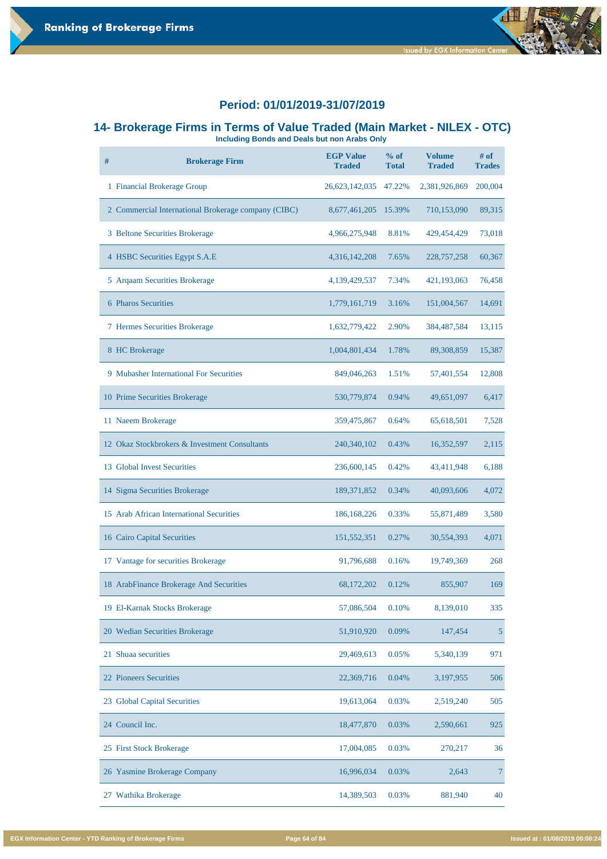## **Period: 01/01/2019-31/07/2019**

# **14- Brokerage Firms in Terms of Value Traded (Main Market - NILEX - OTC)**

**Including Bonds and Deals but non Arabs Only** 

| # | <b>Brokerage Firm</b>                               | <b>EGP Value</b><br><b>Traded</b> | $%$ of<br><b>Total</b> | <b>Volume</b><br><b>Traded</b> | # of<br><b>Trades</b> |
|---|-----------------------------------------------------|-----------------------------------|------------------------|--------------------------------|-----------------------|
|   | 1 Financial Brokerage Group                         | 26,623,142,035                    | 47.22%                 | 2,381,926,869                  | 200,004               |
|   | 2 Commercial International Brokerage company (CIBC) | 8,677,461,205                     | 15.39%                 | 710,153,090                    | 89,315                |
|   | 3 Beltone Securities Brokerage                      | 4,966,275,948                     | 8.81%                  | 429, 454, 429                  | 73,018                |
|   | 4 HSBC Securities Egypt S.A.E                       | 4,316,142,208                     | 7.65%                  | 228, 757, 258                  | 60,367                |
|   | 5 Argaam Securities Brokerage                       | 4,139,429,537                     | 7.34%                  | 421,193,063                    | 76,458                |
|   | <b>6 Pharos Securities</b>                          | 1,779,161,719                     | 3.16%                  | 151,004,567                    | 14,691                |
|   | 7 Hermes Securities Brokerage                       | 1,632,779,422                     | 2.90%                  | 384, 487, 584                  | 13,115                |
|   | 8 HC Brokerage                                      | 1,004,801,434                     | 1.78%                  | 89,308,859                     | 15,387                |
|   | 9 Mubasher International For Securities             | 849,046,263                       | 1.51%                  | 57,401,554                     | 12,808                |
|   | 10 Prime Securities Brokerage                       | 530,779,874                       | 0.94%                  | 49,651,097                     | 6,417                 |
|   | 11 Naeem Brokerage                                  | 359,475,867                       | 0.64%                  | 65,618,501                     | 7,528                 |
|   | 12 Okaz Stockbrokers & Investment Consultants       | 240,340,102                       | 0.43%                  | 16,352,597                     | 2,115                 |
|   | 13 Global Invest Securities                         | 236,600,145                       | 0.42%                  | 43,411,948                     | 6,188                 |
|   | 14 Sigma Securities Brokerage                       | 189, 371, 852                     | 0.34%                  | 40,093,606                     | 4,072                 |
|   | 15 Arab African International Securities            | 186, 168, 226                     | 0.33%                  | 55,871,489                     | 3,580                 |
|   | 16 Cairo Capital Securities                         | 151,552,351                       | 0.27%                  | 30,554,393                     | 4,071                 |
|   | 17 Vantage for securities Brokerage                 | 91,796,688                        | 0.16%                  | 19,749,369                     | 268                   |
|   | 18 ArabFinance Brokerage And Securities             | 68,172,202                        | 0.12%                  | 855,907                        | 169                   |
|   | 19 El-Karnak Stocks Brokerage                       | 57,086,504                        | 0.10%                  | 8,139,010                      | 335                   |

| 20 Wedian Securities Brokerage | 51,910,920 | 0.09% | 147,454   | 5   |
|--------------------------------|------------|-------|-----------|-----|
| <b>Shuaa</b> securities<br>21  | 29,469,613 | 0.05% | 5,340,139 | 971 |
| 22 Pioneers Securities         | 22,369,716 | 0.04% | 3,197,955 | 506 |
| 23 Global Capital Securities   | 19,613,064 | 0.03% | 2,519,240 | 505 |
| 24 Council Inc.                | 18,477,870 | 0.03% | 2,590,661 | 925 |
| 25 First Stock Brokerage       | 17,004,085 | 0.03% | 270,217   | 36  |
| 26 Yasmine Brokerage Company   | 16,996,034 | 0.03% | 2,643     | 7   |
| Wathika Brokerage<br>27        | 14,389,503 | 0.03% | 881,940   | 40  |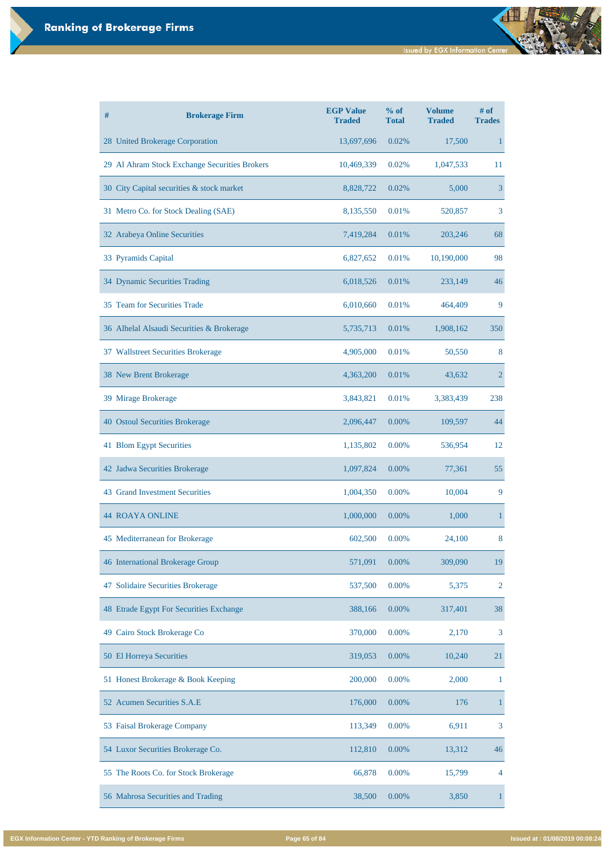đ

| #                                     | <b>Brokerage Firm</b>                         | <b>EGP Value</b><br><b>Traded</b> | % of<br><b>Total</b> | <b>Volume</b><br><b>Traded</b> | # of<br><b>Trades</b> |
|---------------------------------------|-----------------------------------------------|-----------------------------------|----------------------|--------------------------------|-----------------------|
|                                       | 28 United Brokerage Corporation               | 13,697,696                        | 0.02%                | 17,500                         | 1                     |
|                                       | 29 Al Ahram Stock Exchange Securities Brokers | 10,469,339                        | 0.02%                | 1,047,533                      | 11                    |
|                                       | 30 City Capital securities & stock market     | 8,828,722                         | 0.02%                | 5,000                          | 3                     |
|                                       | 31 Metro Co. for Stock Dealing (SAE)          | 8,135,550                         | 0.01%                | 520,857                        | 3                     |
| 32 Arabeya Online Securities          |                                               | 7,419,284                         | 0.01%                | 203,246                        | 68                    |
| 33 Pyramids Capital                   |                                               | 6,827,652                         | 0.01%                | 10,190,000                     | 98                    |
| 34 Dynamic Securities Trading         |                                               | 6,018,526                         | 0.01%                | 233,149                        | 46                    |
| 35 Team for Securities Trade          |                                               | 6,010,660                         | 0.01%                | 464,409                        | 9                     |
|                                       | 36 Alhelal Alsaudi Securities & Brokerage     | 5,735,713                         | 0.01%                | 1,908,162                      | 350                   |
|                                       | 37 Wallstreet Securities Brokerage            | 4,905,000                         | 0.01%                | 50,550                         | 8                     |
| 38 New Brent Brokerage                |                                               | 4,363,200                         | 0.01%                | 43,632                         | $\overline{2}$        |
| 39 Mirage Brokerage                   |                                               | 3,843,821                         | 0.01%                | 3,383,439                      | 238                   |
| <b>40 Ostoul Securities Brokerage</b> |                                               | 2,096,447                         | 0.00%                | 109,597                        | 44                    |
| 41 Blom Egypt Securities              |                                               | 1,135,802                         | 0.00%                | 536,954                        | 12                    |
| 42 Jadwa Securities Brokerage         |                                               | 1,097,824                         | 0.00%                | 77,361                         | 55                    |
| <b>43 Grand Investment Securities</b> |                                               | 1,004,350                         | 0.00%                | 10,004                         | 9                     |
| <b>44 ROAYA ONLINE</b>                |                                               | 1,000,000                         | 0.00%                | 1,000                          | $\mathbf 1$           |
| 45 Mediterranean for Brokerage        |                                               | 602,500                           | 0.00%                | 24,100                         | 8                     |
|                                       | 46 International Brokerage Group              | 571,091                           | 0.00%                | 309,090                        | 19                    |
|                                       | 47 Solidaire Securities Brokerage             | 537,500                           | 0.00%                | 5,375                          | $\overline{2}$        |
|                                       | 48 Etrade Egypt For Securities Exchange       | 388,166                           | 0.00%                | 317,401                        | 38                    |

| 49 Cairo Stock Brokerage Co          | 370,000 | $0.00\%$ | 2,170  | 3              |
|--------------------------------------|---------|----------|--------|----------------|
| 50 El Horreya Securities             | 319,053 | $0.00\%$ | 10,240 | 21             |
| 51 Honest Brokerage & Book Keeping   | 200,000 | $0.00\%$ | 2,000  |                |
| 52 Acumen Securities S.A.E           | 176,000 | $0.00\%$ | 176    |                |
| 53 Faisal Brokerage Company          | 113,349 | 0.00%    | 6,911  | 3              |
| 54 Luxor Securities Brokerage Co.    | 112,810 | $0.00\%$ | 13,312 | 46             |
| 55 The Roots Co. for Stock Brokerage | 66,878  | $0.00\%$ | 15,799 | $\overline{4}$ |
| 56 Mahrosa Securities and Trading    | 38,500  | 0.00%    | 3,850  |                |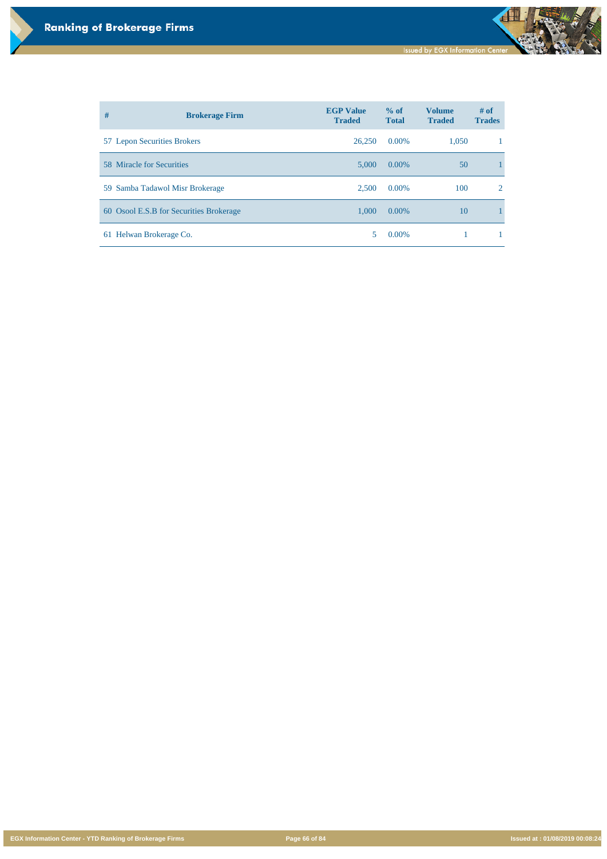đ

**EGX Information Center - YTD Ranking of Brokerage Firms Page 66 of 84 Issued at : 01/08/2019 00:08:24**

| #<br><b>Brokerage Firm</b>              | <b>EGP Value</b><br><b>Traded</b> | % of<br><b>Total</b> | <b>Volume</b><br><b>Traded</b> | # of<br><b>Trades</b> |
|-----------------------------------------|-----------------------------------|----------------------|--------------------------------|-----------------------|
| 57 Lepon Securities Brokers             | 26,250                            | $0.00\%$             | 1,050                          |                       |
| 58 Miracle for Securities               | 5,000                             | $0.00\%$             | 50                             |                       |
| 59 Samba Tadawol Misr Brokerage         | 2,500                             | $0.00\%$             | 100                            | $\overline{2}$        |
| 60 Osool E.S.B for Securities Brokerage | 1,000                             | $0.00\%$             | 10                             |                       |
| 61 Helwan Brokerage Co.                 |                                   | $0.00\%$             |                                |                       |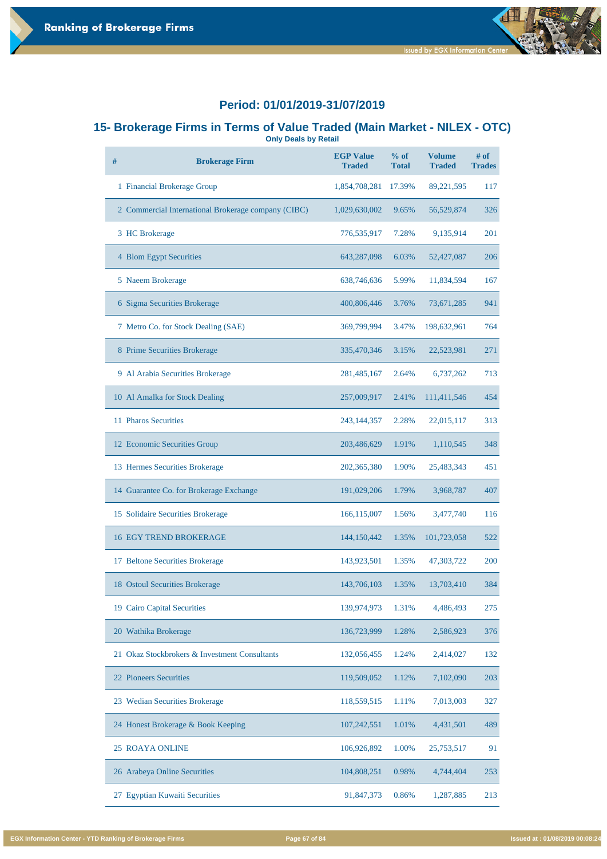#### **Period: 01/01/2019-31/07/2019**

#### **15- Brokerage Firms in Terms of Value Traded (Main Market - NILEX - OTC) Only Deals by Retail**

**# Brokerage Firm EGP Value Traded % of Total Volume Traded # of Trades** Financial Brokerage Group 1,854,708,281 17.39% 89,221,595 117 Commercial International Brokerage company (CIBC) 1,029,630,002 9.65% 56,529,874 326 HC Brokerage 776,535,917 7.28% 9,135,914 201 Blom Egypt Securities 643,287,098 6.03% 52,427,087 206 Naeem Brokerage 638,746,636 5.99% 11,834,594 167 Sigma Securities Brokerage 400,806,446 3.76% 73,671,285 941 Metro Co. for Stock Dealing (SAE) 369,799,994 3.47% 198,632,961 764 Prime Securities Brokerage 335,470,346 3.15% 22,523,981 271 Al Arabia Securities Brokerage 281,485,167 2.64% 6,737,262 713 Al Amalka for Stock Dealing 257,009,917 2.41% 111,411,546 454 Pharos Securities 243,144,357 2.28% 22,015,117 313 Economic Securities Group 203,486,629 1.91% 1,110,545 348 Hermes Securities Brokerage 202,365,380 1.90% 25,483,343 451 Guarantee Co. for Brokerage Exchange 191,029,206 1.79% 3,968,787 407 Solidaire Securities Brokerage 166,115,007 1.56% 3,477,740 116 16 EGY TREND BROKERAGE 144,150,442 1.35% 101,723,058 522 Beltone Securities Brokerage 143,923,501 1.35% 47,303,722 200 Ostoul Securities Brokerage 143,706,103 1.35% 13,703,410 384 Cairo Capital Securities 139,974,973 1.31% 4,486,493 275

| 20 Wathika Brokerage                          | 136,723,999 | 1.28% | 2,586,923  | 376 |
|-----------------------------------------------|-------------|-------|------------|-----|
| 21 Okaz Stockbrokers & Investment Consultants | 132,056,455 | 1.24% | 2,414,027  | 132 |
| 22 Pioneers Securities                        | 119,509,052 | 1.12% | 7,102,090  | 203 |
| 23 Wedian Securities Brokerage                | 118,559,515 | 1.11% | 7,013,003  | 327 |
| 24 Honest Brokerage & Book Keeping            | 107,242,551 | 1.01% | 4,431,501  | 489 |
| <b>25 ROAYA ONLINE</b>                        | 106,926,892 | 1.00% | 25,753,517 | 91  |
| 26 Arabeya Online Securities                  | 104,808,251 | 0.98% | 4,744,404  | 253 |
| <b>Egyptian Kuwaiti Securities</b><br>27      | 91,847,373  | 0.86% | 1,287,885  | 213 |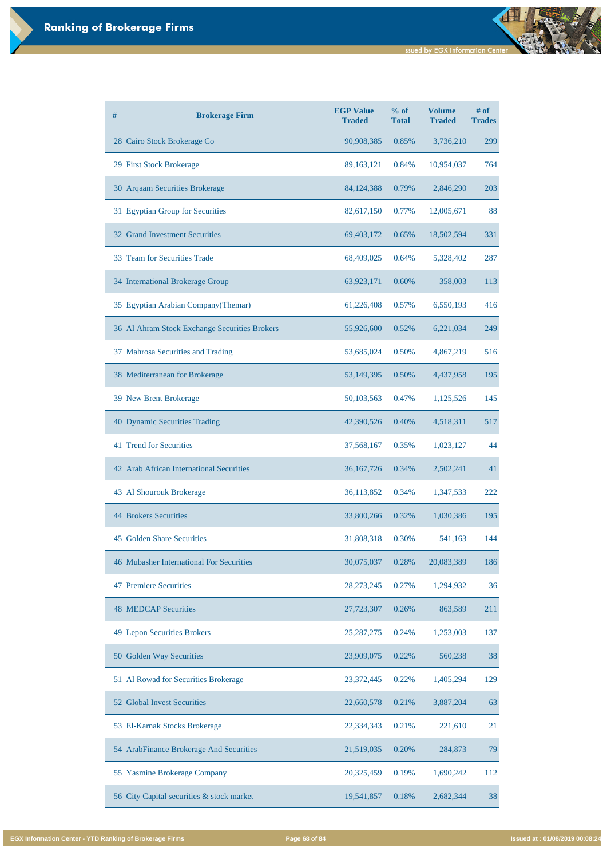| #<br><b>Brokerage Firm</b>                    | <b>EGP Value</b><br><b>Traded</b> | % of<br><b>Total</b> | <b>Volume</b><br><b>Traded</b> | # of<br><b>Trades</b> |
|-----------------------------------------------|-----------------------------------|----------------------|--------------------------------|-----------------------|
| 28 Cairo Stock Brokerage Co                   | 90,908,385                        | 0.85%                | 3,736,210                      | 299                   |
| 29 First Stock Brokerage                      | 89,163,121                        | 0.84%                | 10,954,037                     | 764                   |
| 30 Arqaam Securities Brokerage                | 84,124,388                        | 0.79%                | 2,846,290                      | 203                   |
| 31 Egyptian Group for Securities              | 82,617,150                        | 0.77%                | 12,005,671                     | 88                    |
| 32 Grand Investment Securities                | 69,403,172                        | 0.65%                | 18,502,594                     | 331                   |
| 33 Team for Securities Trade                  | 68,409,025                        | 0.64%                | 5,328,402                      | 287                   |
| 34 International Brokerage Group              | 63,923,171                        | 0.60%                | 358,003                        | 113                   |
| 35 Egyptian Arabian Company(Themar)           | 61,226,408                        | 0.57%                | 6,550,193                      | 416                   |
| 36 Al Ahram Stock Exchange Securities Brokers | 55,926,600                        | 0.52%                | 6,221,034                      | 249                   |
| 37 Mahrosa Securities and Trading             | 53,685,024                        | 0.50%                | 4,867,219                      | 516                   |
| 38 Mediterranean for Brokerage                | 53,149,395                        | 0.50%                | 4,437,958                      | 195                   |
| 39 New Brent Brokerage                        | 50,103,563                        | 0.47%                | 1,125,526                      | 145                   |
| 40 Dynamic Securities Trading                 | 42,390,526                        | 0.40%                | 4,518,311                      | 517                   |
| 41 Trend for Securities                       | 37,568,167                        | 0.35%                | 1,023,127                      | 44                    |
| 42 Arab African International Securities      | 36, 167, 726                      | 0.34%                | 2,502,241                      | 41                    |
| 43 Al Shourouk Brokerage                      | 36,113,852                        | 0.34%                | 1,347,533                      | 222                   |
| <b>44 Brokers Securities</b>                  | 33,800,266                        | 0.32%                | 1,030,386                      | 195                   |
| 45 Golden Share Securities                    | 31,808,318                        | 0.30%                | 541,163                        | 144                   |
| 46 Mubasher International For Securities      | 30,075,037                        | 0.28%                | 20,083,389                     | 186                   |
| <b>47 Premiere Securities</b>                 | 28, 273, 245                      | 0.27%                | 1,294,932                      | 36                    |
| <b>48 MEDCAP Securities</b>                   | 27,723,307                        | 0.26%                | 863,589                        | 211                   |

| 49 Lepon Securities Brokers               | 25, 287, 275 | 0.24% | 1,253,003 | 137 |
|-------------------------------------------|--------------|-------|-----------|-----|
| 50 Golden Way Securities                  | 23,909,075   | 0.22% | 560,238   | 38  |
| 51 Al Rowad for Securities Brokerage      | 23,372,445   | 0.22% | 1,405,294 | 129 |
| 52 Global Invest Securities               | 22,660,578   | 0.21% | 3,887,204 | 63  |
| 53 El-Karnak Stocks Brokerage             | 22,334,343   | 0.21% | 221,610   | 21  |
| 54 ArabFinance Brokerage And Securities   | 21,519,035   | 0.20% | 284,873   | 79  |
| 55 Yasmine Brokerage Company              | 20,325,459   | 0.19% | 1,690,242 | 112 |
| 56 City Capital securities & stock market | 19,541,857   | 0.18% | 2,682,344 | 38  |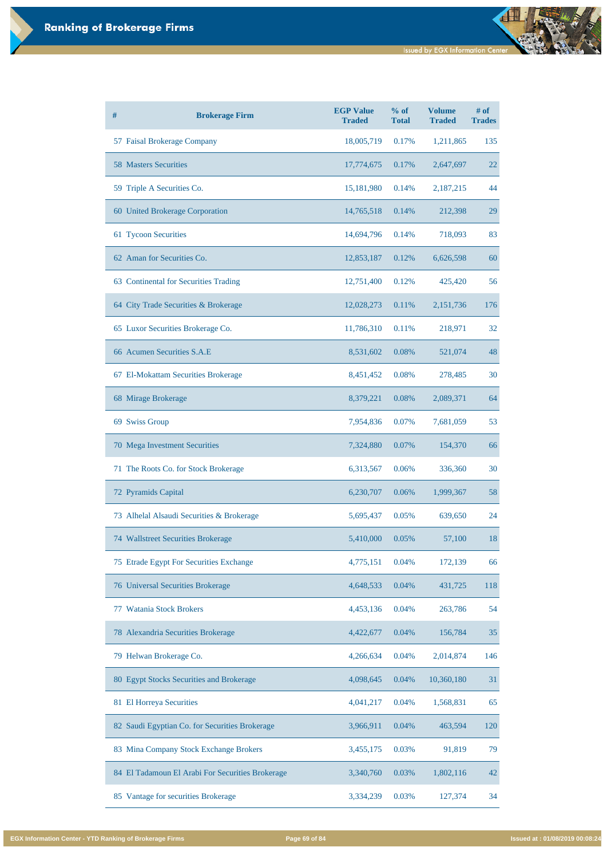| # | <b>Brokerage Firm</b>                     | <b>EGP Value</b><br><b>Traded</b> | % of<br><b>Total</b> | <b>Volume</b><br><b>Traded</b> | # of<br><b>Trades</b> |
|---|-------------------------------------------|-----------------------------------|----------------------|--------------------------------|-----------------------|
|   | 57 Faisal Brokerage Company               | 18,005,719                        | 0.17%                | 1,211,865                      | 135                   |
|   | <b>58 Masters Securities</b>              | 17,774,675                        | 0.17%                | 2,647,697                      | 22                    |
|   | 59 Triple A Securities Co.                | 15,181,980                        | 0.14%                | 2,187,215                      | 44                    |
|   | 60 United Brokerage Corporation           | 14,765,518                        | 0.14%                | 212,398                        | 29                    |
|   | 61 Tycoon Securities                      | 14,694,796                        | 0.14%                | 718,093                        | 83                    |
|   | 62 Aman for Securities Co.                | 12,853,187                        | 0.12%                | 6,626,598                      | 60                    |
|   | 63 Continental for Securities Trading     | 12,751,400                        | 0.12%                | 425,420                        | 56                    |
|   | 64 City Trade Securities & Brokerage      | 12,028,273                        | 0.11%                | 2,151,736                      | 176                   |
|   | 65 Luxor Securities Brokerage Co.         | 11,786,310                        | 0.11%                | 218,971                        | 32                    |
|   | 66 Acumen Securities S.A.E                | 8,531,602                         | 0.08%                | 521,074                        | 48                    |
|   | 67 El-Mokattam Securities Brokerage       | 8,451,452                         | 0.08%                | 278,485                        | 30                    |
|   | 68 Mirage Brokerage                       | 8,379,221                         | 0.08%                | 2,089,371                      | 64                    |
|   | 69 Swiss Group                            | 7,954,836                         | 0.07%                | 7,681,059                      | 53                    |
|   | 70 Mega Investment Securities             | 7,324,880                         | 0.07%                | 154,370                        | 66                    |
|   | 71 The Roots Co. for Stock Brokerage      | 6,313,567                         | 0.06%                | 336,360                        | 30                    |
|   | 72 Pyramids Capital                       | 6,230,707                         | 0.06%                | 1,999,367                      | 58                    |
|   | 73 Alhelal Alsaudi Securities & Brokerage | 5,695,437                         | 0.05%                | 639,650                        | 24                    |
|   | 74 Wallstreet Securities Brokerage        | 5,410,000                         | 0.05%                | 57,100                         | 18                    |
|   | 75 Etrade Egypt For Securities Exchange   | 4,775,151                         | 0.04%                | 172,139                        | 66                    |
|   | <b>76 Universal Securities Brokerage</b>  | 4,648,533                         | 0.04%                | 431,725                        | 118                   |
|   | 77 Watania Stock Brokers                  | 4,453,136                         | 0.04%                | 263,786                        | 54                    |

| 78 Alexandria Securities Brokerage               | 4,422,677 | $0.04\%$ | 156,784    | 35  |
|--------------------------------------------------|-----------|----------|------------|-----|
| 79 Helwan Brokerage Co.                          | 4,266,634 | $0.04\%$ | 2,014,874  | 146 |
| 80 Egypt Stocks Securities and Brokerage         | 4,098,645 | 0.04%    | 10,360,180 | 31  |
| 81 El Horreya Securities                         | 4,041,217 | 0.04%    | 1,568,831  | 65  |
| 82 Saudi Egyptian Co. for Securities Brokerage   | 3,966,911 | 0.04%    | 463,594    | 120 |
| 83 Mina Company Stock Exchange Brokers           | 3,455,175 | 0.03%    | 91,819     | 79  |
| 84 El Tadamoun El Arabi For Securities Brokerage | 3,340,760 | 0.03%    | 1,802,116  | 42  |
| 85 Vantage for securities Brokerage              | 3,334,239 | 0.03%    | 127,374    | 34  |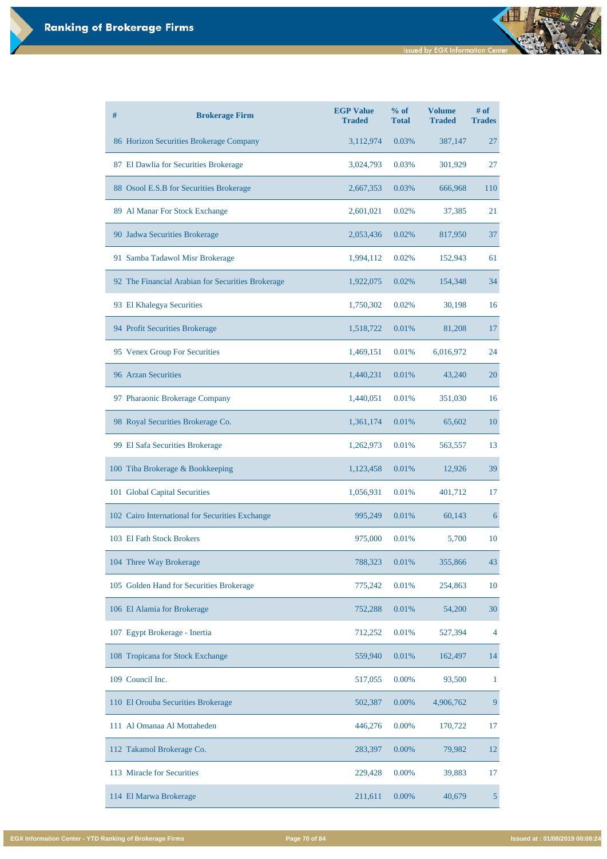| # | <b>Brokerage Firm</b>                             | <b>EGP Value</b><br><b>Traded</b> | % of<br><b>Total</b> | <b>Volume</b><br><b>Traded</b> | $#$ of<br><b>Trades</b> |
|---|---------------------------------------------------|-----------------------------------|----------------------|--------------------------------|-------------------------|
|   | 86 Horizon Securities Brokerage Company           | 3,112,974                         | 0.03%                | 387,147                        | 27                      |
|   | 87 El Dawlia for Securities Brokerage             | 3,024,793                         | 0.03%                | 301,929                        | 27                      |
|   | 88 Osool E.S.B for Securities Brokerage           | 2,667,353                         | 0.03%                | 666,968                        | 110                     |
|   | 89 Al Manar For Stock Exchange                    | 2,601,021                         | 0.02%                | 37,385                         | 21                      |
|   | 90 Jadwa Securities Brokerage                     | 2,053,436                         | 0.02%                | 817,950                        | 37                      |
|   | 91 Samba Tadawol Misr Brokerage                   | 1,994,112                         | 0.02%                | 152,943                        | 61                      |
|   | 92 The Financial Arabian for Securities Brokerage | 1,922,075                         | 0.02%                | 154,348                        | 34                      |
|   | 93 El Khalegya Securities                         | 1,750,302                         | 0.02%                | 30,198                         | 16                      |
|   | 94 Profit Securities Brokerage                    | 1,518,722                         | 0.01%                | 81,208                         | 17                      |
|   | 95 Venex Group For Securities                     | 1,469,151                         | 0.01%                | 6,016,972                      | 24                      |
|   | 96 Arzan Securities                               | 1,440,231                         | 0.01%                | 43,240                         | 20                      |
|   | 97 Pharaonic Brokerage Company                    | 1,440,051                         | 0.01%                | 351,030                        | 16                      |
|   | 98 Royal Securities Brokerage Co.                 | 1,361,174                         | 0.01%                | 65,602                         | 10                      |
|   | 99 El Safa Securities Brokerage                   | 1,262,973                         | 0.01%                | 563,557                        | 13                      |
|   | 100 Tiba Brokerage & Bookkeeping                  | 1,123,458                         | 0.01%                | 12,926                         | 39                      |
|   | 101 Global Capital Securities                     | 1,056,931                         | 0.01%                | 401,712                        | 17                      |
|   | 102 Cairo International for Securities Exchange   | 995,249                           | 0.01%                | 60,143                         | $\boldsymbol{6}$        |
|   | 103 El Fath Stock Brokers                         | 975,000                           | 0.01%                | 5,700                          | 10                      |
|   | 104 Three Way Brokerage                           | 788,323                           | 0.01%                | 355,866                        | 43                      |
|   | 105 Golden Hand for Securities Brokerage          | 775,242                           | 0.01%                | 254,863                        | <b>10</b>               |
|   | 106 El Alamia for Brokerage                       | 752,288                           | 0.01%                | 54,200                         | 30                      |

| 107 Egypt Brokerage - Inertia      | 712,252 | 0.01%    | 527,394   | $\overline{4}$ |
|------------------------------------|---------|----------|-----------|----------------|
| 108 Tropicana for Stock Exchange   | 559,940 | 0.01%    | 162,497   | 14             |
| 109 Council Inc.                   | 517,055 | 0.00%    | 93,500    |                |
| 110 El Orouba Securities Brokerage | 502,387 | $0.00\%$ | 4,906,762 | 9              |
| 111 Al Omanaa Al Mottaheden        | 446,276 | 0.00%    | 170,722   | 17             |
| 112 Takamol Brokerage Co.          | 283,397 | 0.00%    | 79,982    | 12             |
| 113 Miracle for Securities         | 229,428 | $0.00\%$ | 39,883    | 17             |
| 114 El Marwa Brokerage             | 211,611 | $0.00\%$ | 40,679    | 5              |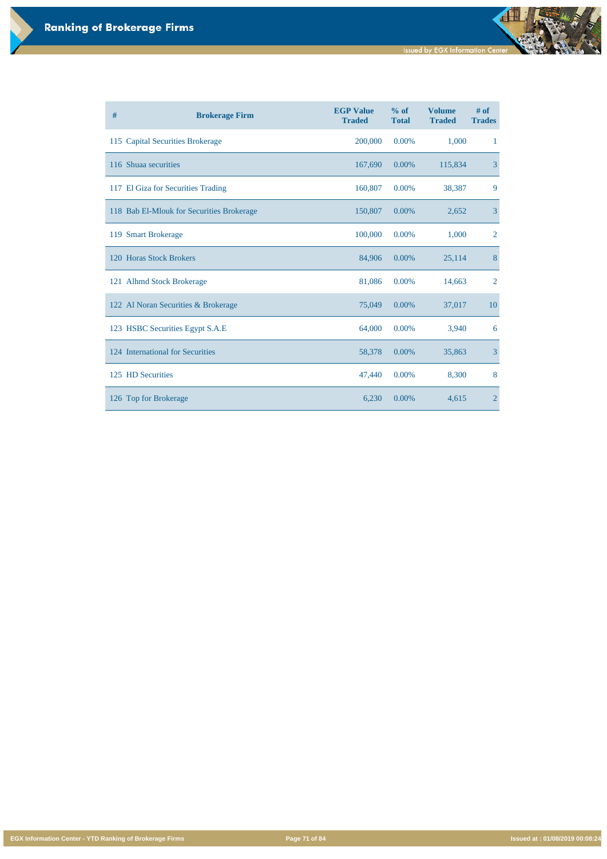đ

**EGX Information Center - YTD Ranking of Brokerage Firms Page 71 of 84 Issued at : 01/08/2019 00:08:24**

| $\#$ | <b>Brokerage Firm</b>                     | <b>EGP Value</b><br><b>Traded</b> | % of<br><b>Total</b> | <b>Volume</b><br><b>Traded</b> | # of<br><b>Trades</b> |
|------|-------------------------------------------|-----------------------------------|----------------------|--------------------------------|-----------------------|
|      | 115 Capital Securities Brokerage          | 200,000                           | 0.00%                | 1,000                          | $\mathbf 1$           |
|      | 116 Shuaa securities                      | 167,690                           | 0.00%                | 115,834                        | 3                     |
|      | 117 El Giza for Securities Trading        | 160,807                           | 0.00%                | 38,387                         | 9                     |
|      | 118 Bab El-Mlouk for Securities Brokerage | 150,807                           | 0.00%                | 2,652                          | 3                     |
|      | 119 Smart Brokerage                       | 100,000                           | 0.00%                | 1,000                          | $\overline{2}$        |
|      | 120 Horas Stock Brokers                   | 84,906                            | 0.00%                | 25,114                         | 8                     |
|      | 121 Alhmd Stock Brokerage                 | 81,086                            | 0.00%                | 14,663                         | $\overline{2}$        |
|      | 122 Al Noran Securities & Brokerage       | 75,049                            | $0.00\%$             | 37,017                         | 10                    |
|      | 123 HSBC Securities Egypt S.A.E           | 64,000                            | 0.00%                | 3,940                          | 6                     |
|      | 124 International for Securities          | 58,378                            | 0.00%                | 35,863                         | 3                     |
|      | 125 HD Securities                         | 47,440                            | 0.00%                | 8,300                          | 8                     |
|      | 126 Top for Brokerage                     | 6,230                             | 0.00%                | 4,615                          | $\overline{2}$        |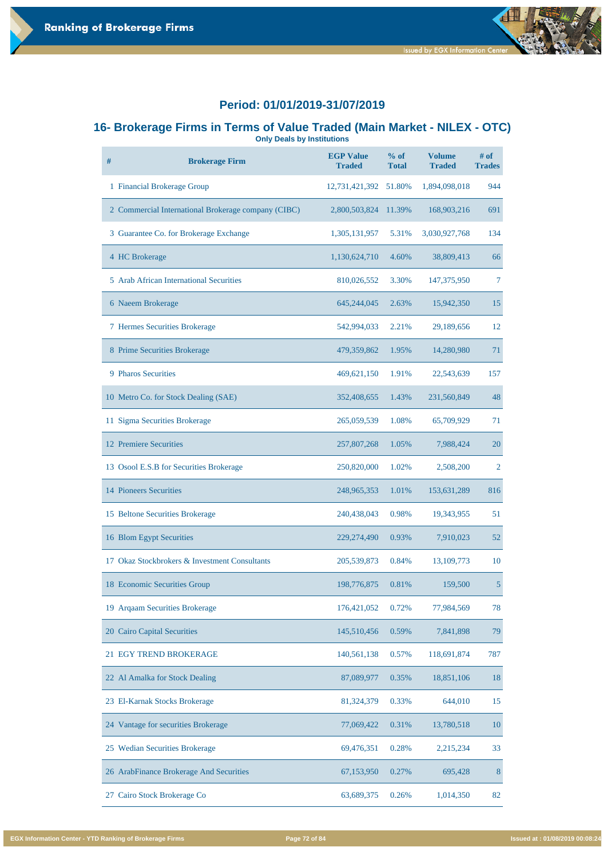### **Period: 01/01/2019-31/07/2019**

#### **16- Brokerage Firms in Terms of Value Traded (Main Market - NILEX - OTC) Only Deals by Institutions**

**# Brokerage Firm EGP Value Traded % of Total Volume Traded # of Trades** 1 Financial Brokerage Group 12,731,421,392 51.80% 1,894,098,018 944 2 Commercial International Brokerage company (CIBC) 2,800,503,824 11.39% 168,903,216 691 3 Guarantee Co. for Brokerage Exchange 1,305,131,957 5.31% 3,030,927,768 134 4 HC Brokerage 1,130,624,710 4.60% 38,809,413 66 5 Arab African International Securities 810,026,552 3.30% 147,375,950 7 6 Naeem Brokerage 645,244,045 2.63% 15,942,350 15 7 Hermes Securities Brokerage 542,994,033 2.21% 29,189,656 12 8 Prime Securities Brokerage 479,359,862 1.95% 14,280,980 71 9 Pharos Securities 469,621,150 1.91% 22,543,639 157 10 Metro Co. for Stock Dealing (SAE) 352,408,655 1.43% 231,560,849 48 11 Sigma Securities Brokerage 265,059,539 1.08% 65,709,929 71 12 Premiere Securities 257,807,268 1.05% 7,988,424 20 13 Osool E.S.B for Securities Brokerage 250,820,000 1.02% 2,508,200 2 14 Pioneers Securities 248,965,353 1.01% 153,631,289 816 15 Beltone Securities Brokerage 240,438,043 0.98% 19,343,955 51 16 Blom Egypt Securities 229,274,490 0.93% 7,910,023 52 17 Okaz Stockbrokers & Investment Consultants 205,539,873 0.84% 13,109,773 10 18 Economic Securities Group 198,776,875 0.81% 159,500 5 19 Arqaam Securities Brokerage 176,421,052 0.72% 77,984,569 78

| 20 Cairo Capital Securities             | 145,510,456 | 0.59% | 7,841,898   | 79  |
|-----------------------------------------|-------------|-------|-------------|-----|
| <b>21 EGY TREND BROKERAGE</b>           | 140,561,138 | 0.57% | 118,691,874 | 787 |
| 22 Al Amalka for Stock Dealing          | 87,089,977  | 0.35% | 18,851,106  | 18  |
| 23 El-Karnak Stocks Brokerage           | 81,324,379  | 0.33% | 644,010     | 15  |
| 24 Vantage for securities Brokerage     | 77,069,422  | 0.31% | 13,780,518  | 10  |
| 25 Wedian Securities Brokerage          | 69,476,351  | 0.28% | 2,215,234   | 33  |
| 26 ArabFinance Brokerage And Securities | 67,153,950  | 0.27% | 695,428     | 8   |
| 27 Cairo Stock Brokerage Co             | 63,689,375  | 0.26% | 1,014,350   | 82  |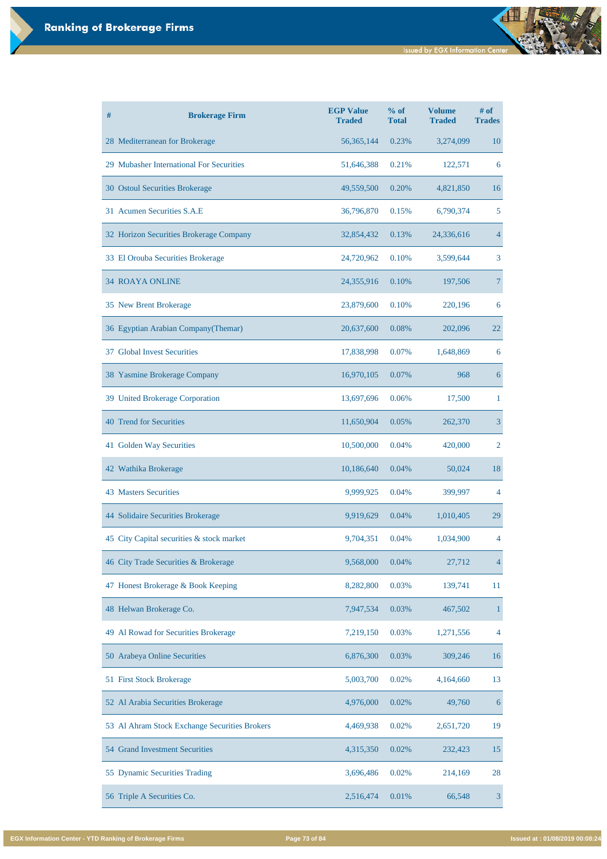| #<br><b>Brokerage Firm</b>                   | <b>EGP Value</b><br><b>Traded</b> | $%$ of<br><b>Total</b> | <b>Volume</b><br><b>Traded</b> | # of<br><b>Trades</b> |
|----------------------------------------------|-----------------------------------|------------------------|--------------------------------|-----------------------|
| 28 Mediterranean for Brokerage               | 56, 365, 144                      | 0.23%                  | 3,274,099                      | 10                    |
| 29 Mubasher International For Securities     | 51,646,388                        | 0.21%                  | 122,571                        | 6                     |
| 30 Ostoul Securities Brokerage               | 49,559,500                        | 0.20%                  | 4,821,850                      | 16                    |
| 31 Acumen Securities S.A.E                   | 36,796,870                        | 0.15%                  | 6,790,374                      | 5                     |
| 32 Horizon Securities Brokerage Company      | 32,854,432                        | 0.13%                  | 24,336,616                     | $\overline{4}$        |
| 33 El Orouba Securities Brokerage            | 24,720,962                        | 0.10%                  | 3,599,644                      | 3                     |
| <b>34 ROAYA ONLINE</b>                       | 24,355,916                        | 0.10%                  | 197,506                        | $\overline{7}$        |
| 35 New Brent Brokerage                       | 23,879,600                        | 0.10%                  | 220,196                        | 6                     |
| 36 Egyptian Arabian Company (Themar)         | 20,637,600                        | 0.08%                  | 202,096                        | 22                    |
| 37 Global Invest Securities                  | 17,838,998                        | 0.07%                  | 1,648,869                      | 6                     |
| 38 Yasmine Brokerage Company                 | 16,970,105                        | 0.07%                  | 968                            | $6\phantom{.}6$       |
| 39 United Brokerage Corporation              | 13,697,696                        | 0.06%                  | 17,500                         | $\mathbf{1}$          |
| <b>40 Trend for Securities</b>               | 11,650,904                        | 0.05%                  | 262,370                        | $\overline{3}$        |
| <b>Golden Way Securities</b><br>41           | 10,500,000                        | 0.04%                  | 420,000                        | $\overline{2}$        |
| 42 Wathika Brokerage                         | 10,186,640                        | 0.04%                  | 50,024                         | 18                    |
| <b>43 Masters Securities</b>                 | 9,999,925                         | 0.04%                  | 399,997                        | 4                     |
| 44 Solidaire Securities Brokerage            | 9,919,629                         | 0.04%                  | 1,010,405                      | 29                    |
| City Capital securities & stock market<br>45 | 9,704,351                         | 0.04%                  | 1,034,900                      | 4                     |
| 46 City Trade Securities & Brokerage         | 9,568,000                         | 0.04%                  | 27,712                         | $\overline{4}$        |
| 47 Honest Brokerage & Book Keeping           | 8,282,800                         | 0.03%                  | 139,741                        | 11                    |
| 48 Helwan Brokerage Co.                      | 7,947,534                         | 0.03%                  | 467,502                        | $\mathbf{1}$          |

| 49 Al Rowad for Securities Brokerage          | 7,219,150 | 0.03% | 1,271,556 | 4  |
|-----------------------------------------------|-----------|-------|-----------|----|
| 50 Arabeya Online Securities                  | 6,876,300 | 0.03% | 309,246   | 16 |
| 51 First Stock Brokerage                      | 5,003,700 | 0.02% | 4,164,660 | 13 |
| 52 Al Arabia Securities Brokerage             | 4,976,000 | 0.02% | 49,760    | 6  |
| 53 Al Ahram Stock Exchange Securities Brokers | 4,469,938 | 0.02% | 2,651,720 | 19 |
| 54 Grand Investment Securities                | 4,315,350 | 0.02% | 232,423   | 15 |
| 55 Dynamic Securities Trading                 | 3,696,486 | 0.02% | 214,169   | 28 |
| 56 Triple A Securities Co.                    | 2,516,474 | 0.01% | 66,548    | 3  |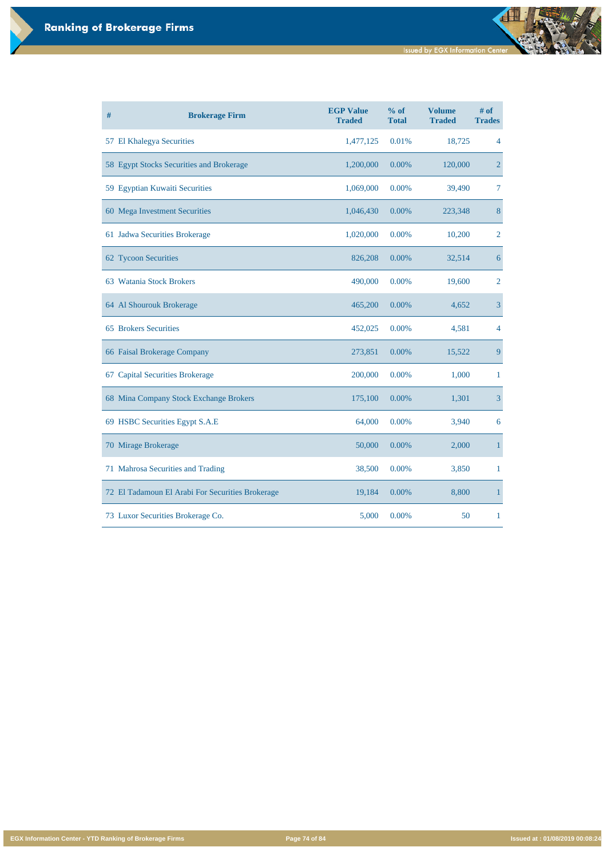**EGX Information Center - YTD Ranking of Brokerage Firms Page 74 of 84 Issued at : 01/08/2019 00:08:24**

| # | <b>Brokerage Firm</b>                            | <b>EGP Value</b><br><b>Traded</b> | $%$ of<br><b>Total</b> | <b>Volume</b><br><b>Traded</b> | # of<br><b>Trades</b> |
|---|--------------------------------------------------|-----------------------------------|------------------------|--------------------------------|-----------------------|
|   | 57 El Khalegya Securities                        | 1,477,125                         | 0.01%                  | 18,725                         | $\overline{4}$        |
|   | 58 Egypt Stocks Securities and Brokerage         | 1,200,000                         | 0.00%                  | 120,000                        | $\overline{2}$        |
|   | 59 Egyptian Kuwaiti Securities                   | 1,069,000                         | 0.00%                  | 39,490                         | 7                     |
|   | 60 Mega Investment Securities                    | 1,046,430                         | 0.00%                  | 223,348                        | 8                     |
|   | 61 Jadwa Securities Brokerage                    | 1,020,000                         | 0.00%                  | 10,200                         | $\overline{2}$        |
|   | 62 Tycoon Securities                             | 826,208                           | 0.00%                  | 32,514                         | 6                     |
|   | 63 Watania Stock Brokers                         | 490,000                           | 0.00%                  | 19,600                         | $\overline{2}$        |
|   | 64 Al Shourouk Brokerage                         | 465,200                           | 0.00%                  | 4,652                          | 3                     |
|   | <b>65 Brokers Securities</b>                     | 452,025                           | 0.00%                  | 4,581                          | 4                     |
|   | 66 Faisal Brokerage Company                      | 273,851                           | 0.00%                  | 15,522                         | 9                     |
|   | 67 Capital Securities Brokerage                  | 200,000                           | 0.00%                  | 1,000                          | $\mathbf{1}$          |
|   | 68 Mina Company Stock Exchange Brokers           | 175,100                           | 0.00%                  | 1,301                          | 3                     |
|   | 69 HSBC Securities Egypt S.A.E                   | 64,000                            | 0.00%                  | 3,940                          | 6                     |
|   | 70 Mirage Brokerage                              | 50,000                            | 0.00%                  | 2,000                          | $\mathbf{1}$          |
|   | 71 Mahrosa Securities and Trading                | 38,500                            | 0.00%                  | 3,850                          | 1                     |
|   | 72 El Tadamoun El Arabi For Securities Brokerage | 19,184                            | 0.00%                  | 8,800                          | $\mathbf{1}$          |
|   | 73 Luxor Securities Brokerage Co.                | 5,000                             | 0.00%                  | 50                             | $\mathbf{1}$          |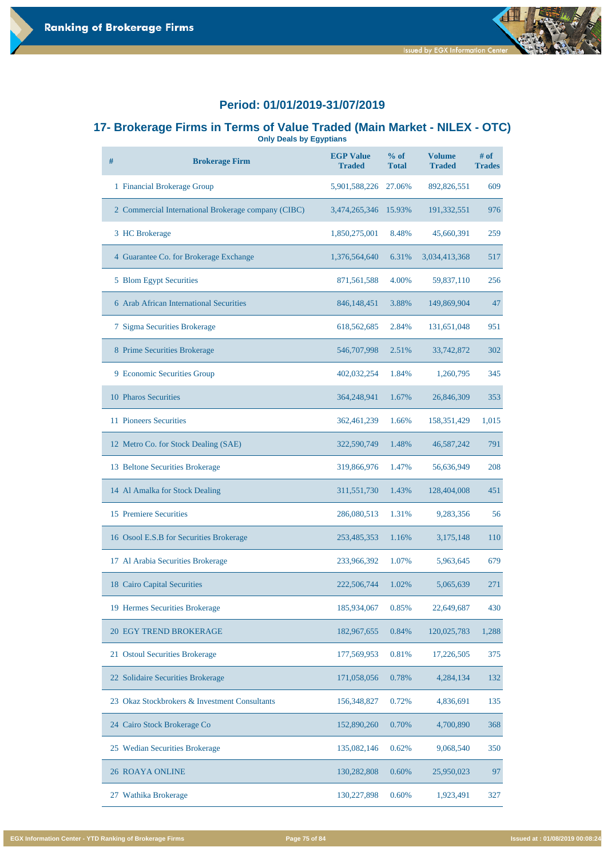

### **Period: 01/01/2019-31/07/2019**

#### **17- Brokerage Firms in Terms of Value Traded (Main Market - NILEX - OTC) Only Deals by Egyptians**

| $\#$ | <b>Brokerage Firm</b>                               | <b>EGP Value</b><br><b>Traded</b> | $%$ of<br><b>Total</b> | <b>Volume</b><br><b>Traded</b> | $#$ of<br><b>Trades</b> |
|------|-----------------------------------------------------|-----------------------------------|------------------------|--------------------------------|-------------------------|
|      | 1 Financial Brokerage Group                         | 5,901,588,226                     | 27.06%                 | 892,826,551                    | 609                     |
|      | 2 Commercial International Brokerage company (CIBC) | 3,474,265,346                     | 15.93%                 | 191,332,551                    | 976                     |
|      | 3 HC Brokerage                                      | 1,850,275,001                     | 8.48%                  | 45,660,391                     | 259                     |
|      | 4 Guarantee Co. for Brokerage Exchange              | 1,376,564,640                     | 6.31%                  | 3,034,413,368                  | 517                     |
|      | 5 Blom Egypt Securities                             | 871,561,588                       | 4.00%                  | 59,837,110                     | 256                     |
|      | 6 Arab African International Securities             | 846,148,451                       | 3.88%                  | 149,869,904                    | 47                      |
| 7    | <b>Sigma Securities Brokerage</b>                   | 618, 562, 685                     | 2.84%                  | 131,651,048                    | 951                     |
|      | 8 Prime Securities Brokerage                        | 546,707,998                       | 2.51%                  | 33,742,872                     | 302                     |
|      | 9 Economic Securities Group                         | 402,032,254                       | 1.84%                  | 1,260,795                      | 345                     |
|      | 10 Pharos Securities                                | 364,248,941                       | 1.67%                  | 26,846,309                     | 353                     |
|      | 11 Pioneers Securities                              | 362,461,239                       | 1.66%                  | 158, 351, 429                  | 1,015                   |
|      | 12 Metro Co. for Stock Dealing (SAE)                | 322,590,749                       | 1.48%                  | 46,587,242                     | 791                     |
|      | 13 Beltone Securities Brokerage                     | 319,866,976                       | 1.47%                  | 56,636,949                     | 208                     |
|      | 14 Al Amalka for Stock Dealing                      | 311,551,730                       | 1.43%                  | 128,404,008                    | 451                     |
|      | 15 Premiere Securities                              | 286,080,513                       | 1.31%                  | 9,283,356                      | 56                      |
|      | 16 Osool E.S.B for Securities Brokerage             | 253,485,353                       | 1.16%                  | 3,175,148                      | 110                     |
|      | 17 Al Arabia Securities Brokerage                   | 233,966,392                       | 1.07%                  | 5,963,645                      | 679                     |
|      | 18 Cairo Capital Securities                         | 222,506,744                       | 1.02%                  | 5,065,639                      | 271                     |
|      | 19 Hermes Securities Brokerage                      | 185,934,067                       | 0.85%                  | 22,649,687                     | 430                     |

| <b>20 EGY TREND BROKERAGE</b>                 | 182,967,655 | 0.84% | 120,025,783 | 1,288 |
|-----------------------------------------------|-------------|-------|-------------|-------|
| 21 Ostoul Securities Brokerage                | 177,569,953 | 0.81% | 17,226,505  | 375   |
| 22 Solidaire Securities Brokerage             | 171,058,056 | 0.78% | 4,284,134   | 132   |
| 23 Okaz Stockbrokers & Investment Consultants | 156,348,827 | 0.72% | 4,836,691   | 135   |
| 24 Cairo Stock Brokerage Co                   | 152,890,260 | 0.70% | 4,700,890   | 368   |
| 25 Wedian Securities Brokerage                | 135,082,146 | 0.62% | 9,068,540   | 350   |
| <b>26 ROAYA ONLINE</b>                        | 130,282,808 | 0.60% | 25,950,023  | 97    |
| 27 Wathika Brokerage                          | 130,227,898 | 0.60% | 1,923,491   | 327   |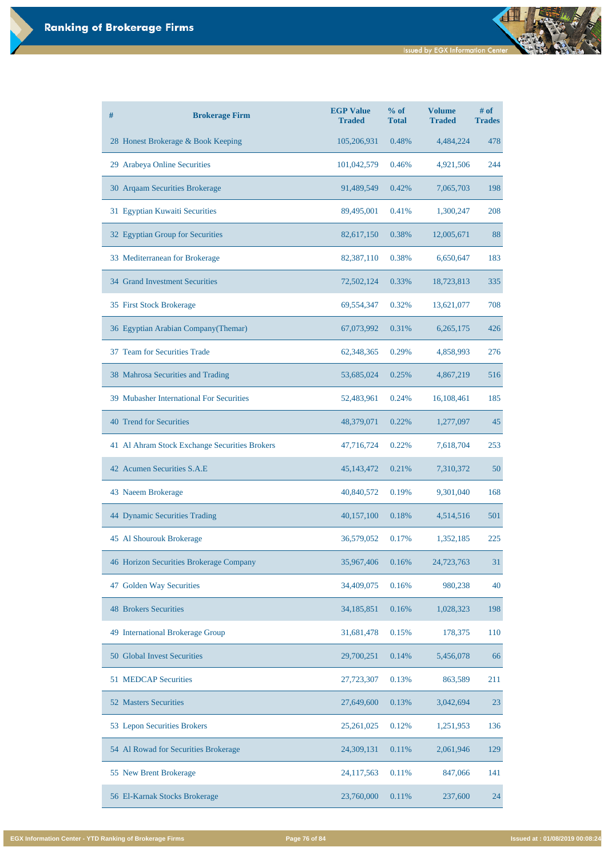| #<br><b>Brokerage Firm</b>                    | <b>EGP Value</b><br><b>Traded</b> | % of<br><b>Total</b> | <b>Volume</b><br><b>Traded</b> | # of<br><b>Trades</b> |
|-----------------------------------------------|-----------------------------------|----------------------|--------------------------------|-----------------------|
| 28 Honest Brokerage & Book Keeping            | 105,206,931                       | 0.48%                | 4,484,224                      | 478                   |
| 29 Arabeya Online Securities                  | 101,042,579                       | 0.46%                | 4,921,506                      | 244                   |
| 30 Arqaam Securities Brokerage                | 91,489,549                        | 0.42%                | 7,065,703                      | 198                   |
| 31 Egyptian Kuwaiti Securities                | 89,495,001                        | 0.41%                | 1,300,247                      | 208                   |
| 32 Egyptian Group for Securities              | 82,617,150                        | 0.38%                | 12,005,671                     | 88                    |
| 33 Mediterranean for Brokerage                | 82,387,110                        | 0.38%                | 6,650,647                      | 183                   |
| <b>34 Grand Investment Securities</b>         | 72,502,124                        | 0.33%                | 18,723,813                     | 335                   |
| 35 First Stock Brokerage                      | 69,554,347                        | 0.32%                | 13,621,077                     | 708                   |
| 36 Egyptian Arabian Company (Themar)          | 67,073,992                        | 0.31%                | 6,265,175                      | 426                   |
| 37 Team for Securities Trade                  | 62,348,365                        | 0.29%                | 4,858,993                      | 276                   |
| 38 Mahrosa Securities and Trading             | 53,685,024                        | 0.25%                | 4,867,219                      | 516                   |
| 39 Mubasher International For Securities      | 52,483,961                        | 0.24%                | 16,108,461                     | 185                   |
| <b>40 Trend for Securities</b>                | 48,379,071                        | 0.22%                | 1,277,097                      | 45                    |
| 41 Al Ahram Stock Exchange Securities Brokers | 47,716,724                        | 0.22%                | 7,618,704                      | 253                   |
| 42 Acumen Securities S.A.E                    | 45, 143, 472                      | 0.21%                | 7,310,372                      | 50                    |
| 43 Naeem Brokerage                            | 40,840,572                        | 0.19%                | 9,301,040                      | 168                   |
| 44 Dynamic Securities Trading                 | 40,157,100                        | 0.18%                | 4,514,516                      | 501                   |
| 45 Al Shourouk Brokerage                      | 36,579,052                        | 0.17%                | 1,352,185                      | 225                   |
| 46 Horizon Securities Brokerage Company       | 35,967,406                        | 0.16%                | 24,723,763                     | 31                    |
| <b>Golden Way Securities</b><br>47            | 34,409,075                        | 0.16%                | 980,238                        | 40                    |
| <b>48 Brokers Securities</b>                  | 34,185,851                        | 0.16%                | 1,028,323                      | 198                   |

| 49 International Brokerage Group     | 31,681,478   | 0.15% | 178,375   | 110 |
|--------------------------------------|--------------|-------|-----------|-----|
| 50 Global Invest Securities          | 29,700,251   | 0.14% | 5,456,078 | 66  |
| <b>51 MEDCAP Securities</b>          | 27,723,307   | 0.13% | 863,589   | 211 |
| <b>52 Masters Securities</b>         | 27,649,600   | 0.13% | 3,042,694 | 23  |
| 53 Lepon Securities Brokers          | 25,261,025   | 0.12% | 1,251,953 | 136 |
| 54 Al Rowad for Securities Brokerage | 24,309,131   | 0.11% | 2,061,946 | 129 |
| 55 New Brent Brokerage               | 24, 117, 563 | 0.11% | 847,066   | 141 |
| 56 El-Karnak Stocks Brokerage        | 23,760,000   | 0.11% | 237,600   | 24  |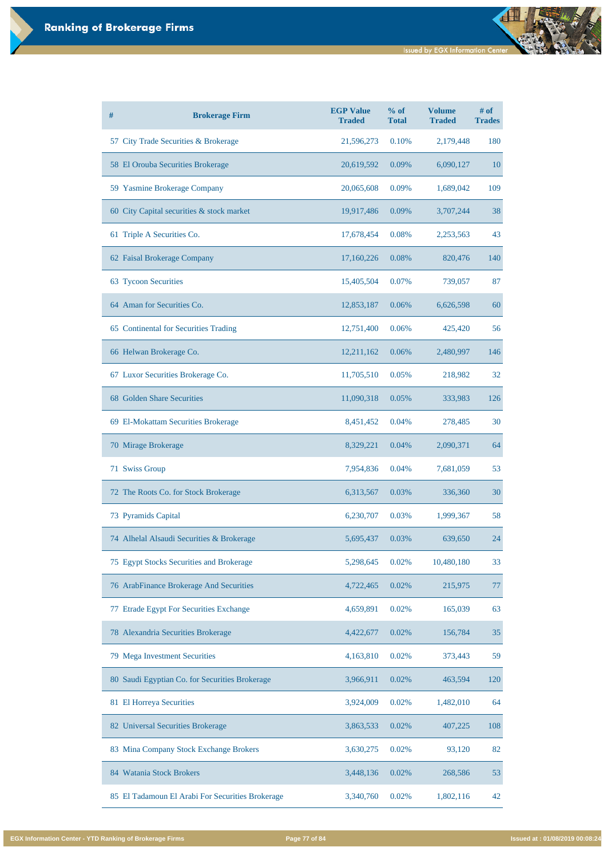| # | <b>Brokerage Firm</b>                     | <b>EGP Value</b><br><b>Traded</b> | % of<br><b>Total</b> | <b>Volume</b><br><b>Traded</b> | $#$ of<br><b>Trades</b> |
|---|-------------------------------------------|-----------------------------------|----------------------|--------------------------------|-------------------------|
|   | 57 City Trade Securities & Brokerage      | 21,596,273                        | 0.10%                | 2,179,448                      | 180                     |
|   | 58 El Orouba Securities Brokerage         | 20,619,592                        | 0.09%                | 6,090,127                      | 10                      |
|   | 59 Yasmine Brokerage Company              | 20,065,608                        | 0.09%                | 1,689,042                      | 109                     |
|   | 60 City Capital securities & stock market | 19,917,486                        | 0.09%                | 3,707,244                      | 38                      |
|   | 61 Triple A Securities Co.                | 17,678,454                        | 0.08%                | 2,253,563                      | 43                      |
|   | 62 Faisal Brokerage Company               | 17,160,226                        | 0.08%                | 820,476                        | 140                     |
|   | 63 Tycoon Securities                      | 15,405,504                        | 0.07%                | 739,057                        | 87                      |
|   | 64 Aman for Securities Co.                | 12,853,187                        | 0.06%                | 6,626,598                      | 60                      |
|   | 65 Continental for Securities Trading     | 12,751,400                        | 0.06%                | 425,420                        | 56                      |
|   | 66 Helwan Brokerage Co.                   | 12,211,162                        | 0.06%                | 2,480,997                      | 146                     |
|   | 67 Luxor Securities Brokerage Co.         | 11,705,510                        | 0.05%                | 218,982                        | 32                      |
|   | 68 Golden Share Securities                | 11,090,318                        | 0.05%                | 333,983                        | 126                     |
|   | 69 El-Mokattam Securities Brokerage       | 8,451,452                         | 0.04%                | 278,485                        | 30                      |
|   | 70 Mirage Brokerage                       | 8,329,221                         | 0.04%                | 2,090,371                      | 64                      |
|   | 71 Swiss Group                            | 7,954,836                         | 0.04%                | 7,681,059                      | 53                      |
|   | 72 The Roots Co. for Stock Brokerage      | 6,313,567                         | 0.03%                | 336,360                        | 30                      |
|   | 73 Pyramids Capital                       | 6,230,707                         | 0.03%                | 1,999,367                      | 58                      |
|   | 74 Alhelal Alsaudi Securities & Brokerage | 5,695,437                         | 0.03%                | 639,650                        | 24                      |
|   | 75 Egypt Stocks Securities and Brokerage  | 5,298,645                         | 0.02%                | 10,480,180                     | 33                      |
|   | 76 ArabFinance Brokerage And Securities   | 4,722,465                         | 0.02%                | 215,975                        | 77                      |
|   | 77 Etrade Egypt For Securities Exchange   | 4,659,891                         | 0.02%                | 165,039                        | 63                      |

| 78 Alexandria Securities Brokerage               | 4,422,677 | 0.02% | 156,784   | 35  |
|--------------------------------------------------|-----------|-------|-----------|-----|
| 79 Mega Investment Securities                    | 4,163,810 | 0.02% | 373,443   | 59  |
| 80 Saudi Egyptian Co. for Securities Brokerage   | 3,966,911 | 0.02% | 463,594   | 120 |
| 81 El Horreya Securities                         | 3,924,009 | 0.02% | 1,482,010 | 64  |
| 82 Universal Securities Brokerage                | 3,863,533 | 0.02% | 407,225   | 108 |
| 83 Mina Company Stock Exchange Brokers           | 3,630,275 | 0.02% | 93,120    | 82  |
| 84 Watania Stock Brokers                         | 3,448,136 | 0.02% | 268,586   | 53  |
| 85 El Tadamoun El Arabi For Securities Brokerage | 3,340,760 | 0.02% | 1,802,116 | 42  |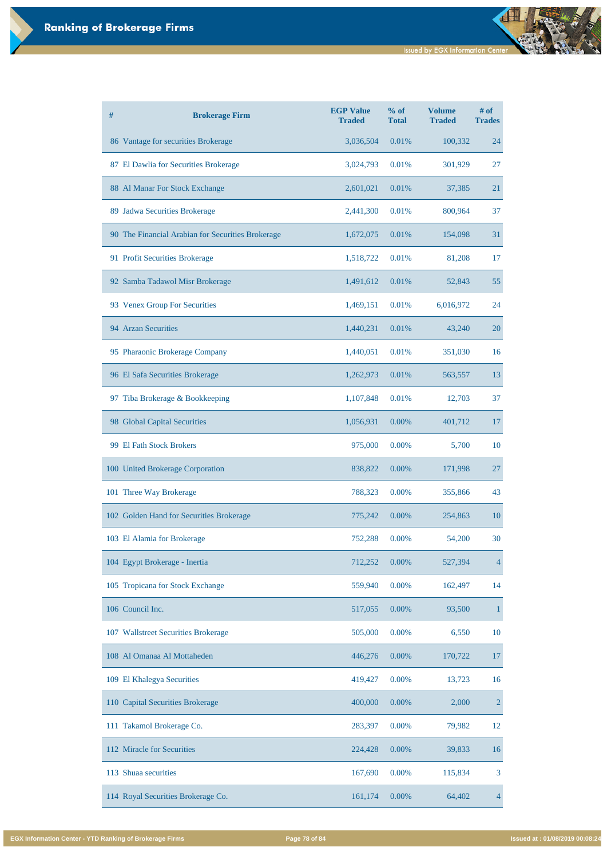| $\#$ | <b>Brokerage Firm</b>                             | <b>EGP Value</b><br><b>Traded</b> | % of<br><b>Total</b> | <b>Volume</b><br><b>Traded</b> | # of<br><b>Trades</b> |
|------|---------------------------------------------------|-----------------------------------|----------------------|--------------------------------|-----------------------|
|      | 86 Vantage for securities Brokerage               | 3,036,504                         | 0.01%                | 100,332                        | 24                    |
|      | 87 El Dawlia for Securities Brokerage             | 3,024,793                         | 0.01%                | 301,929                        | 27                    |
|      | 88 Al Manar For Stock Exchange                    | 2,601,021                         | 0.01%                | 37,385                         | 21                    |
|      | 89 Jadwa Securities Brokerage                     | 2,441,300                         | 0.01%                | 800,964                        | 37                    |
|      | 90 The Financial Arabian for Securities Brokerage | 1,672,075                         | 0.01%                | 154,098                        | 31                    |
|      | 91 Profit Securities Brokerage                    | 1,518,722                         | 0.01%                | 81,208                         | 17                    |
|      | 92 Samba Tadawol Misr Brokerage                   | 1,491,612                         | 0.01%                | 52,843                         | 55                    |
|      | 93 Venex Group For Securities                     | 1,469,151                         | 0.01%                | 6,016,972                      | 24                    |
|      | 94 Arzan Securities                               | 1,440,231                         | 0.01%                | 43,240                         | 20                    |
|      | 95 Pharaonic Brokerage Company                    | 1,440,051                         | 0.01%                | 351,030                        | 16                    |
|      | 96 El Safa Securities Brokerage                   | 1,262,973                         | 0.01%                | 563,557                        | 13                    |
|      | 97 Tiba Brokerage & Bookkeeping                   | 1,107,848                         | 0.01%                | 12,703                         | 37                    |
|      | 98 Global Capital Securities                      | 1,056,931                         | 0.00%                | 401,712                        | 17                    |
|      | 99 El Fath Stock Brokers                          | 975,000                           | 0.00%                | 5,700                          | 10                    |
|      | 100 United Brokerage Corporation                  | 838,822                           | 0.00%                | 171,998                        | 27                    |
|      | 101 Three Way Brokerage                           | 788,323                           | 0.00%                | 355,866                        | 43                    |
|      | 102 Golden Hand for Securities Brokerage          | 775,242                           | 0.00%                | 254,863                        | 10                    |
|      | 103 El Alamia for Brokerage                       | 752,288                           | 0.00%                | 54,200                         | 30                    |
|      | 104 Egypt Brokerage - Inertia                     | 712,252                           | 0.00%                | 527,394                        | $\overline{4}$        |
|      | 105 Tropicana for Stock Exchange                  | 559,940                           | 0.00%                | 162,497                        | 14                    |
|      | 106 Council Inc.                                  | 517,055                           | 0.00%                | 93,500                         |                       |

| 107 Wallstreet Securities Brokerage | 505,000 | $0.00\%$ | 6,550   | 10             |
|-------------------------------------|---------|----------|---------|----------------|
| 108 Al Omanaa Al Mottaheden         | 446,276 | $0.00\%$ | 170,722 | 17             |
| 109 El Khalegya Securities          | 419,427 | $0.00\%$ | 13,723  | 16             |
| 110 Capital Securities Brokerage    | 400,000 | 0.00%    | 2,000   | $\overline{2}$ |
| 111 Takamol Brokerage Co.           | 283,397 | $0.00\%$ | 79,982  | 12             |
| 112 Miracle for Securities          | 224,428 | $0.00\%$ | 39,833  | 16             |
| 113 Shuaa securities                | 167,690 | $0.00\%$ | 115,834 | 3              |
| 114 Royal Securities Brokerage Co.  | 161,174 | $0.00\%$ | 64,402  | $\overline{4}$ |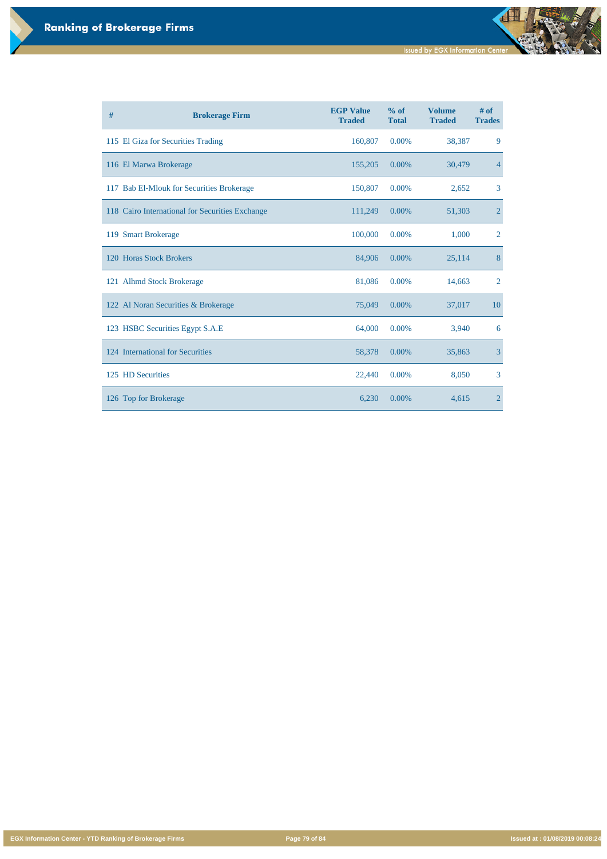đ

**EGX Information Center - YTD Ranking of Brokerage Firms Page 79 of 84 Issued at : 01/08/2019 00:08:24**

| # | <b>Brokerage Firm</b>                           | <b>EGP Value</b><br><b>Traded</b> | % of<br><b>Total</b> | <b>Volume</b><br><b>Traded</b> | # of<br><b>Trades</b> |
|---|-------------------------------------------------|-----------------------------------|----------------------|--------------------------------|-----------------------|
|   | 115 El Giza for Securities Trading              | 160,807                           | 0.00%                | 38,387                         | 9                     |
|   | 116 El Marwa Brokerage                          | 155,205                           | 0.00%                | 30,479                         | $\overline{4}$        |
|   | 117 Bab El-Mlouk for Securities Brokerage       | 150,807                           | 0.00%                | 2,652                          | $\overline{3}$        |
|   | 118 Cairo International for Securities Exchange | 111,249                           | 0.00%                | 51,303                         | $\overline{2}$        |
|   | 119 Smart Brokerage                             | 100,000                           | 0.00%                | 1,000                          | $\overline{2}$        |
|   | 120 Horas Stock Brokers                         | 84,906                            | 0.00%                | 25,114                         | 8                     |
|   | 121 Alhmd Stock Brokerage                       | 81,086                            | 0.00%                | 14,663                         | $\overline{2}$        |
|   | 122 Al Noran Securities & Brokerage             | 75,049                            | 0.00%                | 37,017                         | 10                    |
|   | 123 HSBC Securities Egypt S.A.E                 | 64,000                            | 0.00%                | 3,940                          | 6                     |
|   | 124 International for Securities                | 58,378                            | 0.00%                | 35,863                         | 3                     |
|   | 125 HD Securities                               | 22,440                            | 0.00%                | 8,050                          | 3                     |
|   | 126 Top for Brokerage                           | 6,230                             | 0.00%                | 4,615                          | $\overline{2}$        |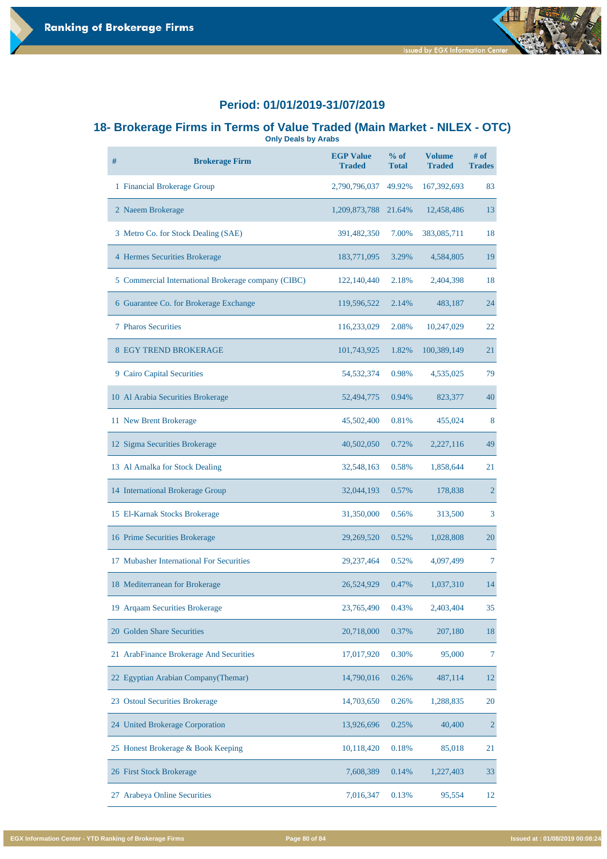

# **Period: 01/01/2019-31/07/2019**

#### **18- Brokerage Firms in Terms of Value Traded (Main Market - NILEX - OTC) Only Deals by Arabs**

| # | <b>Brokerage Firm</b>                               | <b>EGP Value</b><br><b>Traded</b> | $%$ of<br><b>Total</b> | <b>Volume</b><br><b>Traded</b> | # of<br><b>Trades</b> |
|---|-----------------------------------------------------|-----------------------------------|------------------------|--------------------------------|-----------------------|
|   | 1 Financial Brokerage Group                         | 2,790,796,037                     | 49.92%                 | 167,392,693                    | 83                    |
|   | 2 Naeem Brokerage                                   | 1,209,873,788                     | 21.64%                 | 12,458,486                     | 13                    |
|   | 3 Metro Co. for Stock Dealing (SAE)                 | 391,482,350                       | 7.00%                  | 383,085,711                    | 18                    |
|   | 4 Hermes Securities Brokerage                       | 183,771,095                       | 3.29%                  | 4,584,805                      | 19                    |
|   | 5 Commercial International Brokerage company (CIBC) | 122,140,440                       | 2.18%                  | 2,404,398                      | 18                    |
|   | 6 Guarantee Co. for Brokerage Exchange              | 119,596,522                       | 2.14%                  | 483,187                        | 24                    |
|   | <b>7 Pharos Securities</b>                          | 116,233,029                       | 2.08%                  | 10,247,029                     | 22                    |
|   | <b>8 EGY TREND BROKERAGE</b>                        | 101,743,925                       | 1.82%                  | 100,389,149                    | 21                    |
|   | 9 Cairo Capital Securities                          | 54, 532, 374                      | 0.98%                  | 4,535,025                      | 79                    |
|   | 10 Al Arabia Securities Brokerage                   | 52,494,775                        | 0.94%                  | 823,377                        | 40                    |
|   | 11 New Brent Brokerage                              | 45,502,400                        | 0.81%                  | 455,024                        | 8                     |
|   | 12 Sigma Securities Brokerage                       | 40,502,050                        | 0.72%                  | 2,227,116                      | 49                    |
|   | 13 Al Amalka for Stock Dealing                      | 32,548,163                        | 0.58%                  | 1,858,644                      | 21                    |
|   | 14 International Brokerage Group                    | 32,044,193                        | 0.57%                  | 178,838                        | $\overline{2}$        |
|   | 15 El-Karnak Stocks Brokerage                       | 31,350,000                        | 0.56%                  | 313,500                        | 3                     |
|   | 16 Prime Securities Brokerage                       | 29,269,520                        | 0.52%                  | 1,028,808                      | 20                    |
|   | 17 Mubasher International For Securities            | 29, 237, 464                      | 0.52%                  | 4,097,499                      | 7                     |
|   | 18 Mediterranean for Brokerage                      | 26,524,929                        | 0.47%                  | 1,037,310                      | 14                    |
|   | 19 Arqaam Securities Brokerage                      | 23,765,490                        | 0.43%                  | 2,403,404                      | 35                    |

| 20 Golden Share Securities              | 20,718,000 | 0.37% | 207,180   | 18 |
|-----------------------------------------|------------|-------|-----------|----|
| 21 ArabFinance Brokerage And Securities | 17,017,920 | 0.30% | 95,000    | 7  |
| 22 Egyptian Arabian Company (Themar)    | 14,790,016 | 0.26% | 487,114   | 12 |
| 23 Ostoul Securities Brokerage          | 14,703,650 | 0.26% | 1,288,835 | 20 |
| 24 United Brokerage Corporation         | 13,926,696 | 0.25% | 40,400    | 2  |
| 25 Honest Brokerage & Book Keeping      | 10,118,420 | 0.18% | 85,018    | 21 |
| 26 First Stock Brokerage                | 7,608,389  | 0.14% | 1,227,403 | 33 |
| <b>Arabeya Online Securities</b><br>27  | 7,016,347  | 0.13% | 95,554    | 12 |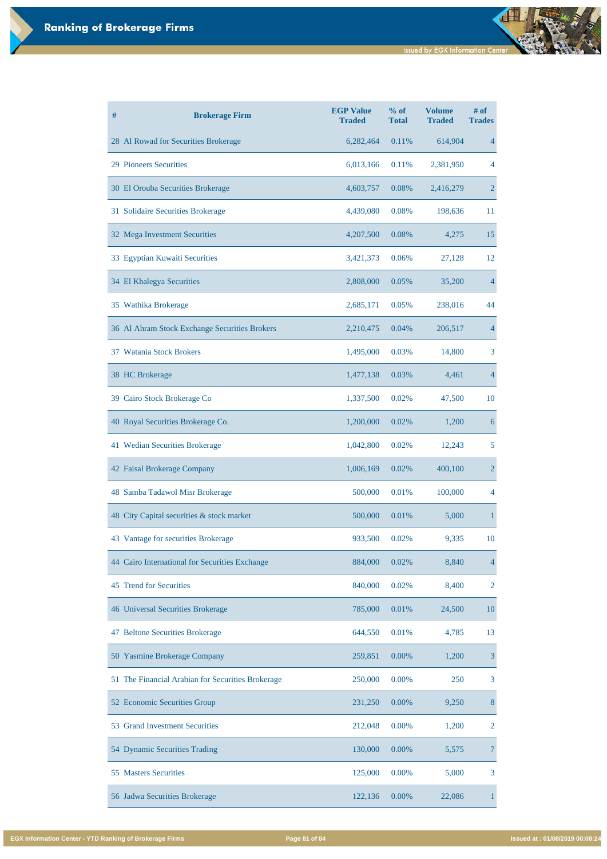| $\#$                                           | <b>Brokerage Firm</b> | <b>EGP Value</b><br><b>Traded</b> | $%$ of<br><b>Total</b> | <b>Volume</b><br><b>Traded</b> | $#$ of<br><b>Trades</b> |
|------------------------------------------------|-----------------------|-----------------------------------|------------------------|--------------------------------|-------------------------|
| 28 Al Rowad for Securities Brokerage           |                       | 6,282,464                         | 0.11%                  | 614,904                        | $\overline{4}$          |
| 29 Pioneers Securities                         |                       | 6,013,166                         | 0.11%                  | 2,381,950                      | 4                       |
| 30 El Orouba Securities Brokerage              |                       | 4,603,757                         | 0.08%                  | 2,416,279                      | $\overline{2}$          |
| 31 Solidaire Securities Brokerage              |                       | 4,439,080                         | 0.08%                  | 198,636                        | 11                      |
| 32 Mega Investment Securities                  |                       | 4,207,500                         | 0.08%                  | 4,275                          | 15                      |
| 33 Egyptian Kuwaiti Securities                 |                       | 3,421,373                         | 0.06%                  | 27,128                         | 12                      |
| 34 El Khalegya Securities                      |                       | 2,808,000                         | 0.05%                  | 35,200                         | $\overline{4}$          |
| 35 Wathika Brokerage                           |                       | 2,685,171                         | 0.05%                  | 238,016                        | 44                      |
| 36 Al Ahram Stock Exchange Securities Brokers  |                       | 2,210,475                         | 0.04%                  | 206,517                        | $\overline{4}$          |
| 37 Watania Stock Brokers                       |                       | 1,495,000                         | 0.03%                  | 14,800                         | 3                       |
| 38 HC Brokerage                                |                       | 1,477,138                         | 0.03%                  | 4,461                          | $\overline{4}$          |
| 39 Cairo Stock Brokerage Co                    |                       | 1,337,500                         | 0.02%                  | 47,500                         | 10                      |
| 40 Royal Securities Brokerage Co.              |                       | 1,200,000                         | 0.02%                  | 1,200                          | 6                       |
| 41 Wedian Securities Brokerage                 |                       | 1,042,800                         | 0.02%                  | 12,243                         | 5                       |
| 42 Faisal Brokerage Company                    |                       | 1,006,169                         | 0.02%                  | 400,100                        | $\overline{2}$          |
| 48 Samba Tadawol Misr Brokerage                |                       | 500,000                           | 0.01%                  | 100,000                        | $\overline{4}$          |
| 48 City Capital securities & stock market      |                       | 500,000                           | 0.01%                  | 5,000                          | $\mathbf{1}$            |
| 43 Vantage for securities Brokerage            |                       | 933,500                           | 0.02%                  | 9,335                          | 10                      |
| 44 Cairo International for Securities Exchange |                       | 884,000                           | 0.02%                  | 8,840                          | $\overline{4}$          |
| 45 Trend for Securities                        |                       | 840,000                           | 0.02%                  | 8,400                          | $\overline{2}$          |
| 46 Universal Securities Brokerage              |                       | 785,000                           | 0.01%                  | 24,500                         | 10                      |

| 47 Beltone Securities Brokerage                   | 644,550 | 0.01%    | 4,785  | 13 |
|---------------------------------------------------|---------|----------|--------|----|
| 50 Yasmine Brokerage Company                      | 259,851 | $0.00\%$ | 1,200  | 3  |
| 51 The Financial Arabian for Securities Brokerage | 250,000 | $0.00\%$ | 250    | 3  |
| 52 Economic Securities Group                      | 231,250 | $0.00\%$ | 9,250  | 8  |
| 53 Grand Investment Securities                    | 212,048 | 0.00%    | 1,200  | 2  |
| 54 Dynamic Securities Trading                     | 130,000 | $0.00\%$ | 5,575  | 7  |
| <b>55 Masters Securities</b>                      | 125,000 | $0.00\%$ | 5,000  | 3  |
| 56 Jadwa Securities Brokerage                     | 122,136 | $0.00\%$ | 22,086 |    |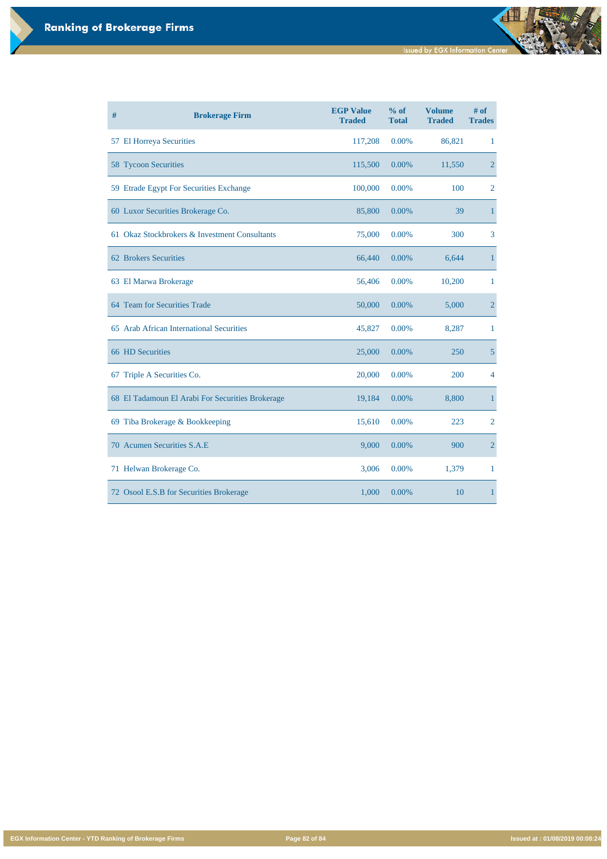**EGX Information Center - YTD Ranking of Brokerage Firms Page 82 of 84 Issued at : 01/08/2019 00:08:24**

| # | <b>Brokerage Firm</b>                            | <b>EGP Value</b><br><b>Traded</b> | $%$ of<br><b>Total</b> | <b>Volume</b><br><b>Traded</b> | # of<br><b>Trades</b> |
|---|--------------------------------------------------|-----------------------------------|------------------------|--------------------------------|-----------------------|
|   | 57 El Horreya Securities                         | 117,208                           | 0.00%                  | 86,821                         | 1                     |
|   | 58 Tycoon Securities                             | 115,500                           | 0.00%                  | 11,550                         | $\overline{2}$        |
|   | 59 Etrade Egypt For Securities Exchange          | 100,000                           | 0.00%                  | 100                            | $\overline{2}$        |
|   | 60 Luxor Securities Brokerage Co.                | 85,800                            | 0.00%                  | 39                             | $\mathbf{1}$          |
|   | 61 Okaz Stockbrokers & Investment Consultants    | 75,000                            | 0.00%                  | 300                            | 3                     |
|   | <b>62 Brokers Securities</b>                     | 66,440                            | 0.00%                  | 6,644                          | $\mathbf{1}$          |
|   | 63 El Marwa Brokerage                            | 56,406                            | 0.00%                  | 10,200                         | $\mathbf{1}$          |
|   | 64 Team for Securities Trade                     | 50,000                            | 0.00%                  | 5,000                          | $\overline{2}$        |
|   | 65 Arab African International Securities         | 45,827                            | 0.00%                  | 8,287                          | $\mathbf{1}$          |
|   | <b>66 HD Securities</b>                          | 25,000                            | 0.00%                  | 250                            | $\overline{5}$        |
|   | 67 Triple A Securities Co.                       | 20,000                            | 0.00%                  | 200                            | $\overline{4}$        |
|   | 68 El Tadamoun El Arabi For Securities Brokerage | 19,184                            | 0.00%                  | 8,800                          | $\mathbf{1}$          |
|   | 69 Tiba Brokerage & Bookkeeping                  | 15,610                            | 0.00%                  | 223                            | $\overline{2}$        |
|   | 70 Acumen Securities S.A.E                       | 9,000                             | 0.00%                  | 900                            | $\overline{2}$        |
|   | 71 Helwan Brokerage Co.                          | 3,006                             | 0.00%                  | 1,379                          | $\mathbf{1}$          |
|   | 72 Osool E.S.B for Securities Brokerage          | 1,000                             | 0.00%                  | 10                             | $\mathbf{1}$          |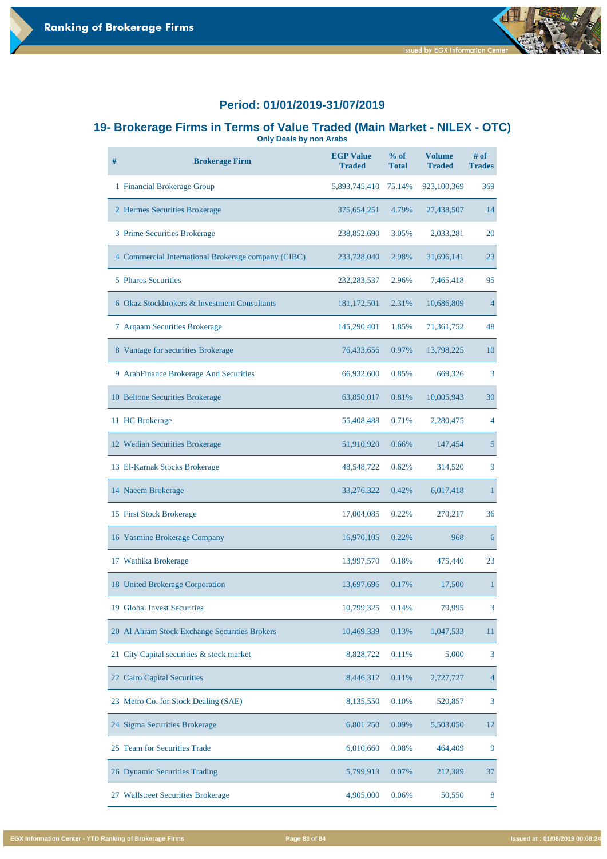

## **Period: 01/01/2019-31/07/2019**

#### **19- Brokerage Firms in Terms of Value Traded (Main Market - NILEX - OTC) Only Deals by non Arabs**

| # | <b>Brokerage Firm</b>                               | <b>EGP Value</b><br><b>Traded</b> | $%$ of<br><b>Total</b> | <b>Volume</b><br><b>Traded</b> | # of<br><b>Trades</b> |
|---|-----------------------------------------------------|-----------------------------------|------------------------|--------------------------------|-----------------------|
|   | 1 Financial Brokerage Group                         | 5,893,745,410                     | 75.14%                 | 923,100,369                    | 369                   |
|   | 2 Hermes Securities Brokerage                       | 375,654,251                       | 4.79%                  | 27,438,507                     | 14                    |
|   | 3 Prime Securities Brokerage                        | 238,852,690                       | 3.05%                  | 2,033,281                      | 20                    |
|   | 4 Commercial International Brokerage company (CIBC) | 233,728,040                       | 2.98%                  | 31,696,141                     | 23                    |
|   | 5 Pharos Securities                                 | 232, 283, 537                     | 2.96%                  | 7,465,418                      | 95                    |
|   | 6 Okaz Stockbrokers & Investment Consultants        | 181,172,501                       | 2.31%                  | 10,686,809                     | $\overline{4}$        |
|   | 7 Argaam Securities Brokerage                       | 145,290,401                       | 1.85%                  | 71,361,752                     | 48                    |
|   | 8 Vantage for securities Brokerage                  | 76,433,656                        | 0.97%                  | 13,798,225                     | 10                    |
|   | 9 ArabFinance Brokerage And Securities              | 66,932,600                        | 0.85%                  | 669,326                        | 3                     |
|   | 10 Beltone Securities Brokerage                     | 63,850,017                        | 0.81%                  | 10,005,943                     | 30                    |
|   | 11 HC Brokerage                                     | 55,408,488                        | 0.71%                  | 2,280,475                      | $\overline{4}$        |
|   | 12 Wedian Securities Brokerage                      | 51,910,920                        | 0.66%                  | 147,454                        | 5                     |
|   | 13 El-Karnak Stocks Brokerage                       | 48,548,722                        | 0.62%                  | 314,520                        | 9                     |
|   | 14 Naeem Brokerage                                  | 33,276,322                        | 0.42%                  | 6,017,418                      | $\mathbf{1}$          |
|   | 15 First Stock Brokerage                            | 17,004,085                        | 0.22%                  | 270,217                        | 36                    |
|   | 16 Yasmine Brokerage Company                        | 16,970,105                        | 0.22%                  | 968                            | 6                     |
|   | 17 Wathika Brokerage                                | 13,997,570                        | 0.18%                  | 475,440                        | 23                    |
|   | <b>18 United Brokerage Corporation</b>              | 13,697,696                        | 0.17%                  | 17,500                         | $\mathbf{1}$          |
|   | 19 Global Invest Securities                         | 10,799,325                        | 0.14%                  | 79,995                         | 3                     |

| 20 Al Ahram Stock Exchange Securities Brokers | 10,469,339 | 0.13% | 1,047,533 | 11 |
|-----------------------------------------------|------------|-------|-----------|----|
| 21 City Capital securities & stock market     | 8,828,722  | 0.11% | 5,000     | 3  |
| 22 Cairo Capital Securities                   | 8,446,312  | 0.11% | 2,727,727 |    |
| 23 Metro Co. for Stock Dealing (SAE)          | 8,135,550  | 0.10% | 520,857   | 3  |
| 24 Sigma Securities Brokerage                 | 6,801,250  | 0.09% | 5,503,050 | 12 |
| 25 Team for Securities Trade                  | 6,010,660  | 0.08% | 464,409   | 9  |
| 26 Dynamic Securities Trading                 | 5,799,913  | 0.07% | 212,389   | 37 |
| <b>Wallstreet Securities Brokerage</b><br>27  | 4,905,000  | 0.06% | 50,550    | 8  |